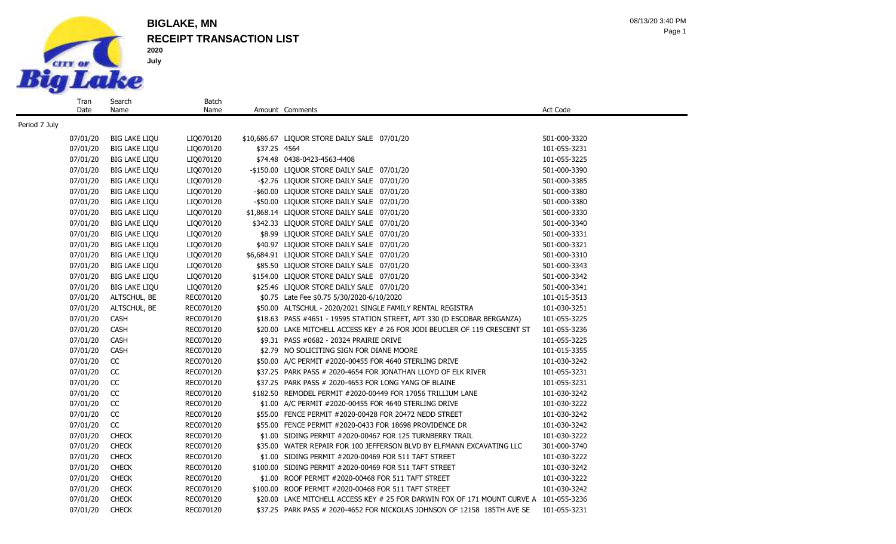

Date

Name

### **RECEIPT TRANSACTION LIST BIGLAKE, MN**

Batch

08/13/20 3:40 PM Page 1

07/01/20 BIG LAKE LIQU LIQ070120 \$10,686.67 LIQUOR STORE DAILY SALE 07/01/20 501-000-3320 07/01/20 BIG LAKE LIQU LIQ070120 \$37.25 4564 101-055-3231 07/01/20 BIG LAKE LIQU LIQ070120 \$74.48 0438-0423-4563-4408 101-055-3225 101-055-3225 07/01/20 BIG LAKE LIQU LIQ070120 -\$150.00 LIQUOR STORE DAILY SALE 07/01/20 501-000-3390 07/01/20 BIG LAKE LIQU LIQ070120 -\$2.76 LIQUOR STORE DAILY SALE 07/01/20 501-000-3385 07/01/20 BIG LAKE LIQU LIQ070120 -\$60.00 LIQUOR STORE DAILY SALE 07/01/20 501-000-3380 07/01/20 BIG LAKE LIQU LIQ070120 - \$50.00 LIQUOR STORE DAILY SALE 07/01/20 501-000-3380 07/01/20 BIG LAKE LIQU LIQ070120 \$1,868.14 LIQUOR STORE DAILY SALE 07/01/20 501-000-3330 07/01/20 BIG LAKE LIQU LIQ070120 \$342.33 LIQUOR STORE DAILY SALE 07/01/20 501-000-3340 07/01/20 BIG LAKE LIQU LIQ070120 \$8.99 LIQUOR STORE DAILY SALE 07/01/20 501-000-3331 07/01/20 BIG LAKE LIQU LIQ070120 \$40.97 LIQUOR STORE DAILY SALE 07/01/20 501-000-3321 07/01/20 BIG LAKE LIQU LIQ070120 \$6,684.91 LIQUOR STORE DAILY SALE 07/01/20 501-000-3310 07/01/20 BIG LAKE LIQU LIQ070120 \$85.50 LIQUOR STORE DAILY SALE 07/01/20 501-000-3343 07/01/20 BIG LAKE LIQU LIQ070120 \$154.00 LIQUOR STORE DAILY SALE 07/01/20 501-000-3342 07/01/20 BIG LAKE LIQU LIQ070120 \$25.46 LIQUOR STORE DAILY SALE 07/01/20 501-000-3341 07/01/20 ALTSCHUL, BE REC070120 \$0.75 Late Fee \$0.75 5/30/2020-6/10/2020 101-015-3513 07/01/20 ALTSCHUL, BE REC070120 \$50.00 ALTSCHUL - 2020/2021 SINGLE FAMILY RENTAL REGISTRA 101-030-3251 07/01/20 CASH REC070120 \$18.63 PASS #4651 - 19595 STATION STREET, APT 330 (D ESCOBAR BERGANZA) 101-055-3225 07/01/20 CASH REC070120 \$20.00 LAKE MITCHELL ACCESS KEY # 26 FOR JODI BEUCLER OF 119 CRESCENT ST 101-055-3236 07/01/20 CASH REC070120 \$9.31 PASS #0682 - 20324 PRAIRIE DRIVE 101-055-3225 07/01/20 CASH REC070120 \$2.79 NO SOLICITING SIGN FOR DIANE MOORE 101-015-3355 07/01/20 CC REC070120 \$50.00 A/C PERMIT #2020-00455 FOR 4640 STERLING DRIVE 101-030-3242 07/01/20 CC REC070120 \$37.25 PARK PASS # 2020-4654 FOR JONATHAN LLOYD OF ELK RIVER 101-055-3231 07/01/20 CC REC070120 \$37.25 PARK PASS # 2020-4653 FOR LONG YANG OF BLAINE 101-055-3231 07/01/20 CC REC070120 \$182.50 REMODEL PERMIT #2020-00449 FOR 17056 TRILLIUM LANE 101-030-3242 07/01/20 CC REC070120 \$1.00 A/C PERMIT #2020-00455 FOR 4640 STERLING DRIVE 101-030-3222 07/01/20 CC REC070120 \$55.00 FENCE PERMIT #2020-00428 FOR 20472 NEDD STREET 101-030-3242 07/01/20 CC REC070120 \$55.00 FENCE PERMIT #2020-0433 FOR 18698 PROVIDENCE DR 101-030-3242 07/01/20 CHECK REC070120 \$1.00 SIDING PERMIT #2020-00467 FOR 125 TURNBERRY TRAIL 101-030-3222 07/01/20 CHECK REC070120 \$35.00 WATER REPAIR FOR 100 JEFFERSON BLVD BY ELFMANN EXCAVATING LLC 301-000-3740 07/01/20 CHECK REC070120 \$1.00 SIDING PERMIT #2020-00469 FOR 511 TAFT STREET 101-030-3222 07/01/20 CHECK REC070120 \$100.00 SIDING PERMIT #2020-00469 FOR 511 TAFT STREET 101-030-3242 07/01/20 CHECK REC070120 \$1.00 ROOF PERMIT #2020-00468 FOR 511 TAFT STREET 101-030-3222 07/01/20 CHECK REC070120 \$100.00 ROOF PERMIT #2020-00468 FOR 511 TAFT STREET 101-030-3242 07/01/20 CHECK RECO70120 \$20.00 LAKE MITCHELL ACCESS KEY # 25 FOR DARWIN FOX OF 171 MOUNT CURVE A 101-055-3236

07/01/20 CHECK REC070120 \$37.25 PARK PASS # 2020-4652 FOR NICKOLAS JOHNSON OF 12158 185TH AVE SE 101-055-3231

Name Amount Comments **Act Code** Act Code

Period 7 July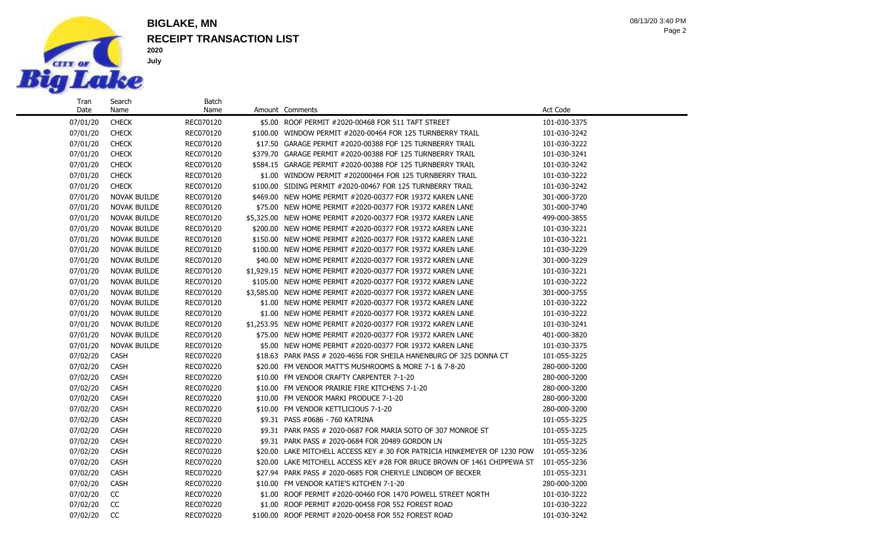

Search Name

### **RECEIPT TRANSACTION LIST BIGLAKE, MN**

Batch

Page 2 08/13/20 3:40 PM

07/01/20 CHECK REC070120 \$100.00 WINDOW PERMIT #2020-00464 FOR 125 TURNBERRY TRAIL 101-030-3242 07/01/20 CHECK REC070120 \$17.50 GARAGE PERMIT #2020-00388 FOF 125 TURNBERRY TRAIL 101-030-3222 07/01/20 CHECK REC070120 \$379.70 GARAGE PERMIT #2020-00388 FOF 125 TURNBERRY TRAIL 101-030-3241 07/01/20 CHECK REC070120 \$584.15 GARAGE PERMIT #2020-00388 FOF 125 TURNBERRY TRAIL 101-030-3242 07/01/20 CHECK REC070120 \$1.00 WINDOW PERMIT #202000464 FOR 125 TURNBERRY TRAIL 101-030-3222 07/01/20 CHECK REC070120 \$100.00 SIDING PERMIT #2020-00467 FOR 125 TURNBERRY TRAIL 101-030-3242 07/01/20 NOVAK BUILDE REC070120 \$469.00 NEW HOME PERMIT #2020-00377 FOR 19372 KAREN LANE 301-000-3720 07/01/20 NOVAK BUILDE REC070120 \$75.00 NEW HOME PERMIT #2020-00377 FOR 19372 KAREN LANE 301-000-3740 07/01/20 NOVAK BUILDE REC070120 \$5,325.00 NEW HOME PERMIT #2020-00377 FOR 19372 KAREN LANE 499-000-3855 07/01/20 NOVAK BUILDE REC070120 \$200.00 NEW HOME PERMIT #2020-00377 FOR 19372 KAREN LANE 101-030-3221 07/01/20 NOVAK BUILDE REC070120 \$150.00 NEW HOME PERMIT #2020-00377 FOR 19372 KAREN LANE 101-030-3221 07/01/20 NOVAK BUILDE REC070120 \$100.00 NEW HOME PERMIT #2020-00377 FOR 19372 KAREN LANE 101-030-3229 07/01/20 NOVAK BUILDE REC070120 \$40.00 NEW HOME PERMIT #2020-00377 FOR 19372 KAREN LANE 301-000-3229 07/01/20 NOVAK BUILDE REC070120 \$1,929.15 NEW HOME PERMIT #2020-00377 FOR 19372 KAREN LANE 101-030-3221 07/01/20 NOVAK BUILDE REC070120 \$105.00 NEW HOME PERMIT #2020-00377 FOR 19372 KAREN LANE 101-030-3222 07/01/20 NOVAK BUILDE REC070120 \$3,585.00 NEW HOME PERMIT #2020-00377 FOR 19372 KAREN LANE 301-000-3755 07/01/20 NOVAK BUILDE REC070120 \$1.00 NEW HOME PERMIT #2020-00377 FOR 19372 KAREN LANE 101-030-3222 07/01/20 NOVAK BUILDE REC070120 \$1.00 NEW HOME PERMIT #2020-00377 FOR 19372 KAREN LANE 101-030-3222 07/01/20 NOVAK BUILDE REC070120 \$1,253.95 NEW HOME PERMIT #2020-00377 FOR 19372 KAREN LANE 101-030-3241 07/01/20 NOVAK BUILDE REC070120 \$75.00 NEW HOME PERMIT #2020-00377 FOR 19372 KAREN LANE 401-000-3820 07/01/20 NOVAK BUILDE REC070120 \$5.00 NEW HOME PERMIT #2020-00377 FOR 19372 KAREN LANE 101-030-3375 07/02/20 CASH REC070220 \$18.63 PARK PASS # 2020-4656 FOR SHEILA HANENBURG OF 325 DONNA CT 101-055-3225 07/02/20 CASH REC070220 \$20.00 FM VENDOR MATT'S MUSHROOMS & MORE 7-1 & 7-8-20 280-000-3200 07/02/20 CASH REC070220 \$10.00 FM VENDOR CRAFTY CARPENTER 7-1-20 280-000-3200 07/02/20 CASH REC070220 \$10.00 FM VENDOR PRAIRIE FIRE KITCHENS 7-1-20 280-000-3200 07/02/20 CASH REC070220 \$10.00 FM VENDOR MARKI PRODUCE 7-1-20 280-000-3200 07/02/20 CASH REC070220 \$10.00 FM VENDOR KETTLICIOUS 7-1-20 280-000-3200 07/02/20 CASH REC070220 \$9.31 PASS #0686 - 760 KATRINA 101-055-3225 101-055-3225 07/02/20 CASH REC070220 \$9.31 PARK PASS # 2020-0687 FOR MARIA SOTO OF 307 MONROE ST 101-055-3225 07/02/20 CASH REC070220 \$9.31 PARK PASS # 2020-0684 FOR 20489 GORDON LN 101-055-3225 07/02/20 CASH REC070220 \$20.00 LAKE MITCHELL ACCESS KEY # 30 FOR PATRICIA HINKEMEYER OF 1230 POW 101-055-3236 07/02/20 CASH REC070220 \$20.00 LAKE MITCHELL ACCESS KEY #28 FOR BRUCE BROWN OF 1461 CHIPPEWA ST 101-055-3236 07/02/20 CASH REC070220 \$27.94 PARK PASS # 2020-0685 FOR CHERYLE LINDBOM OF BECKER 101-055-3231 07/02/20 CASH REC070220 \$10.00 FM VENDOR KATIE'S KITCHEN 7-1-20 280-000-3200 07/02/20 CC REC070220 \$1.00 ROOF PERMIT #2020-00460 FOR 1470 POWELL STREET NORTH 101-030-3222 07/02/20 CC REC070220 \$1.00 ROOF PERMIT #2020-00458 FOR 552 FOREST ROAD 101-030-3222

07/02/20 CC REC070220 \$100.00 ROOF PERMIT #2020-00458 FOR 552 FOREST ROAD 101-030-3242

07/01/20 CHECK REC070120 \$5.00 ROOF PERMIT #2020-00468 FOR 511 TAFT STREET 101-030-3375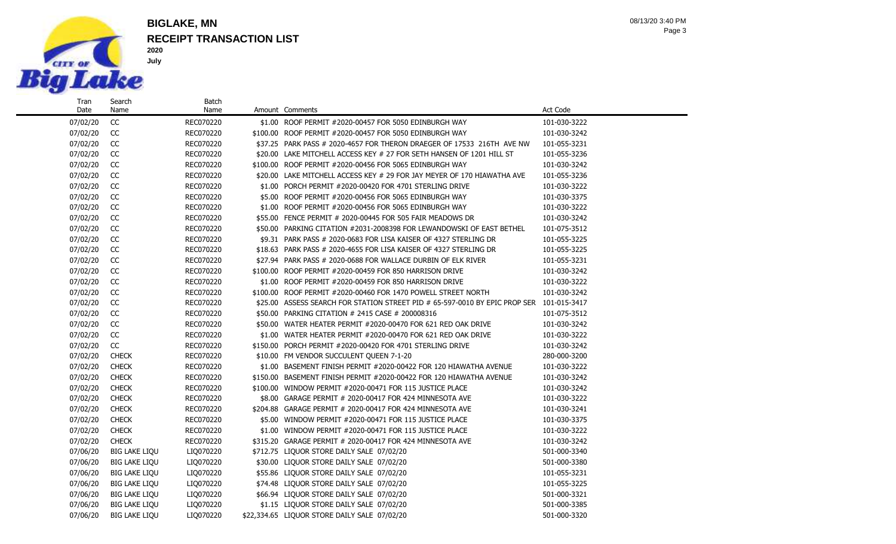

Name

### **RECEIPT TRANSACTION LIST BIGLAKE, MN**

Batch<br>Name

Page 3 08/13/20 3:40 PM

07/02/20 CC REC070220 \$1.00 ROOF PERMIT #2020-00457 FOR 5050 EDINBURGH WAY 101-030-3222 07/02/20 CC REC070220 \$100.00 ROOF PERMIT #2020-00457 FOR 5050 EDINBURGH WAY 101-030-3242 07/02/20 CC REC070220 \$37.25 PARK PASS # 2020-4657 FOR THERON DRAEGER OF 17533 216TH AVE NW 101-055-3231 07/02/20 CC REC070220 \$20.00 LAKE MITCHELL ACCESS KEY # 27 FOR SETH HANSEN OF 1201 HILL ST 101-055-3236 07/02/20 CC REC070220 \$100.00 ROOF PERMIT #2020-00456 FOR 5065 EDINBURGH WAY 101-030-3242 07/02/20 CC REC070220 \$20.00 LAKE MITCHELL ACCESS KEY # 29 FOR JAY MEYER OF 170 HIAWATHA AVE 101-055-3236 07/02/20 CC REC070220 \$1.00 PORCH PERMIT #2020-00420 FOR 4701 STERLING DRIVE 101-030-3222 07/02/20 CC REC070220 \$5.00 ROOF PERMIT #2020-00456 FOR 5065 EDINBURGH WAY 101-030-3375 07/02/20 CC REC070220 \$1.00 ROOF PERMIT #2020-00456 FOR 5065 EDINBURGH WAY 101-030-3222 07/02/20 CC REC070220 \$55.00 FENCE PERMIT # 2020-00445 FOR 505 FAIR MEADOWS DR 101-030-3242 07/02/20 CC REC070220 \$50.00 PARKING CITATION #2031-2008398 FOR LEWANDOWSKI OF EAST BETHEL 101-075-3512 07/02/20 CC REC070220 \$9.31 PARK PASS # 2020-0683 FOR LISA KAISER OF 4327 STERLING DR 101-055-3225 07/02/20 CC REC070220 \$18.63 PARK PASS # 2020-4655 FOR LISA KAISER OF 4327 STERLING DR 101-055-3225 07/02/20 CC REC070220 \$27.94 PARK PASS # 2020-0688 FOR WALLACE DURBIN OF ELK RIVER 101-055-3231 07/02/20 CC REC070220 \$100.00 ROOF PERMIT #2020-00459 FOR 850 HARRISON DRIVE 101-030-3242 07/02/20 CC REC070220 \$1.00 ROOF PERMIT #2020-00459 FOR 850 HARRISON DRIVE 101-030-3222 07/02/20 CC REC070220 \$100.00 ROOF PERMIT #2020-00460 FOR 1470 POWELL STREET NORTH 101-030-3242 07/02/20 CC REC070220 \$25.00 ASSESS SEARCH FOR STATION STREET PID # 65-597-0010 BY EPIC PROP SER 101-015-3417 07/02/20 CC REC070220 \$50.00 PARKING CITATION # 2415 CASE # 200008316 101-075-3512 07/02/20 CC REC070220 \$50.00 WATER HEATER PERMIT #2020-00470 FOR 621 RED OAK DRIVE 101-030-3242 07/02/20 CC REC070220 \$1.00 WATER HEATER PERMIT #2020-00470 FOR 621 RED OAK DRIVE 101-030-3222 07/02/20 CC REC070220 \$150.00 PORCH PERMIT #2020-00420 FOR 4701 STERLING DRIVE 101-030-3242 07/02/20 CHECK REC070220 \$10.00 FM VENDOR SUCCULENT QUEEN 7-1-20 280-000-3200 07/02/20 CHECK REC070220 \$1.00 BASEMENT FINISH PERMIT #2020-00422 FOR 120 HIAWATHA AVENUE 101-030-3222 07/02/20 CHECK REC070220 \$150.00 BASEMENT FINISH PERMIT #2020-00422 FOR 120 HIAWATHA AVENUE 101-030-3242 07/02/20 CHECK REC070220 \$100.00 WINDOW PERMIT #2020-00471 FOR 115 JUSTICE PLACE 101-030-3242 07/02/20 CHECK REC070220 \$8.00 GARAGE PERMIT # 2020-00417 FOR 424 MINNESOTA AVE 101-030-3222 07/02/20 CHECK REC070220 \$204.88 GARAGE PERMIT # 2020-00417 FOR 424 MINNESOTA AVE 101-030-3241 07/02/20 CHECK REC070220 \$5.00 WINDOW PERMIT #2020-00471 FOR 115 JUSTICE PLACE 101-030-3375 07/02/20 CHECK REC070220 \$1.00 WINDOW PERMIT #2020-00471 FOR 115 JUSTICE PLACE 101-030-3222 07/02/20 CHECK REC070220 \$315.20 GARAGE PERMIT # 2020-00417 FOR 424 MINNESOTA AVE 101-030-3242 07/06/20 BIG LAKE LIQU LIQ070220 \$712.75 LIQUOR STORE DAILY SALE 07/02/20 501-000-3340 07/06/20 BIG LAKE LIQU LIO070220 \$30.00 LIQUOR STORE DAILY SALE 07/02/20 501-000-3380 07/06/20 BIG LAKE LIQU LIQ070220 \$55.86 LIQUOR STORE DAILY SALE 07/02/20 101-055-3231 07/06/20 BIG LAKE LIQU LIQ070220 \$74.48 LIQUOR STORE DAILY SALE 07/02/20 101-055-3225 07/06/20 BIG LAKE LIQU LIQ070220 \$66.94 LIQUOR STORE DAILY SALE 07/02/20 501-000-3321

07/06/20 BIG LAKE LIQU LIQ070220 \$1.15 LIQUOR STORE DAILY SALE 07/02/20 501-000-3385 07/06/20 BIG LAKE LIQU LIQ070220 \$22,334.65 LIQUOR STORE DAILY SALE 07/02/20 501-000-3320

Amount Comments **Amount Comments** Act Code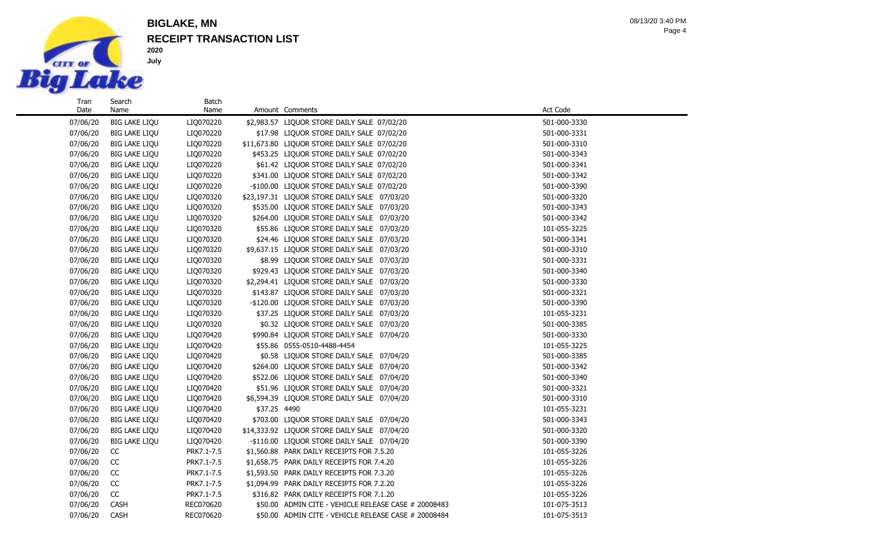

**2020 July**

## **RECEIPT TRANSACTION LIST BIGLAKE, MN**

Page 4 08/13/20 3:40 PM

| Tran     | Search               | <b>Batch</b> |              |                                                      |              |
|----------|----------------------|--------------|--------------|------------------------------------------------------|--------------|
| Date     | Name                 | Name         |              | Amount Comments                                      | Act Code     |
| 07/06/20 | <b>BIG LAKE LIQU</b> | LIQ070220    |              | \$2,983.57 LIQUOR STORE DAILY SALE 07/02/20          | 501-000-3330 |
| 07/06/20 | <b>BIG LAKE LIQU</b> | LIQ070220    |              | \$17.98 LIQUOR STORE DAILY SALE 07/02/20             | 501-000-3331 |
| 07/06/20 | <b>BIG LAKE LIQU</b> | LIQ070220    |              | \$11,673.80 LIQUOR STORE DAILY SALE 07/02/20         | 501-000-3310 |
| 07/06/20 | <b>BIG LAKE LIQU</b> | LIQ070220    |              | \$453.25 LIQUOR STORE DAILY SALE 07/02/20            | 501-000-3343 |
| 07/06/20 | <b>BIG LAKE LIQU</b> | LIQ070220    |              | \$61.42 LIQUOR STORE DAILY SALE 07/02/20             | 501-000-3341 |
| 07/06/20 | <b>BIG LAKE LIQU</b> | LIQ070220    |              | \$341.00 LIQUOR STORE DAILY SALE 07/02/20            | 501-000-3342 |
| 07/06/20 | <b>BIG LAKE LIQU</b> | LIQ070220    |              | -\$100.00 LIQUOR STORE DAILY SALE 07/02/20           | 501-000-3390 |
| 07/06/20 | <b>BIG LAKE LIQU</b> | LIQ070320    |              | \$23,197.31 LIQUOR STORE DAILY SALE 07/03/20         | 501-000-3320 |
| 07/06/20 | <b>BIG LAKE LIQU</b> | LIQ070320    |              | \$535.00 LIQUOR STORE DAILY SALE 07/03/20            | 501-000-3343 |
| 07/06/20 | <b>BIG LAKE LIQU</b> | LIQ070320    |              | \$264.00 LIQUOR STORE DAILY SALE 07/03/20            | 501-000-3342 |
| 07/06/20 | <b>BIG LAKE LIQU</b> | LIQ070320    |              | \$55.86 LIQUOR STORE DAILY SALE 07/03/20             | 101-055-3225 |
| 07/06/20 | <b>BIG LAKE LIQU</b> | LIQ070320    |              | \$24.46 LIQUOR STORE DAILY SALE 07/03/20             | 501-000-3341 |
| 07/06/20 | <b>BIG LAKE LIQU</b> | LIQ070320    |              | \$9,637.15 LIQUOR STORE DAILY SALE 07/03/20          | 501-000-3310 |
| 07/06/20 | <b>BIG LAKE LIQU</b> | LIQ070320    |              | \$8.99 LIQUOR STORE DAILY SALE 07/03/20              | 501-000-3331 |
| 07/06/20 | <b>BIG LAKE LIQU</b> | LIQ070320    |              | \$929.43 LIQUOR STORE DAILY SALE 07/03/20            | 501-000-3340 |
| 07/06/20 | <b>BIG LAKE LIQU</b> | LIQ070320    |              | \$2,294.41 LIQUOR STORE DAILY SALE 07/03/20          | 501-000-3330 |
| 07/06/20 | <b>BIG LAKE LIQU</b> | LIQ070320    |              | \$143.87 LIQUOR STORE DAILY SALE 07/03/20            | 501-000-3321 |
| 07/06/20 | <b>BIG LAKE LIQU</b> | LIQ070320    |              | -\$120.00 LIQUOR STORE DAILY SALE 07/03/20           | 501-000-3390 |
| 07/06/20 | <b>BIG LAKE LIQU</b> | LIQ070320    |              | \$37.25 LIQUOR STORE DAILY SALE 07/03/20             | 101-055-3231 |
| 07/06/20 | <b>BIG LAKE LIQU</b> | LIQ070320    |              | \$0.32 LIQUOR STORE DAILY SALE 07/03/20              | 501-000-3385 |
| 07/06/20 | <b>BIG LAKE LIQU</b> | LIQ070420    |              | \$990.84 LIQUOR STORE DAILY SALE 07/04/20            | 501-000-3330 |
| 07/06/20 | <b>BIG LAKE LIQU</b> | LIQ070420    |              | \$55.86 0555-0510-4488-4454                          | 101-055-3225 |
| 07/06/20 | <b>BIG LAKE LIQU</b> | LIQ070420    |              | \$0.58 LIQUOR STORE DAILY SALE 07/04/20              | 501-000-3385 |
| 07/06/20 | <b>BIG LAKE LIQU</b> | LIQ070420    |              | \$264.00 LIQUOR STORE DAILY SALE 07/04/20            | 501-000-3342 |
| 07/06/20 | <b>BIG LAKE LIQU</b> | LIQ070420    |              | \$522.06 LIQUOR STORE DAILY SALE 07/04/20            | 501-000-3340 |
| 07/06/20 | <b>BIG LAKE LIQU</b> | LIQ070420    |              | \$51.96 LIQUOR STORE DAILY SALE 07/04/20             | 501-000-3321 |
| 07/06/20 | <b>BIG LAKE LIQU</b> | LIQ070420    |              | \$6,594.39 LIQUOR STORE DAILY SALE 07/04/20          | 501-000-3310 |
| 07/06/20 | <b>BIG LAKE LIQU</b> | LIQ070420    | \$37.25 4490 |                                                      | 101-055-3231 |
| 07/06/20 | <b>BIG LAKE LIQU</b> | LIQ070420    |              | \$703.00 LIQUOR STORE DAILY SALE 07/04/20            | 501-000-3343 |
| 07/06/20 | <b>BIG LAKE LIQU</b> | LIQ070420    |              | \$14,333.92 LIQUOR STORE DAILY SALE 07/04/20         | 501-000-3320 |
| 07/06/20 | <b>BIG LAKE LIQU</b> | LIQ070420    |              | -\$110.00 LIQUOR STORE DAILY SALE 07/04/20           | 501-000-3390 |
| 07/06/20 | CC                   | PRK7.1-7.5   |              | \$1,560.88 PARK DAILY RECEIPTS FOR 7.5.20            | 101-055-3226 |
| 07/06/20 | CC                   | PRK7.1-7.5   |              | \$1,658.75 PARK DAILY RECEIPTS FOR 7.4.20            | 101-055-3226 |
| 07/06/20 | CC                   | PRK7.1-7.5   |              | \$1,593.50 PARK DAILY RECEIPTS FOR 7.3.20            | 101-055-3226 |
| 07/06/20 | CC                   | PRK7.1-7.5   |              | \$1,094.99 PARK DAILY RECEIPTS FOR 7.2.20            | 101-055-3226 |
| 07/06/20 | CC                   | PRK7.1-7.5   |              | \$316.82 PARK DAILY RECEIPTS FOR 7.1.20              | 101-055-3226 |
| 07/06/20 | <b>CASH</b>          | REC070620    |              | \$50.00 ADMIN CITE - VEHICLE RELEASE CASE # 20008483 | 101-075-3513 |
| 07/06/20 | <b>CASH</b>          | REC070620    |              | \$50.00 ADMIN CITE - VEHICLE RELEASE CASE # 20008484 | 101-075-3513 |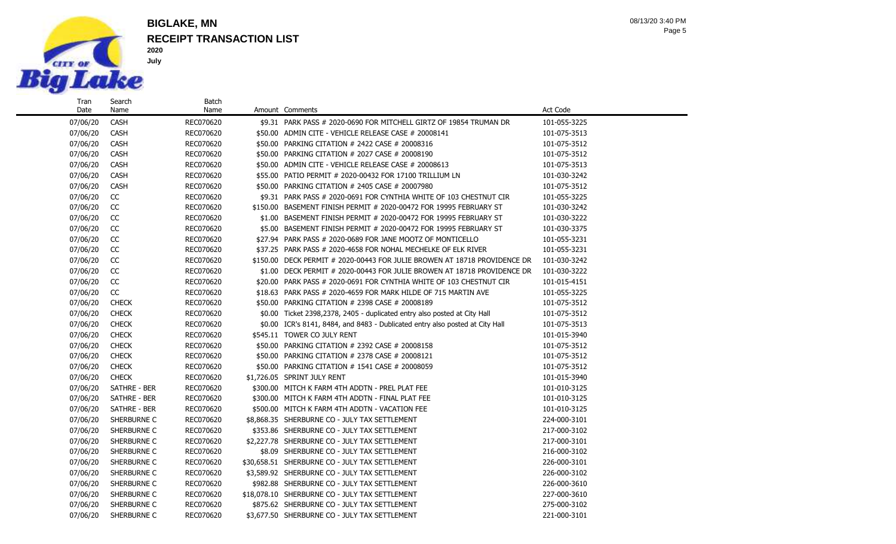

Search Name

### **RECEIPT TRANSACTION LIST BIGLAKE, MN**

Batch

Page 5 08/13/20 3:40 PM

07/06/20 CASH REC070620 \$9.31 PARK PASS # 2020-0690 FOR MITCHELL GIRTZ OF 19854 TRUMAN DR 101-055-3225 07/06/20 CASH REC070620 \$50.00 ADMIN CITE - VEHICLE RELEASE CASE # 20008141 101-075-3513 07/06/20 CASH REC070620 \$50.00 PARKING CITATION # 2422 CASE # 20008316 101-075-3512 07/06/20 CASH REC070620 \$50.00 PARKING CITATION # 2027 CASE # 20008190 101-075-3512 07/06/20 CASH REC070620 \$50.00 ADMIN CITE - VEHICLE RELEASE CASE # 20008613 101-075-3513 07/06/20 CASH REC070620 \$55.00 PATIO PERMIT # 2020-00432 FOR 17100 TRILLIUM LN 101-030-3242 07/06/20 CASH REC070620 \$50.00 PARKING CITATION # 2405 CASE # 20007980 101-075-3512 07/06/20 CC REC070620 \$9.31 PARK PASS # 2020-0691 FOR CYNTHIA WHITE OF 103 CHESTNUT CIR 101-055-3225 07/06/20 CC REC070620 \$150.00 BASEMENT FINISH PERMIT # 2020-00472 FOR 19995 FEBRUARY ST 101-030-3242 07/06/20 CC REC070620 \$1.00 BASEMENT FINISH PERMIT # 2020-00472 FOR 19995 FEBRUARY ST 101-030-3222 07/06/20 CC REC070620 \$5.00 BASEMENT FINISH PERMIT # 2020-00472 FOR 19995 FEBRUARY ST 101-030-3375 07/06/20 CC REC070620 \$27.94 PARK PASS # 2020-0689 FOR JANE MOOTZ OF MONTICELLO 101-055-3231 07/06/20 CC REC070620 \$37.25 PARK PASS # 2020-4658 FOR NOHAL MECHELKE OF ELK RIVER 101-055-3231 07/06/20 CC REC070620 \$150.00 DECK PERMIT # 2020-00443 FOR JULIE BROWEN AT 18718 PROVIDENCE DR 101-030-3242 07/06/20 CC REC070620 \$1.00 DECK PERMIT # 2020-00443 FOR JULIE BROWEN AT 18718 PROVIDENCE DR 101-030-3222 07/06/20 CC REC070620 \$20.00 PARK PASS # 2020-0691 FOR CYNTHIA WHITE OF 103 CHESTNUT CIR 101-015-4151 07/06/20 CC REC070620 \$18.63 PARK PASS # 2020-4659 FOR MARK HILDE OF 715 MARTIN AVE 101-055-3225 07/06/20 CHECK REC070620 \$50.00 PARKING CITATION # 2398 CASE # 20008189 101-075-3512 07/06/20 CHECK REC070620 \$0.00 Ticket 2398,2378, 2405 - duplicated entry also posted at City Hall 101-075-3512 07/06/20 CHECK REC070620 \$0.00 ICR's 8141, 8484, and 8483 - Dublicated entry also posted at City Hall 101-075-3513 07/06/20 CHECK REC070620 \$545.11 TOWER CO JULY RENT NOT CHECORY 101-015-3940 07/06/20 CHECK REC070620 \$50.00 PARKING CITATION # 2392 CASE # 20008158 101-075-3512 07/06/20 CHECK REC070620 \$50.00 PARKING CITATION # 2378 CASE # 20008121 101-075-3512 07/06/20 CHECK REC070620 \$50.00 PARKING CITATION # 1541 CASE # 20008059 101-075-3512 07/06/20 CHECK REC070620 \$1,726.05 SPRINT JULY RENT 101-015-3940 101-015-3940 07/06/20 SATHRE - BER REC070620 \$300.00 MITCH K FARM 4TH ADDTN - PREL PLAT FEE 10100000 101-010-3125 07/06/20 SATHRE - BER REC070620 \$300.00 MITCH K FARM 4TH ADDTN - FINAL PLAT FEE 10100000 101-010-3125 07/06/20 SATHRE - BER REC070620 \$500.00 MITCH K FARM 4TH ADDTN - VACATION FEE 101-010-3125 07/06/20 SHERBURNE C REC070620 \$8,868.35 SHERBURNE CO - JULY TAX SETTLEMENT 224-000-3101 07/06/20 SHERBURNE C REC070620 \$353.86 SHERBURNE CO - JULY TAX SETTLEMENT 217-000-3102 07/06/20 SHERBURNE C REC070620 \$2,227.78 SHERBURNE CO - JULY TAX SETTLEMENT 217-000-3101 07/06/20 SHERBURNE C REC070620 \$8.09 SHERBURNE CO - JULY TAX SETTLEMENT 216-000-3102 07/06/20 SHERBURNE C REC070620 \$30,658.51 SHERBURNE CO - JULY TAX SETTLEMENT 226-000-3101 07/06/20 SHERBURNE C REC070620 \$3,589.92 SHERBURNE CO - JULY TAX SETTLEMENT 226-000-3102 07/06/20 SHERBURNE C REC070620 \$982.88 SHERBURNE CO - JULY TAX SETTLEMENT 226-000-3610 07/06/20 SHERBURNE C REC070620 \$18,078.10 SHERBURNE CO - JULY TAX SETTLEMENT 227-000-3610 07/06/20 SHERBURNE C REC070620 \$875.62 SHERBURNE CO - JULY TAX SETTLEMENT 275-000-3102

07/06/20 SHERBURNE C REC070620 \$3,677.50 SHERBURNE CO - JULY TAX SETTLEMENT 221-000-3101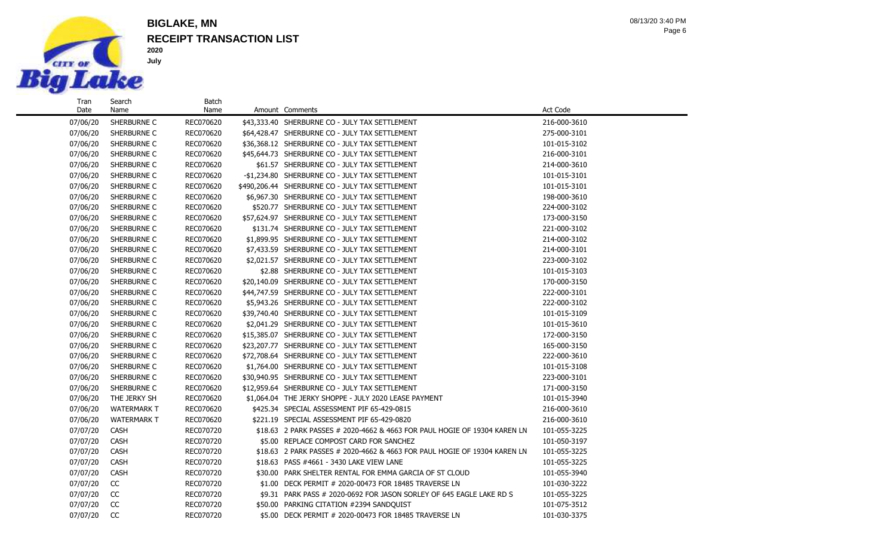

Date

Name

## **RECEIPT TRANSACTION LIST BIGLAKE, MN**

Batch<br>Name

Page 6 08/13/20 3:40 PM

| 07/06/20 | SHERBURNE C        | REC070620 | \$43,333.40 SHERBURNE CO - JULY TAX SETTLEMENT                            | 216-000-3610 |
|----------|--------------------|-----------|---------------------------------------------------------------------------|--------------|
| 07/06/20 | SHERBURNE C        | REC070620 | \$64,428.47 SHERBURNE CO - JULY TAX SETTLEMENT                            | 275-000-3101 |
| 07/06/20 | SHERBURNE C        | REC070620 | \$36,368.12 SHERBURNE CO - JULY TAX SETTLEMENT                            | 101-015-3102 |
| 07/06/20 | SHERBURNE C        | REC070620 | \$45,644.73 SHERBURNE CO - JULY TAX SETTLEMENT                            | 216-000-3101 |
| 07/06/20 | SHERBURNE C        | REC070620 | \$61.57 SHERBURNE CO - JULY TAX SETTLEMENT                                | 214-000-3610 |
| 07/06/20 | SHERBURNE C        | REC070620 | -\$1,234.80 SHERBURNE CO - JULY TAX SETTLEMENT                            | 101-015-3101 |
| 07/06/20 | SHERBURNE C        | REC070620 | \$490,206.44 SHERBURNE CO - JULY TAX SETTLEMENT                           | 101-015-3101 |
| 07/06/20 | SHERBURNE C        | REC070620 | \$6,967.30 SHERBURNE CO - JULY TAX SETTLEMENT                             | 198-000-3610 |
| 07/06/20 | SHERBURNE C        | REC070620 | \$520.77 SHERBURNE CO - JULY TAX SETTLEMENT                               | 224-000-3102 |
| 07/06/20 | SHERBURNE C        | REC070620 | \$57,624.97 SHERBURNE CO - JULY TAX SETTLEMENT                            | 173-000-3150 |
| 07/06/20 | SHERBURNE C        | REC070620 | \$131.74 SHERBURNE CO - JULY TAX SETTLEMENT                               | 221-000-3102 |
| 07/06/20 | SHERBURNE C        | REC070620 | \$1,899.95 SHERBURNE CO - JULY TAX SETTLEMENT                             | 214-000-3102 |
| 07/06/20 | SHERBURNE C        | REC070620 | \$7,433.59 SHERBURNE CO - JULY TAX SETTLEMENT                             | 214-000-3101 |
| 07/06/20 | SHERBURNE C        | REC070620 | \$2,021.57 SHERBURNE CO - JULY TAX SETTLEMENT                             | 223-000-3102 |
| 07/06/20 | SHERBURNE C        | REC070620 | \$2.88 SHERBURNE CO - JULY TAX SETTLEMENT                                 | 101-015-3103 |
| 07/06/20 | SHERBURNE C        | REC070620 | \$20,140.09 SHERBURNE CO - JULY TAX SETTLEMENT                            | 170-000-3150 |
| 07/06/20 | SHERBURNE C        | REC070620 | \$44,747.59 SHERBURNE CO - JULY TAX SETTLEMENT                            | 222-000-3101 |
| 07/06/20 | SHERBURNE C        | REC070620 | \$5,943.26 SHERBURNE CO - JULY TAX SETTLEMENT                             | 222-000-3102 |
| 07/06/20 | SHERBURNE C        | REC070620 | \$39,740.40 SHERBURNE CO - JULY TAX SETTLEMENT                            | 101-015-3109 |
| 07/06/20 | SHERBURNE C        | REC070620 | \$2,041.29 SHERBURNE CO - JULY TAX SETTLEMENT                             | 101-015-3610 |
| 07/06/20 | SHERBURNE C        | REC070620 | \$15,385.07 SHERBURNE CO - JULY TAX SETTLEMENT                            | 172-000-3150 |
| 07/06/20 | SHERBURNE C        | REC070620 | \$23,207.77 SHERBURNE CO - JULY TAX SETTLEMENT                            | 165-000-3150 |
| 07/06/20 | SHERBURNE C        | REC070620 | \$72,708.64 SHERBURNE CO - JULY TAX SETTLEMENT                            | 222-000-3610 |
| 07/06/20 | SHERBURNE C        | REC070620 | \$1,764.00 SHERBURNE CO - JULY TAX SETTLEMENT                             | 101-015-3108 |
| 07/06/20 | SHERBURNE C        | REC070620 | \$30,940.95 SHERBURNE CO - JULY TAX SETTLEMENT                            | 223-000-3101 |
| 07/06/20 | SHERBURNE C        | REC070620 | \$12,959.64 SHERBURNE CO - JULY TAX SETTLEMENT                            | 171-000-3150 |
| 07/06/20 | THE JERKY SH       | REC070620 | \$1,064.04 THE JERKY SHOPPE - JULY 2020 LEASE PAYMENT                     | 101-015-3940 |
| 07/06/20 | <b>WATERMARK T</b> | REC070620 | \$425.34 SPECIAL ASSESSMENT PIF 65-429-0815                               | 216-000-3610 |
| 07/06/20 | <b>WATERMARK T</b> | REC070620 | \$221.19 SPECIAL ASSESSMENT PIF 65-429-0820                               | 216-000-3610 |
| 07/07/20 | <b>CASH</b>        | REC070720 | \$18.63 2 PARK PASSES # 2020-4662 & 4663 FOR PAUL HOGIE OF 19304 KAREN LN | 101-055-3225 |
| 07/07/20 | <b>CASH</b>        | REC070720 | \$5.00 REPLACE COMPOST CARD FOR SANCHEZ                                   | 101-050-3197 |
| 07/07/20 | <b>CASH</b>        | REC070720 | \$18.63 2 PARK PASSES # 2020-4662 & 4663 FOR PAUL HOGIE OF 19304 KAREN LN | 101-055-3225 |
| 07/07/20 | <b>CASH</b>        | REC070720 | \$18.63 PASS #4661 - 3430 LAKE VIEW LANE                                  | 101-055-3225 |
| 07/07/20 | <b>CASH</b>        | REC070720 | \$30.00 PARK SHELTER RENTAL FOR EMMA GARCIA OF ST CLOUD                   | 101-055-3940 |
| 07/07/20 | CC                 | REC070720 | \$1.00 DECK PERMIT # 2020-00473 FOR 18485 TRAVERSE LN                     | 101-030-3222 |
| 07/07/20 | CC                 | REC070720 | \$9.31 PARK PASS # 2020-0692 FOR JASON SORLEY OF 645 EAGLE LAKE RD S      | 101-055-3225 |
| 07/07/20 | <sub>CC</sub>      | REC070720 | \$50.00 PARKING CITATION #2394 SANDOUIST                                  | 101-075-3512 |
| 07/07/20 | CC                 | REC070720 | \$5.00 DECK PERMIT # 2020-00473 FOR 18485 TRAVERSE LN                     | 101-030-3375 |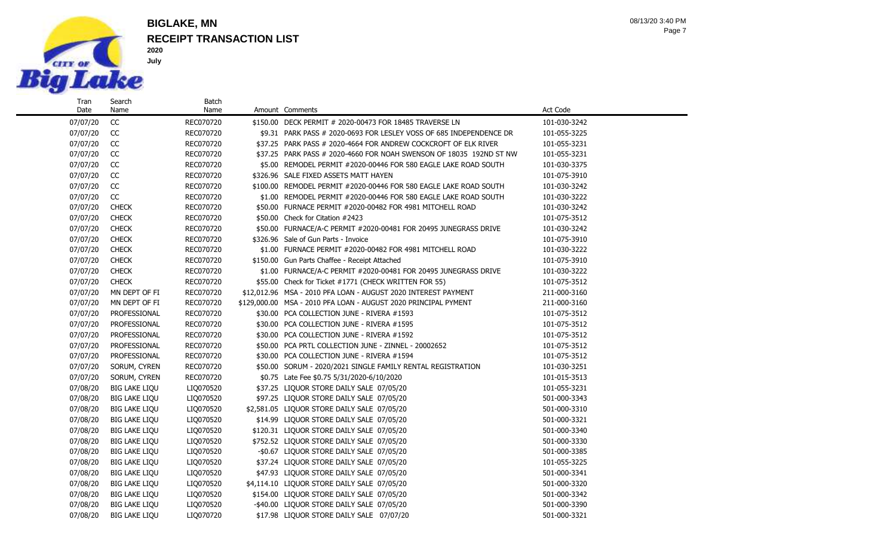

Name

### **RECEIPT TRANSACTION LIST BIGLAKE, MN**

Batch

Page 7 08/13/20 3:40 PM

07/07/20 CC REC070720 \$150.00 DECK PERMIT # 2020-00473 FOR 18485 TRAVERSE LN 101-030-3242 07/07/20 CC REC070720 \$9.31 PARK PASS # 2020-0693 FOR LESLEY VOSS OF 685 INDEPENDENCE DR 101-055-3225 07/07/20 CC REC070720 \$37.25 PARK PASS # 2020-4664 FOR ANDREW COCKCROFT OF ELK RIVER 101-055-3231 07/07/20 CC REC070720 \$37.25 PARK PASS # 2020-4660 FOR NOAH SWENSON OF 18035 192ND ST NW 101-055-3231 07/07/20 CC REC070720 \$5.00 REMODEL PERMIT #2020-00446 FOR 580 EAGLE LAKE ROAD SOUTH 101-030-3375 07/07/20 CC REC070720 \$326.96 SALE FIXED ASSETS MATT HAYEN \$101-075-3910 07/07/20 CC REC070720 \$100.00 REMODEL PERMIT #2020-00446 FOR 580 EAGLE LAKE ROAD SOUTH 101-030-3242 07/07/20 CC REC070720 \$1.00 REMODEL PERMIT #2020-00446 FOR 580 EAGLE LAKE ROAD SOUTH 101-030-3222 07/07/20 CHECK REC070720 \$50.00 FURNACE PERMIT #2020-00482 FOR 4981 MITCHELL ROAD 101-030-3242 07/07/20 CHECK REC070720 \$50.00 Check for Citation #2423 101-075-3512 07/07/20 CHECK REC070720 \$50.00 FURNACE/A-C PERMIT #2020-00481 FOR 20495 JUNEGRASS DRIVE 101-030-3242 07/07/20 CHECK REC070720 \$326.96 Sale of Gun Parts - Invoice 101-075-3910 07/07/20 CHECK REC070720 \$1.00 FURNACE PERMIT #2020-00482 FOR 4981 MITCHELL ROAD 101-030-3222 07/07/20 CHECK REC070720 \$150.00 Gun Parts Chaffee - Receipt Attached 101-075-3910 07/07/20 CHECK REC070720 \$1.00 FURNACE/A-C PERMIT #2020-00481 FOR 20495 JUNEGRASS DRIVE 101-030-3222 07/07/20 CHECK REC070720 \$55.00 Check for Ticket #1771 (CHECK WRITTEN FOR 55) 101-075-3512 07/07/20 MN DEPT OF FI REC070720 \$12,012.96 MSA - 2010 PFA LOAN - AUGUST 2020 INTEREST PAYMENT 211-000-3160 07/07/20 MN DEPT OF FI REC070720 \$129,000.00 MSA - 2010 PFA LOAN - AUGUST 2020 PRINCIPAL PYMENT 211-000-3160 07/07/20 PROFESSIONAL REC070720 \$30.00 PCA COLLECTION JUNE - RIVERA #1593 101-075-3512 07/07/20 PROFESSIONAL REC070720 \$30.00 PCA COLLECTION JUNE - RIVERA #1595 101-075-3512 07/07/20 PROFESSIONAL REC070720 \$30.00 PCA COLLECTION JUNE - RIVERA #1592 101-075-3512 07/07/20 PROFESSIONAL REC070720 \$50.00 PCA PRTL COLLECTION JUNE - ZINNEL - 20002652 101-075-3512 07/07/20 PROFESSIONAL REC070720 \$30.00 PCA COLLECTION JUNE - RIVERA #1594 101-075-3512 07/07/20 SORUM, CYREN REC070720 \$50.00 SORUM - 2020/2021 SINGLE FAMILY RENTAL REGISTRATION 101-030-3251 07/07/20 SORUM, CYREN REC070720 \$0.75 Late Fee \$0.75 5/31/2020-6/10/2020 07/08/20 BIG LAKE LIQU LIQ070520 \$37.25 LIQUOR STORE DAILY SALE 07/05/20 101-055-3231 07/08/20 BIG LAKE LIQU LIQ070520 \$97.25 LIQUOR STORE DAILY SALE 07/05/20 501-000-3343 07/08/20 BIG LAKE LIQU LIQ070520 \$2,581.05 LIQUOR STORE DAILY SALE 07/05/20 501-000-3310 07/08/20 BIG LAKE LIQU LIQ070520 \$14.99 LIQUOR STORE DAILY SALE 07/05/20 501-000-3321 07/08/20 BIG LAKE LIQU LIQ070520 \$120.31 LIQUOR STORE DAILY SALE 07/05/20 501-000-3340 07/08/20 BIG LAKE LIQU LIQ070520 \$752.52 LIQUOR STORE DAILY SALE 07/05/20 501-000-3330 07/08/20 BIG LAKE LIQU LIQ070520 -\$0.67 LIQUOR STORE DAILY SALE 07/05/20 501-000-3385 07/08/20 BIG LAKE LIQU LIQ070520 \$37.24 LIQUOR STORE DAILY SALE 07/05/20 101-055-3225 07/08/20 BIG LAKE LIQU LIQ070520 \$47.93 LIQUOR STORE DAILY SALE 07/05/20 501-000-3341 07/08/20 BIG LAKE LIQU LIQ070520 \$4,114.10 LIQUOR STORE DAILY SALE 07/05/20 501-000-3320 07/08/20 BIG LAKE LIQU LIQ070520 \$154.00 LIQUOR STORE DAILY SALE 07/05/20 501-000-3342

07/08/20 BIG LAKE LIQU LIQ070520 -\$40.00 LIQUOR STORE DAILY SALE 07/05/20 501-000-3390 07/08/20 BIG LAKE LIQU LIQ070720 \$17.98 LIQUOR STORE DAILY SALE 07/07/20 501-000-3321

Name Amount Comments **Amount Comments** Act Code **Act Code**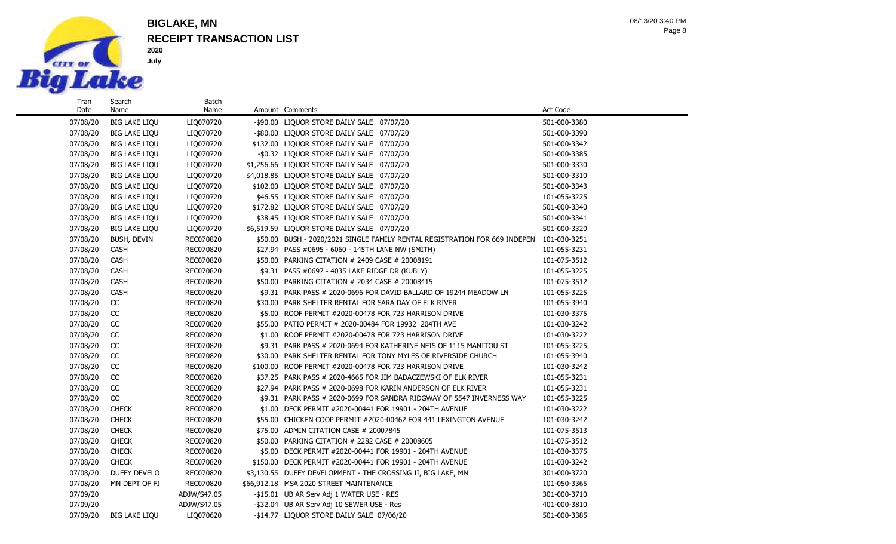

Search Name

#### **RECEIPT TRANSACTION LIST BIGLAKE, MN**

Batch<br>Name

07/08/20 BIG LAKE LIQU LIQ070720 -\$90.00 LIQUOR STORE DAILY SALE 07/07/20 501-000-3380 07/08/20 BIG LAKE LIQU LIQ070720 -\$80.00 LIQUOR STORE DAILY SALE 07/07/20 501-000-3390 07/08/20 BIG LAKE LIQU LIQ070720 \$132.00 LIQUOR STORE DAILY SALE 07/07/20 501-000-3342 07/08/20 BIG LAKE LIQU LIQ070720 -\$0.32 LIQUOR STORE DAILY SALE 07/07/20 501-000-3385 07/08/20 BIG LAKE LIQU LIQ070720 \$1,256.66 LIQUOR STORE DAILY SALE 07/07/20 501-000-3330 07/08/20 BIG LAKE LIQU LIQ070720 \$4,018.85 LIQUOR STORE DAILY SALE 07/07/20 501-000-3310 07/08/20 BIG LAKE LIQU LIQ070720 \$102.00 LIQUOR STORE DAILY SALE 07/07/20 501-000-3343 07/08/20 BIG LAKE LIQU LIQ070720 \$46.55 LIQUOR STORE DAILY SALE 07/07/20 101-055-3225 07/08/20 BIG LAKE LIQU LIQ070720 \$172.82 LIQUOR STORE DAILY SALE 07/07/20 501-000-3340 07/08/20 BIG LAKE LIQU LIQ070720 \$38.45 LIQUOR STORE DAILY SALE 07/07/20 501-000-3341 07/08/20 BIG LAKE LIQU LIQ070720 \$6,519.59 LIQUOR STORE DAILY SALE 07/07/20 501-000-3320 07/08/20 BUSH, DEVIN REC070820 \$50.00 BUSH - 2020/2021 SINGLE FAMILY RENTAL REGISTRATION FOR 669 INDEPEN 101-030-3251 07/08/20 CASH REC070820 \$27.94 PASS #0695 - 6060 - 145TH LANE NW (SMITH) 101-055-3231 07/08/20 CASH REC070820 \$50.00 PARKING CITATION # 2409 CASE # 20008191 101-075-3512 07/08/20 CASH REC070820 \$9.31 PASS #0697 - 4035 LAKE RIDGE DR (KUBLY) 101-055-3225 07/08/20 CASH REC070820 \$50.00 PARKING CITATION # 2034 CASE # 20008415 101-075-3512 07/08/20 CASH REC070820 \$9.31 PARK PASS # 2020-0696 FOR DAVID BALLARD OF 19244 MEADOW LN 101-055-3225 07/08/20 CC REC070820 \$30.00 PARK SHELTER RENTAL FOR SARA DAY OF ELK RIVER 101-055-3940 07/08/20 CC REC070820 \$5.00 ROOF PERMIT #2020-00478 FOR 723 HARRISON DRIVE 101-030-3375 07/08/20 CC REC070820 \$55.00 PATIO PERMIT # 2020-00484 FOR 19932 204TH AVE 101-030-3242 07/08/20 CC REC070820 \$1.00 ROOF PERMIT #2020-00478 FOR 723 HARRISON DRIVE 101-030-3222 07/08/20 CC REC070820 \$9.31 PARK PASS # 2020-0694 FOR KATHERINE NEIS OF 1115 MANITOU ST 101-055-3225 07/08/20 CC REC070820 \$30.00 PARK SHELTER RENTAL FOR TONY MYLES OF RIVERSIDE CHURCH 101-055-3940 07/08/20 CC REC070820 \$100.00 ROOF PERMIT #2020-00478 FOR 723 HARRISON DRIVE 101-030-3242 07/08/20 CC REC070820 \$37.25 PARK PASS # 2020-4665 FOR JIM BADACZEWSKI OF ELK RIVER 101-055-3231 07/08/20 CC REC070820 \$27.94 PARK PASS # 2020-0698 FOR KARIN ANDERSON OF ELK RIVER 101-055-3231 07/08/20 CC REC070820 \$9.31 PARK PASS # 2020-0699 FOR SANDRA RIDGWAY OF 5547 INVERNESS WAY 101-055-3225 07/08/20 CHECK REC070820 \$1.00 DECK PERMIT #2020-00441 FOR 19901 - 204TH AVENUE 101-030-3222 07/08/20 CHECK REC070820 \$55.00 CHICKEN COOP PERMIT #2020-00462 FOR 441 LEXINGTON AVENUE 101-030-3242 07/08/20 CHECK REC070820 \$75.00 ADMIN CITATION CASE # 20007845 101-075-3513 07/08/20 CHECK REC070820 \$50.00 PARKING CITATION # 2282 CASE # 20008605 101-075-3512 07/08/20 CHECK RECO70820 \$5.00 DECK PERMIT #2020-00441 FOR 19901 - 204TH AVENUE 101-030-3375 07/08/20 CHECK RECO70820 \$150.00 DECK PERMIT #2020-00441 FOR 19901 - 204TH AVENUE 101-030-3242 07/08/20 DUFFY DEVELO REC070820 \$3,130.55 DUFFY DEVELOPMENT - THE CROSSING II, BIG LAKE, MN 301-000-3720 07/08/20 MN DEPT OF FI REC070820 \$66,912.18 MSA 2020 STREET MAINTENANCE 101-050-3365 07/09/20 ADJW/S47.05 -\$15.01 UB AR Serv Adj 1 WATER USE - RES 301-000-3710

07/09/20 ADJW/S47.05 -\$32.04 UB AR Serv Adj 10 SEWER USE - Res 401-000-3810 07/09/20 BIG LAKE LIQU LIQ070620 -\$14.77 LIQUOR STORE DAILY SALE 07/06/20 501-000-3385

Amount Comments **Amount Comments** Act Code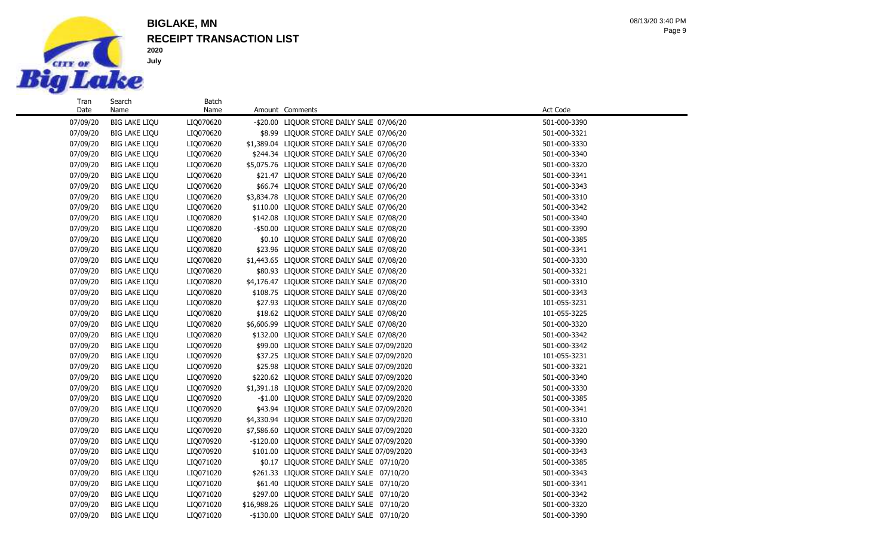

Search Name

#### **RECEIPT TRANSACTION LIST BIGLAKE, MN**

Batch<br>Name

Page 9 08/13/20 3:40 PM

#### 07/09/20 BIG LAKE LIQU LIQ070620 -\$20.00 LIQUOR STORE DAILY SALE 07/06/20 501-000-3390 07/09/20 BIG LAKE LIQU LIQ070620 \$8.99 LIQUOR STORE DAILY SALE 07/06/20 501-000-3321 07/09/20 BIG LAKE LIQU LIQ070620 \$1,389.04 LIQUOR STORE DAILY SALE 07/06/20 501-000-3330 07/09/20 BIG LAKE LIQU LIQ070620 \$244.34 LIQUOR STORE DAILY SALE 07/06/20 501-000-3340 07/09/20 BIG LAKE LIQU LIQ070620 \$5,075.76 LIQUOR STORE DAILY SALE 07/06/20 501-000-3320 07/09/20 BIG LAKE LIQU LIQ070620 \$21.47 LIQUOR STORE DAILY SALE 07/06/20 501-000-3341 07/09/20 BIG LAKE LIQU LIQ070620 \$66.74 LIQUOR STORE DAILY SALE 07/06/20 501-000-3343 07/09/20 BIG LAKE LIQU LIQ070620 \$3,834.78 LIQUOR STORE DAILY SALE 07/06/20 501-000-3310 07/09/20 BIG LAKE LIQU LIQ070620 \$110.00 LIQUOR STORE DAILY SALE 07/06/20 501-000-3342 07/09/20 BIG LAKE LIQU LIQ070820 \$142.08 LIQUOR STORE DAILY SALE 07/08/20 501-000-3340 07/09/20 BIG LAKE LIQU LIQ070820 - \$50.00 LIQUOR STORE DAILY SALE 07/08/20 501-000-3390 07/09/20 BIG LAKE LIQU LIQ070820 \$0.10 LIQUOR STORE DAILY SALE 07/08/20 501-000-3385 07/09/20 BIG LAKE LIQU LIQ070820 \$23.96 LIQUOR STORE DAILY SALE 07/08/20 501-000-3341 07/09/20 BIG LAKE LIQU LIQ070820 \$1,443.65 LIQUOR STORE DAILY SALE 07/08/20 501-000-3330 07/09/20 BIG LAKE LIQU LIQ070820 \$80.93 LIQUOR STORE DAILY SALE 07/08/20 501-000-3321 07/09/20 BIG LAKE LIQU LIQ070820 \$4,176.47 LIQUOR STORE DAILY SALE 07/08/20 501-000-3310 07/09/20 BIG LAKE LIQU LIQ070820 \$108.75 LIQUOR STORE DAILY SALE 07/08/20 501-000-3343 07/09/20 BIG LAKE LIQU LIQ070820 \$27.93 LIQUOR STORE DAILY SALE 07/08/20 101-055-3231 07/09/20 BIG LAKE LIQU LIQ070820 \$18.62 LIQUOR STORE DAILY SALE 07/08/20 101-055-3225 07/09/20 BIG LAKE LIQU LIQ070820 \$6,606.99 LIQUOR STORE DAILY SALE 07/08/20 501-000-3320 07/09/20 BIG LAKE LIQU LIQ070820 \$132.00 LIQUOR STORE DAILY SALE 07/08/20 501-000-3342 07/09/20 BIG LAKE LIQU LIQ070920 \$99.00 LIQUOR STORE DAILY SALE 07/09/2020 501-000-3342 07/09/20 BIG LAKE LIQU LIQ070920 \$37.25 LIQUOR STORE DAILY SALE 07/09/2020 101-055-3231 101-055-3231 07/09/20 BIG LAKE LIQU LIQ070920 \$25.98 LIQUOR STORE DAILY SALE 07/09/2020 501-000-3321 07/09/20 BIG LAKE LIQU LIQ070920 \$220.62 LIQUOR STORE DAILY SALE 07/09/2020 501-000-3340 07/09/20 BIG LAKE LIQU LIQ070920 \$1,391.18 LIQUOR STORE DAILY SALE 07/09/2020 501-000-3330 07/09/20 BIG LAKE LIQU LIQ070920 -\$1.00 LIQUOR STORE DAILY SALE 07/09/2020 501-000-3385 07/09/20 BIG LAKE LIQU LIQ070920 \$43.94 LIQUOR STORE DAILY SALE 07/09/2020 501-000-3341 07/09/20 BIG LAKE LIQU LIQ070920 \$4,330.94 LIQUOR STORE DAILY SALE 07/09/2020 501-000-3310 07/09/20 BIG LAKE LIQU LIQ070920 \$7,586.60 LIQUOR STORE DAILY SALE 07/09/2020 501-000-3320 07/09/20 BIG LAKE LIQU LIQ070920 -\$120.00 LIQUOR STORE DAILY SALE 07/09/2020 501-000-3390 07/09/20 BIG LAKE LIQU LIQ070920 \$101.00 LIQUOR STORE DAILY SALE 07/09/2020 501-000-3343 07/09/20 BIG LAKE LIQU LIQ071020 \$0.17 LIQUOR STORE DAILY SALE 07/10/20 501-000-3385 07/09/20 BIG LAKE LIQU LIQ071020 \$261.33 LIQUOR STORE DAILY SALE 07/10/20 501-000-3343 07/09/20 BIG LAKE LIQU LIO071020 \$61.40 LIQUOR STORE DAILY SALE 07/10/20 501-000-3341 07/09/20 BIG LAKE LIQU LIQ071020 \$297.00 LIQUOR STORE DAILY SALE 07/10/20 501-000-3342 07/09/20 BIG LAKE LIQU LIQ071020 \$16,988.26 LIQUOR STORE DAILY SALE 07/10/20 501-000-3320 07/09/20 BIG LAKE LIQU LIQ071020 -\$130.00 LIQUOR STORE DAILY SALE 07/10/20 501-000-3390

Amount Comments **Amount Comments** Act Code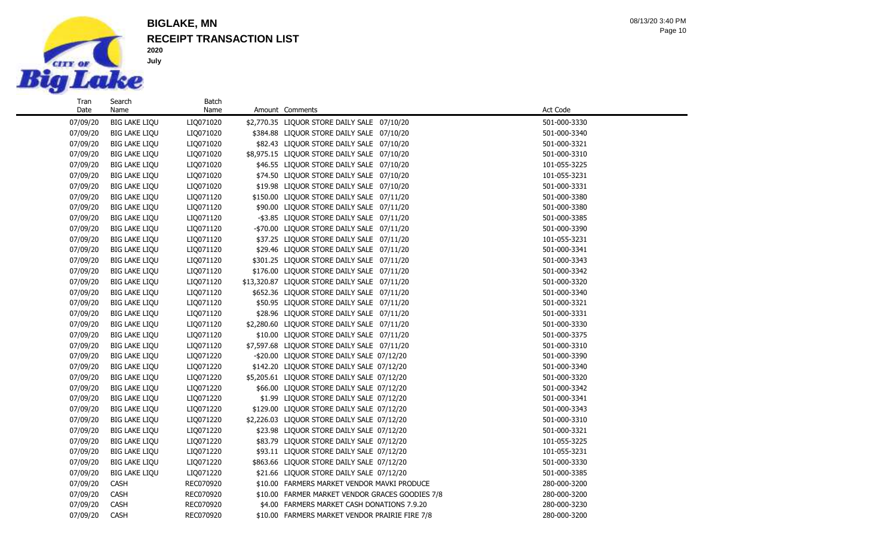

Search Name

**2020 July**

## **RECEIPT TRANSACTION LIST BIGLAKE, MN**

Batch<br>Name

Page 10 08/13/20 3:40 PM

| 07/09/20 | <b>BIG LAKE LIQU</b> | LIQ071020 | \$2,770.35 LIQUOR STORE DAILY SALE 07/10/20     | 501-000-3330 |
|----------|----------------------|-----------|-------------------------------------------------|--------------|
| 07/09/20 | <b>BIG LAKE LIQU</b> | LIQ071020 | \$384.88 LIQUOR STORE DAILY SALE 07/10/20       | 501-000-3340 |
| 07/09/20 | <b>BIG LAKE LIQU</b> | LIQ071020 | \$82.43 LIQUOR STORE DAILY SALE 07/10/20        | 501-000-3321 |
| 07/09/20 | <b>BIG LAKE LIQU</b> | LIQ071020 | \$8,975.15 LIQUOR STORE DAILY SALE 07/10/20     | 501-000-3310 |
| 07/09/20 | <b>BIG LAKE LIQU</b> | LIQ071020 | \$46.55 LIQUOR STORE DAILY SALE 07/10/20        | 101-055-3225 |
| 07/09/20 | <b>BIG LAKE LIQU</b> | LIQ071020 | \$74.50 LIQUOR STORE DAILY SALE 07/10/20        | 101-055-3231 |
| 07/09/20 | <b>BIG LAKE LIQU</b> | LIQ071020 | \$19.98 LIQUOR STORE DAILY SALE 07/10/20        | 501-000-3331 |
| 07/09/20 | <b>BIG LAKE LIQU</b> | LIQ071120 | \$150.00 LIQUOR STORE DAILY SALE 07/11/20       | 501-000-3380 |
| 07/09/20 | <b>BIG LAKE LIQU</b> | LIQ071120 | \$90.00 LIQUOR STORE DAILY SALE 07/11/20        | 501-000-3380 |
| 07/09/20 | <b>BIG LAKE LIQU</b> | LIQ071120 | -\$3.85 LIQUOR STORE DAILY SALE 07/11/20        | 501-000-3385 |
| 07/09/20 | <b>BIG LAKE LIQU</b> | LIQ071120 | -\$70.00 LIQUOR STORE DAILY SALE 07/11/20       | 501-000-3390 |
| 07/09/20 | <b>BIG LAKE LIQU</b> | LIQ071120 | \$37.25 LIQUOR STORE DAILY SALE 07/11/20        | 101-055-3231 |
| 07/09/20 | <b>BIG LAKE LIQU</b> | LIQ071120 | \$29.46 LIQUOR STORE DAILY SALE 07/11/20        | 501-000-3341 |
| 07/09/20 | <b>BIG LAKE LIQU</b> | LIQ071120 | \$301.25 LIQUOR STORE DAILY SALE 07/11/20       | 501-000-3343 |
| 07/09/20 | <b>BIG LAKE LIQU</b> | LIQ071120 | \$176.00 LIQUOR STORE DAILY SALE 07/11/20       | 501-000-3342 |
| 07/09/20 | <b>BIG LAKE LIQU</b> | LIQ071120 | \$13,320.87 LIQUOR STORE DAILY SALE 07/11/20    | 501-000-3320 |
| 07/09/20 | <b>BIG LAKE LIQU</b> | LIQ071120 | \$652.36 LIQUOR STORE DAILY SALE 07/11/20       | 501-000-3340 |
| 07/09/20 | <b>BIG LAKE LIQU</b> | LIQ071120 | \$50.95 LIQUOR STORE DAILY SALE 07/11/20        | 501-000-3321 |
| 07/09/20 | <b>BIG LAKE LIQU</b> | LIQ071120 | \$28.96 LIQUOR STORE DAILY SALE 07/11/20        | 501-000-3331 |
| 07/09/20 | <b>BIG LAKE LIQU</b> | LIQ071120 | \$2,280.60 LIQUOR STORE DAILY SALE 07/11/20     | 501-000-3330 |
| 07/09/20 | <b>BIG LAKE LIQU</b> | LIQ071120 | \$10.00 LIQUOR STORE DAILY SALE 07/11/20        | 501-000-3375 |
| 07/09/20 | <b>BIG LAKE LIQU</b> | LIQ071120 | \$7,597.68 LIQUOR STORE DAILY SALE 07/11/20     | 501-000-3310 |
| 07/09/20 | <b>BIG LAKE LIQU</b> | LIQ071220 | -\$20.00 LIQUOR STORE DAILY SALE 07/12/20       | 501-000-3390 |
| 07/09/20 | <b>BIG LAKE LIQU</b> | LIQ071220 | \$142.20 LIQUOR STORE DAILY SALE 07/12/20       | 501-000-3340 |
| 07/09/20 | <b>BIG LAKE LIQU</b> | LIQ071220 | \$5,205.61 LIQUOR STORE DAILY SALE 07/12/20     | 501-000-3320 |
| 07/09/20 | <b>BIG LAKE LIQU</b> | LIQ071220 | \$66.00 LIQUOR STORE DAILY SALE 07/12/20        | 501-000-3342 |
| 07/09/20 | <b>BIG LAKE LIQU</b> | LIQ071220 | \$1.99 LIQUOR STORE DAILY SALE 07/12/20         | 501-000-3341 |
| 07/09/20 | <b>BIG LAKE LIQU</b> | LIQ071220 | \$129.00 LIQUOR STORE DAILY SALE 07/12/20       | 501-000-3343 |
| 07/09/20 | <b>BIG LAKE LIQU</b> | LIQ071220 | \$2,226.03 LIQUOR STORE DAILY SALE 07/12/20     | 501-000-3310 |
| 07/09/20 | <b>BIG LAKE LIQU</b> | LIQ071220 | \$23.98 LIQUOR STORE DAILY SALE 07/12/20        | 501-000-3321 |
| 07/09/20 | <b>BIG LAKE LIQU</b> | LIQ071220 | \$83.79 LIQUOR STORE DAILY SALE 07/12/20        | 101-055-3225 |
| 07/09/20 | <b>BIG LAKE LIQU</b> | LIQ071220 | \$93.11 LIQUOR STORE DAILY SALE 07/12/20        | 101-055-3231 |
| 07/09/20 | <b>BIG LAKE LIQU</b> | LIQ071220 | \$863.66 LIQUOR STORE DAILY SALE 07/12/20       | 501-000-3330 |
| 07/09/20 | <b>BIG LAKE LIQU</b> | LIQ071220 | \$21.66 LIQUOR STORE DAILY SALE 07/12/20        | 501-000-3385 |
| 07/09/20 | <b>CASH</b>          | REC070920 | \$10.00 FARMERS MARKET VENDOR MAVKI PRODUCE     | 280-000-3200 |
| 07/09/20 | <b>CASH</b>          | REC070920 | \$10.00 FARMER MARKET VENDOR GRACES GOODIES 7/8 | 280-000-3200 |
| 07/09/20 | CASH                 | REC070920 | \$4.00 FARMERS MARKET CASH DONATIONS 7.9.20     | 280-000-3230 |
| 07/09/20 | <b>CASH</b>          | REC070920 | \$10.00 FARMERS MARKET VENDOR PRAIRIE FIRE 7/8  | 280-000-3200 |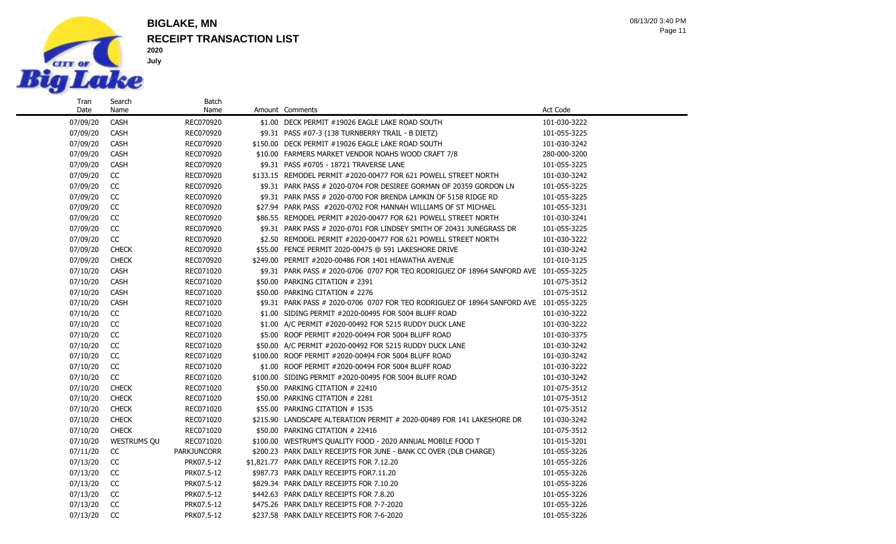

Search Name

### **RECEIPT TRANSACTION LIST BIGLAKE, MN**

Batch

Page 11 08/13/20 3:40 PM

07/09/20 CASH REC070920 \$1.00 DECK PERMIT #19026 EAGLE LAKE ROAD SOUTH 101-030-3222 07/09/20 CASH REC070920 \$9.31 PASS #07-3 (138 TURNBERRY TRAIL - B DIETZ) 101-055-3225 07/09/20 CASH REC070920 \$150.00 DECK PERMIT #19026 EAGLE LAKE ROAD SOUTH 101-030-3242 07/09/20 CASH REC070920 \$10.00 FARMERS MARKET VENDOR NOAHS WOOD CRAFT 7/8 280-000-3200 07/09/20 CASH REC070920 \$9.31 PASS #0705 - 18721 TRAVERSE LANE 101-055-3225 07/09/20 CC REC070920 \$133.15 REMODEL PERMIT #2020-00477 FOR 621 POWELL STREET NORTH 101-030-3242 07/09/20 CC REC070920 \$9.31 PARK PASS # 2020-0704 FOR DESIREE GORMAN OF 20359 GORDON LN 101-055-3225 07/09/20 CC REC070920 \$9.31 PARK PASS # 2020-0700 FOR BRENDA LAMKIN OF 5158 RIDGE RD 101-055-3225 07/09/20 CC REC070920 \$27.94 PARK PASS #2020-0702 FOR HANNAH WILLIAMS OF ST MICHAEL 101-055-3231 07/09/20 CC REC070920 \$86.55 REMODEL PERMIT #2020-00477 FOR 621 POWELL STREET NORTH 101-030-3241 07/09/20 CC REC070920 \$9.31 PARK PASS # 2020-0701 FOR LINDSEY SMITH OF 20431 JUNEGRASS DR 101-055-3225 07/09/20 CC REC070920 \$2.50 REMODEL PERMIT #2020-00477 FOR 621 POWELL STREET NORTH 101-030-3222 07/09/20 CHECK REC070920 \$55.00 FENCE PERMIT 2020-00475 @ 591 LAKESHORE DRIVE 101-030-3242 07/09/20 CHECK REC070920 \$249.00 PERMIT #2020-00486 FOR 1401 HIAWATHA AVENUE 101-010-3125 07/10/20 CASH REC071020 \$9.31 PARK PASS # 2020-0706 0707 FOR TEO RODRIGUEZ OF 18964 SANFORD AVE 101-055-3225 07/10/20 CASH REC071020 \$50.00 PARKING CITATION # 2391 101-075-3512 07/10/20 CASH REC071020 \$50.00 PARKING CITATION # 2276 101-075-3512 07/10/20 CASH REC071020 \$9.31 PARK PASS # 2020-0706 0707 FOR TEO RODRIGUEZ OF 18964 SANFORD AVE 101-055-3225 07/10/20 CC REC071020 \$1.00 SIDING PERMIT #2020-00495 FOR 5004 BLUFF ROAD 101-030-3222 07/10/20 CC REC071020 \$1.00 A/C PERMIT #2020-00492 FOR 5215 RUDDY DUCK LANE 101-030-3222 07/10/20 CC REC071020 \$5.00 ROOF PERMIT #2020-00494 FOR 5004 BLUFF ROAD 101-030-3375 07/10/20 CC REC071020 \$50.00 A/C PERMIT #2020-00492 FOR 5215 RUDDY DUCK LANE 101-030-3242 07/10/20 CC REC071020 \$100.00 ROOF PERMIT #2020-00494 FOR 5004 BLUFF ROAD 101-030-3242 07/10/20 CC REC071020 \$1.00 ROOF PERMIT #2020-00494 FOR 5004 BLUFF ROAD 101-030-3222 07/10/20 CC REC071020 \$100.00 SIDING PERMIT #2020-00495 FOR 5004 BLUFF ROAD 101-030-3242 07/10/20 CHECK RECO71020 \$50.00 PARKING CITATION # 22410 101-075-3512 07/10/20 CHECK RECO71020 \$50.00 PARKING CITATION # 2281 101-075-3512 07/10/20 CHECK RECO71020 \$55.00 PARKING CITATION # 1535 101-075-3512 07/10/20 CHECK REC071020 \$215.90 LANDSCAPE ALTERATION PERMIT # 2020-00489 FOR 141 LAKESHORE DR 101-030-3242 07/10/20 CHECK REC071020 \$50.00 PARKING CITATION # 22416 101-075-3512 07/10/20 WESTRUMS QU REC071020 \$100.00 WESTRUM'S QUALITY FOOD - 2020 ANNUAL MOBILE FOOD T 101-015-3201 07/11/20 CC PARKJUNCORR \$200.23 PARK DAILY RECEIPTS FOR JUNE - BANK CC OVER (DLB CHARGE) 101-055-3226 07/13/20 CC PRK07.5-12 \$1,821.77 PARK DAILY RECEIPTS FOR 7.12.20 101-055-3226 07/13/20 CC PRK07.5-12 \$987.73 PARK DAILY RECEIPTS FOR7.11.20 101-055-3226 07/13/20 CC PRK07.5-12 \$829.34 PARK DAILY RECEIPTS FOR 7.10.20 101-055-3226 07/13/20 CC PRK07.5-12 \$442.63 PARK DAILY RECEIPTS FOR 7.8.20 101-055-3226 101-055-3226 07/13/20 CC PRK07.5-12 \$475.26 PARK DAILY RECEIPTS FOR 7-7-2020 101-055-3226

07/13/20 CC PRK07.5-12 \$237.58 PARK DAILY RECEIPTS FOR 7-6-2020 101-055-3226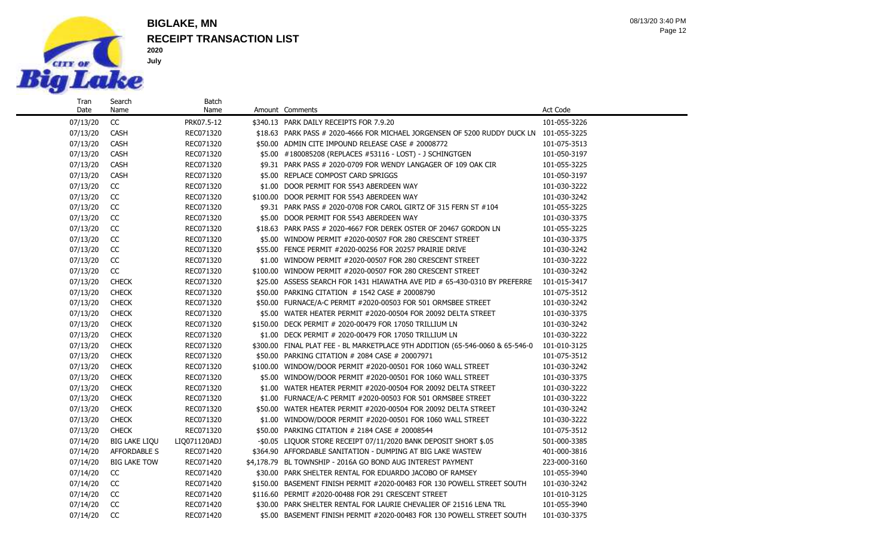

Search Name

#### **RECEIPT TRANSACTION LIST BIGLAKE, MN**

Batch

Page 12 08/13/20 3:40 PM

07/13/20 CC PRK07.5-12 \$340.13 PARK DAILY RECEIPTS FOR 7.9.20 101-055-3226 07/13/20 CASH REC071320 \$18.63 PARK PASS # 2020-4666 FOR MICHAEL JORGENSEN OF 5200 RUDDY DUCK LN 101-055-3225 07/13/20 CASH REC071320 \$50.00 ADMIN CITE IMPOUND RELEASE CASE # 20008772 101-075-3513 07/13/20 CASH REC071320 \$5.00 #180085208 (REPLACES #53116 - LOST) - J SCHINGTGEN 101-050-3197 07/13/20 CASH REC071320 \$9.31 PARK PASS # 2020-0709 FOR WENDY LANGAGER OF 109 OAK CIR 101-055-3225 07/13/20 CASH REC071320 \$5.00 REPLACE COMPOST CARD SPRIGGS 101-050-3197 07/13/20 CC REC071320 \$1.00 DOOR PERMIT FOR 5543 ABERDEEN WAY 101-030-3222 07/13/20 CC REC071320 \$100.00 DOOR PERMIT FOR 5543 ABERDEEN WAY 101-030-3242 07/13/20 CC REC071320 \$9.31 PARK PASS # 2020-0708 FOR CAROL GIRTZ OF 315 FERN ST #104 101-055-3225 07/13/20 CC REC071320 \$5.00 DOOR PERMIT FOR 5543 ABERDEEN WAY 101-030-3375 07/13/20 CC REC071320 \$18.63 PARK PASS # 2020-4667 FOR DEREK OSTER OF 20467 GORDON LN 101-055-3225 07/13/20 CC REC071320 \$5.00 WINDOW PERMIT #2020-00507 FOR 280 CRESCENT STREET 101-030-3375 07/13/20 CC REC071320 \$55.00 FENCE PERMIT #2020-00256 FOR 20257 PRAIRIE DRIVE 101-030-3242 07/13/20 CC REC071320 \$1.00 WINDOW PERMIT #2020-00507 FOR 280 CRESCENT STREET 101-030-3222 07/13/20 CC REC071320 \$100.00 WINDOW PERMIT #2020-00507 FOR 280 CRESCENT STREET 101-030-3242 07/13/20 CHECK REC071320 \$25.00 ASSESS SEARCH FOR 1431 HIAWATHA AVE PID # 65-430-0310 BY PREFERRE 101-015-3417 07/13/20 CHECK RECO71320 \$50.00 PARKING CITATION # 1542 CASE # 20008790 101-075-3512 07/13/20 CHECK RECO71320 \$50.00 FURNACE/A-C PERMIT #2020-00503 FOR 501 ORMSBEE STREET 101-030-3242 07/13/20 CHECK RECO71320 \$5.00 WATER HEATER PERMIT #2020-00504 FOR 20092 DELTA STREET 101-030-3375 07/13/20 CHECK REC071320 \$150.00 DECK PERMIT # 2020-00479 FOR 17050 TRILLIUM LN 101-030-3242 07/13/20 CHECK RECO71320 \$1.00 DECK PERMIT # 2020-00479 FOR 17050 TRILLIUM LN 101-030-3222 07/13/20 CHECK REC071320 \$300.00 FINAL PLAT FEE - BL MARKETPLACE 9TH ADDITION (65-546-0060 & 65-546-0 101-010-3125 07/13/20 CHECK REC071320 \$50.00 PARKING CITATION # 2084 CASE # 20007971 101-075-3512 07/13/20 CHECK REC071320 \$100.00 WINDOW/DOOR PERMIT #2020-00501 FOR 1060 WALL STREET 101-030-3242 07/13/20 CHECK REC071320 \$5.00 WINDOW/DOOR PERMIT #2020-00501 FOR 1060 WALL STREET 101-030-3375 07/13/20 CHECK REC071320 \$1.00 WATER HEATER PERMIT #2020-00504 FOR 20092 DELTA STREET 101-030-3222 07/13/20 CHECK REC071320 \$1.00 FURNACE/A-C PERMIT #2020-00503 FOR 501 ORMSBEE STREET 101-030-3222 07/13/20 CHECK REC071320 \$50.00 WATER HEATER PERMIT #2020-00504 FOR 20092 DELTA STREET 101-030-3242 07/13/20 CHECK REC071320 \$1.00 WINDOW/DOOR PERMIT #2020-00501 FOR 1060 WALL STREET 101-030-3222 07/13/20 CHECK REC071320 \$50.00 PARKING CITATION # 2184 CASE # 20008544 101-075-3512 07/14/20 BIG LAKE LIQU LIQ071120ADJ -\$0.05 LIQUOR STORE RECEIPT 07/11/2020 BANK DEPOSIT SHORT \$.05 501-000-3385 07/14/20 AFFORDABLE S REC071420 \$364.90 AFFORDABLE SANITATION - DUMPING AT BIG LAKE WASTEW 401-000-3816 07/14/20 BIG LAKE TOW REC071420 \$4,178.79 BL TOWNSHIP - 2016A GO BOND AUG INTEREST PAYMENT 223-000-3160 07/14/20 CC REC071420 \$30.00 PARK SHELTER RENTAL FOR EDUARDO JACOBO OF RAMSEY 101-055-3940 07/14/20 CC REC071420 \$150.00 BASEMENT FINISH PERMIT #2020-00483 FOR 130 POWELL STREET SOUTH 101-030-3242 07/14/20 CC REC071420 \$116.60 PERMIT #2020-00488 FOR 291 CRESCENT STREET 101-010-3125 07/14/20 CC REC071420 \$30.00 PARK SHELTER RENTAL FOR LAURIE CHEVALIER OF 21516 LENA TRL 101-055-3940

07/14/20 CC REC071420 \$5.00 BASEMENT FINISH PERMIT #2020-00483 FOR 130 POWELL STREET SOUTH 101-030-3375

Name Amount Comments **Amount Comments** Act Code **Act Code**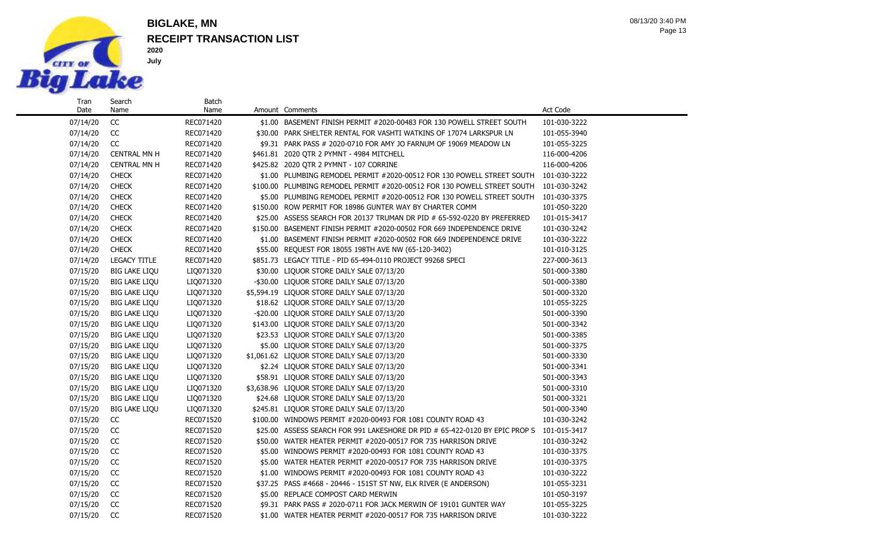

Date

Name

## **RECEIPT TRANSACTION LIST BIGLAKE, MN**

Batch<br>Name

Page 13 08/13/20 3:40 PM

| 07/14/20 | CC                   | REC071420 | \$1.00 BASEMENT FINISH PERMIT #2020-00483 FOR 130 POWELL STREET SOUTH                    | 101-030-3222 |
|----------|----------------------|-----------|------------------------------------------------------------------------------------------|--------------|
| 07/14/20 | CC                   | REC071420 | \$30.00 PARK SHELTER RENTAL FOR VASHTI WATKINS OF 17074 LARKSPUR LN                      | 101-055-3940 |
| 07/14/20 | CC                   | REC071420 | \$9.31 PARK PASS # 2020-0710 FOR AMY JO FARNUM OF 19069 MEADOW LN                        | 101-055-3225 |
| 07/14/20 | <b>CENTRAL MN H</b>  | REC071420 | \$461.81 2020 OTR 2 PYMNT - 4984 MITCHELL                                                | 116-000-4206 |
| 07/14/20 | <b>CENTRAL MN H</b>  | REC071420 | \$425.82 2020 QTR 2 PYMNT - 107 CORRINE                                                  | 116-000-4206 |
| 07/14/20 | <b>CHECK</b>         | REC071420 | \$1.00 PLUMBING REMODEL PERMIT #2020-00512 FOR 130 POWELL STREET SOUTH                   | 101-030-3222 |
| 07/14/20 | <b>CHECK</b>         | REC071420 | \$100.00 PLUMBING REMODEL PERMIT #2020-00512 FOR 130 POWELL STREET SOUTH                 | 101-030-3242 |
| 07/14/20 | <b>CHECK</b>         | REC071420 | \$5.00 PLUMBING REMODEL PERMIT #2020-00512 FOR 130 POWELL STREET SOUTH                   | 101-030-3375 |
| 07/14/20 | <b>CHECK</b>         | REC071420 | \$150.00 ROW PERMIT FOR 18986 GUNTER WAY BY CHARTER COMM                                 | 101-050-3220 |
| 07/14/20 | <b>CHECK</b>         | REC071420 | \$25.00 ASSESS SEARCH FOR 20137 TRUMAN DR PID # 65-592-0220 BY PREFERRED                 | 101-015-3417 |
| 07/14/20 | <b>CHECK</b>         | REC071420 | \$150.00 BASEMENT FINISH PERMIT #2020-00502 FOR 669 INDEPENDENCE DRIVE                   | 101-030-3242 |
| 07/14/20 | <b>CHECK</b>         | REC071420 | \$1.00 BASEMENT FINISH PERMIT #2020-00502 FOR 669 INDEPENDENCE DRIVE                     | 101-030-3222 |
| 07/14/20 | <b>CHECK</b>         | REC071420 | \$55.00 REQUEST FOR 18055 198TH AVE NW (65-120-3402)                                     | 101-010-3125 |
| 07/14/20 | <b>LEGACY TITLE</b>  | REC071420 | \$851.73 LEGACY TITLE - PID 65-494-0110 PROJECT 99268 SPECI                              | 227-000-3613 |
| 07/15/20 | <b>BIG LAKE LIQU</b> | LIQ071320 | \$30.00 LIQUOR STORE DAILY SALE 07/13/20                                                 | 501-000-3380 |
| 07/15/20 | <b>BIG LAKE LIQU</b> | LIQ071320 | -\$30.00 LIQUOR STORE DAILY SALE 07/13/20                                                | 501-000-3380 |
| 07/15/20 | <b>BIG LAKE LIQU</b> | LIQ071320 | \$5,594.19 LIQUOR STORE DAILY SALE 07/13/20                                              | 501-000-3320 |
| 07/15/20 | <b>BIG LAKE LIQU</b> | LIQ071320 | \$18.62 LIQUOR STORE DAILY SALE 07/13/20                                                 | 101-055-3225 |
| 07/15/20 | <b>BIG LAKE LIQU</b> | LIQ071320 | -\$20.00 LIQUOR STORE DAILY SALE 07/13/20                                                | 501-000-3390 |
| 07/15/20 | <b>BIG LAKE LIQU</b> | LIQ071320 | \$143.00 LIQUOR STORE DAILY SALE 07/13/20                                                | 501-000-3342 |
| 07/15/20 | <b>BIG LAKE LIQU</b> | LIQ071320 | \$23.53 LIQUOR STORE DAILY SALE 07/13/20                                                 | 501-000-3385 |
| 07/15/20 | <b>BIG LAKE LIQU</b> | LIQ071320 | \$5.00 LIQUOR STORE DAILY SALE 07/13/20                                                  | 501-000-3375 |
| 07/15/20 | <b>BIG LAKE LIQU</b> | LIQ071320 | \$1,061.62 LIQUOR STORE DAILY SALE 07/13/20                                              | 501-000-3330 |
| 07/15/20 | <b>BIG LAKE LIQU</b> | LIQ071320 | \$2.24 LIQUOR STORE DAILY SALE 07/13/20                                                  | 501-000-3341 |
| 07/15/20 | <b>BIG LAKE LIQU</b> | LIQ071320 | \$58.91 LIQUOR STORE DAILY SALE 07/13/20                                                 | 501-000-3343 |
| 07/15/20 | <b>BIG LAKE LIQU</b> | LIQ071320 | \$3,638.96 LIQUOR STORE DAILY SALE 07/13/20                                              | 501-000-3310 |
| 07/15/20 | <b>BIG LAKE LIQU</b> | LIQ071320 | \$24.68 LIQUOR STORE DAILY SALE 07/13/20                                                 | 501-000-3321 |
| 07/15/20 | <b>BIG LAKE LIQU</b> | LIQ071320 | \$245.81 LIQUOR STORE DAILY SALE 07/13/20                                                | 501-000-3340 |
| 07/15/20 | CC                   | REC071520 | \$100.00 WINDOWS PERMIT #2020-00493 FOR 1081 COUNTY ROAD 43                              | 101-030-3242 |
| 07/15/20 | CC                   | REC071520 | \$25.00 ASSESS SEARCH FOR 991 LAKESHORE DR PID # 65-422-0120 BY EPIC PROP S 101-015-3417 |              |
| 07/15/20 | CC                   | REC071520 | \$50.00 WATER HEATER PERMIT #2020-00517 FOR 735 HARRISON DRIVE                           | 101-030-3242 |
| 07/15/20 | CC                   | REC071520 | \$5.00 WINDOWS PERMIT #2020-00493 FOR 1081 COUNTY ROAD 43                                | 101-030-3375 |
| 07/15/20 | CC                   | REC071520 | \$5.00 WATER HEATER PERMIT #2020-00517 FOR 735 HARRISON DRIVE                            | 101-030-3375 |
| 07/15/20 | CC                   | REC071520 | \$1.00 WINDOWS PERMIT #2020-00493 FOR 1081 COUNTY ROAD 43                                | 101-030-3222 |
| 07/15/20 | CC                   | REC071520 | \$37.25 PASS #4668 - 20446 - 151ST ST NW, ELK RIVER (E ANDERSON)                         | 101-055-3231 |
| 07/15/20 | CC                   | REC071520 | \$5.00 REPLACE COMPOST CARD MERWIN                                                       | 101-050-3197 |
| 07/15/20 | CC                   | REC071520 | \$9.31 PARK PASS # 2020-0711 FOR JACK MERWIN OF 19101 GUNTER WAY                         | 101-055-3225 |
| 07/15/20 | CC                   | REC071520 | \$1.00 WATER HEATER PERMIT #2020-00517 FOR 735 HARRISON DRIVE                            | 101-030-3222 |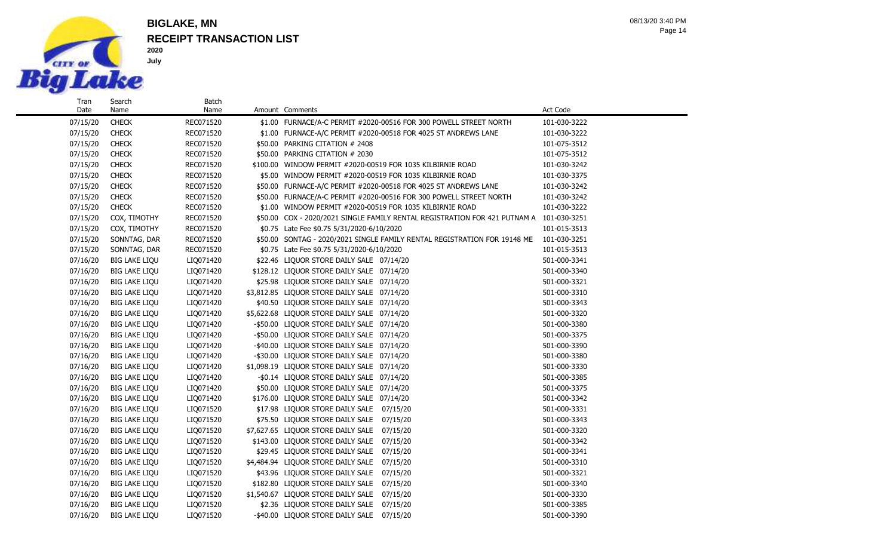

Date

Name

## **RECEIPT TRANSACTION LIST BIGLAKE, MN**

Batch<br>Name

Page 14 08/13/20 3:40 PM

| 07/15/20 | <b>CHECK</b>         | REC071520 | \$1.00 FURNACE/A-C PERMIT #2020-00516 FOR 300 POWELL STREET NORTH                       | 101-030-3222 |
|----------|----------------------|-----------|-----------------------------------------------------------------------------------------|--------------|
| 07/15/20 | <b>CHECK</b>         | REC071520 | \$1.00 FURNACE-A/C PERMIT #2020-00518 FOR 4025 ST ANDREWS LANE                          | 101-030-3222 |
| 07/15/20 | <b>CHECK</b>         | REC071520 | \$50.00 PARKING CITATION # 2408                                                         | 101-075-3512 |
| 07/15/20 | <b>CHECK</b>         | REC071520 | \$50.00 PARKING CITATION # 2030                                                         | 101-075-3512 |
| 07/15/20 | <b>CHECK</b>         | REC071520 | \$100.00 WINDOW PERMIT #2020-00519 FOR 1035 KILBIRNIE ROAD                              | 101-030-3242 |
| 07/15/20 | <b>CHECK</b>         | REC071520 | \$5.00 WINDOW PERMIT #2020-00519 FOR 1035 KILBIRNIE ROAD                                | 101-030-3375 |
| 07/15/20 | <b>CHECK</b>         | REC071520 | \$50.00 FURNACE-A/C PERMIT #2020-00518 FOR 4025 ST ANDREWS LANE                         | 101-030-3242 |
| 07/15/20 | <b>CHECK</b>         | REC071520 | \$50.00 FURNACE/A-C PERMIT #2020-00516 FOR 300 POWELL STREET NORTH                      | 101-030-3242 |
| 07/15/20 | <b>CHECK</b>         | REC071520 | \$1.00 WINDOW PERMIT #2020-00519 FOR 1035 KILBIRNIE ROAD                                | 101-030-3222 |
| 07/15/20 | COX, TIMOTHY         | REC071520 | \$50.00 COX - 2020/2021 SINGLE FAMILY RENTAL REGISTRATION FOR 421 PUTNAM A 101-030-3251 |              |
| 07/15/20 | COX, TIMOTHY         | REC071520 | \$0.75 Late Fee \$0.75 5/31/2020-6/10/2020                                              | 101-015-3513 |
| 07/15/20 | SONNTAG, DAR         | REC071520 | \$50.00 SONTAG - 2020/2021 SINGLE FAMILY RENTAL REGISTRATION FOR 19148 ME               | 101-030-3251 |
| 07/15/20 | SONNTAG, DAR         | REC071520 | \$0.75 Late Fee \$0.75 5/31/2020-6/10/2020                                              | 101-015-3513 |
| 07/16/20 | <b>BIG LAKE LIQU</b> | LIQ071420 | \$22.46 LIQUOR STORE DAILY SALE 07/14/20                                                | 501-000-3341 |
| 07/16/20 | <b>BIG LAKE LIQU</b> | LIQ071420 | \$128.12 LIQUOR STORE DAILY SALE 07/14/20                                               | 501-000-3340 |
| 07/16/20 | <b>BIG LAKE LIQU</b> | LIQ071420 | \$25.98 LIQUOR STORE DAILY SALE 07/14/20                                                | 501-000-3321 |
| 07/16/20 | <b>BIG LAKE LIQU</b> | LIQ071420 | \$3,812.85 LIQUOR STORE DAILY SALE 07/14/20                                             | 501-000-3310 |
| 07/16/20 | <b>BIG LAKE LIQU</b> | LIQ071420 | \$40.50 LIQUOR STORE DAILY SALE 07/14/20                                                | 501-000-3343 |
| 07/16/20 | <b>BIG LAKE LIQU</b> | LIQ071420 | \$5,622.68 LIQUOR STORE DAILY SALE 07/14/20                                             | 501-000-3320 |
| 07/16/20 | <b>BIG LAKE LIQU</b> | LIQ071420 | -\$50.00 LIQUOR STORE DAILY SALE 07/14/20                                               | 501-000-3380 |
| 07/16/20 | <b>BIG LAKE LIQU</b> | LIQ071420 | -\$50.00 LIQUOR STORE DAILY SALE 07/14/20                                               | 501-000-3375 |
| 07/16/20 | <b>BIG LAKE LIQU</b> | LIQ071420 | -\$40.00 LIQUOR STORE DAILY SALE 07/14/20                                               | 501-000-3390 |
| 07/16/20 | <b>BIG LAKE LIQU</b> | LIQ071420 | -\$30.00 LIQUOR STORE DAILY SALE 07/14/20                                               | 501-000-3380 |
| 07/16/20 | <b>BIG LAKE LIQU</b> | LIQ071420 | \$1,098.19 LIQUOR STORE DAILY SALE 07/14/20                                             | 501-000-3330 |
| 07/16/20 | <b>BIG LAKE LIQU</b> | LIQ071420 | -\$0.14 LIQUOR STORE DAILY SALE 07/14/20                                                | 501-000-3385 |
| 07/16/20 | <b>BIG LAKE LIQU</b> | LIQ071420 | \$50.00 LIQUOR STORE DAILY SALE 07/14/20                                                | 501-000-3375 |
| 07/16/20 | <b>BIG LAKE LIQU</b> | LIQ071420 | \$176.00 LIQUOR STORE DAILY SALE 07/14/20                                               | 501-000-3342 |
| 07/16/20 | <b>BIG LAKE LIQU</b> | LIQ071520 | \$17.98 LIQUOR STORE DAILY SALE 07/15/20                                                | 501-000-3331 |
| 07/16/20 | <b>BIG LAKE LIQU</b> | LIQ071520 | \$75.50 LIQUOR STORE DAILY SALE 07/15/20                                                | 501-000-3343 |
| 07/16/20 | <b>BIG LAKE LIQU</b> | LIQ071520 | 07/15/20<br>\$7,627.65 LIQUOR STORE DAILY SALE                                          | 501-000-3320 |
| 07/16/20 | <b>BIG LAKE LIQU</b> | LIQ071520 | \$143.00 LIQUOR STORE DAILY SALE<br>07/15/20                                            | 501-000-3342 |
| 07/16/20 | <b>BIG LAKE LIQU</b> | LIQ071520 | \$29.45 LIQUOR STORE DAILY SALE<br>07/15/20                                             | 501-000-3341 |
| 07/16/20 | <b>BIG LAKE LIQU</b> | LIQ071520 | \$4,484.94 LIQUOR STORE DAILY SALE<br>07/15/20                                          | 501-000-3310 |
| 07/16/20 | <b>BIG LAKE LIQU</b> | LIQ071520 | \$43.96 LIQUOR STORE DAILY SALE<br>07/15/20                                             | 501-000-3321 |
| 07/16/20 | <b>BIG LAKE LIQU</b> | LIQ071520 | \$182.80 LIQUOR STORE DAILY SALE<br>07/15/20                                            | 501-000-3340 |
| 07/16/20 | <b>BIG LAKE LIQU</b> | LIQ071520 | \$1,540.67 LIQUOR STORE DAILY SALE 07/15/20                                             | 501-000-3330 |
| 07/16/20 | <b>BIG LAKE LIQU</b> | LIQ071520 | \$2.36 LIQUOR STORE DAILY SALE 07/15/20                                                 | 501-000-3385 |

07/16/20 BIG LAKE LIQU LIQ071520 - \$40.00 LIQUOR STORE DAILY SALE 07/15/20 501-000-3390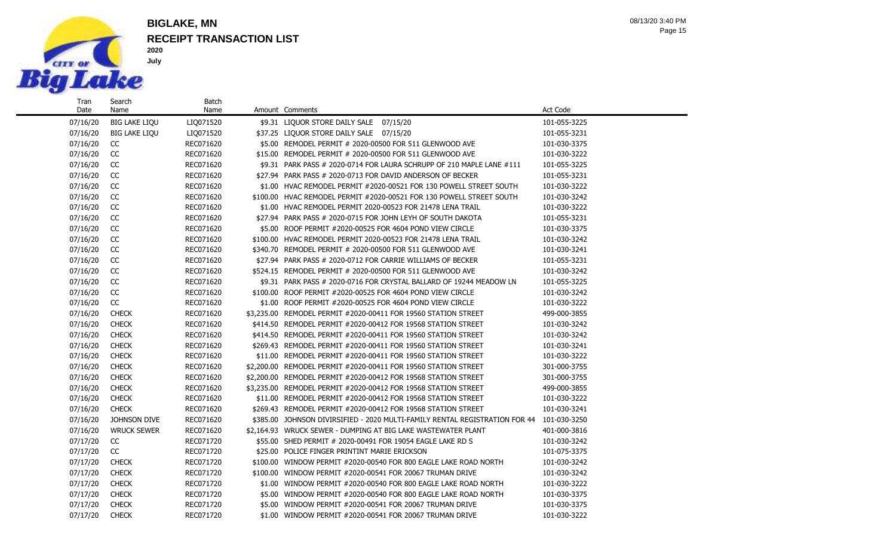

Name

#### **RECEIPT TRANSACTION LIST BIGLAKE, MN**

Batch

Page 15 08/13/20 3:40 PM

07/16/20 BIG LAKE LIQU LIQ071520 \$9.31 LIQUOR STORE DAILY SALE 07/15/20 101-055-3225 07/16/20 BIG LAKE LIQU LIQ071520 \$37.25 LIQUOR STORE DAILY SALE 07/15/20 101-055-3231 07/16/20 CC REC071620 \$5.00 REMODEL PERMIT # 2020-00500 FOR 511 GLENWOOD AVE 101-030-3375 07/16/20 CC REC071620 \$15.00 REMODEL PERMIT # 2020-00500 FOR 511 GLENWOOD AVE 101-030-3222 07/16/20 CC REC071620 \$9.31 PARK PASS # 2020-0714 FOR LAURA SCHRUPP OF 210 MAPLE LANE #111 101-055-3225 07/16/20 CC REC071620 \$27.94 PARK PASS # 2020-0713 FOR DAVID ANDERSON OF BECKER 101-055-3231 07/16/20 CC REC071620 \$1.00 HVAC REMODEL PERMIT #2020-00521 FOR 130 POWELL STREET SOUTH 101-030-3222 07/16/20 CC REC071620 \$100.00 HVAC REMODEL PERMIT #2020-00521 FOR 130 POWELL STREET SOUTH 101-030-3242 07/16/20 CC REC071620 \$1.00 HVAC REMODEL PERMIT 2020-00523 FOR 21478 LENA TRAIL 101-030-3222 07/16/20 CC REC071620 \$27.94 PARK PASS # 2020-0715 FOR JOHN LEYH OF SOUTH DAKOTA 101-055-3231 07/16/20 CC REC071620 \$5.00 ROOF PERMIT #2020-00525 FOR 4604 POND VIEW CIRCLE 101-030-3375 07/16/20 CC REC071620 \$100.00 HVAC REMODEL PERMIT 2020-00523 FOR 21478 LENA TRAIL 101-030-3242 07/16/20 CC REC071620 \$340.70 REMODEL PERMIT # 2020-00500 FOR 511 GLENWOOD AVE 101-030-3241 07/16/20 CC REC071620 \$27.94 PARK PASS # 2020-0712 FOR CARRIE WILLIAMS OF BECKER 101-055-3231 07/16/20 CC REC071620 \$524.15 REMODEL PERMIT # 2020-00500 FOR 511 GLENWOOD AVE 101-030-3242 07/16/20 CC REC071620 \$9.31 PARK PASS # 2020-0716 FOR CRYSTAL BALLARD OF 19244 MEADOW LN 101-055-3225 07/16/20 CC REC071620 \$100.00 ROOF PERMIT #2020-00525 FOR 4604 POND VIEW CIRCLE 101-030-3242 07/16/20 CC REC071620 \$1.00 ROOF PERMIT #2020-00525 FOR 4604 POND VIEW CIRCLE 101-030-3222 07/16/20 CHECK REC071620 \$3,235.00 REMODEL PERMIT #2020-00411 FOR 19560 STATION STREET 499-000-3855 07/16/20 CHECK REC071620 \$414.50 REMODEL PERMIT #2020-00412 FOR 19568 STATION STREET 101-030-3242 07/16/20 CHECK REC071620 \$414.50 REMODEL PERMIT #2020-00411 FOR 19560 STATION STREET 101-030-3242 07/16/20 CHECK REC071620 \$269.43 REMODEL PERMIT #2020-00411 FOR 19560 STATION STREET 101-030-3241 07/16/20 CHECK REC071620 \$11.00 REMODEL PERMIT #2020-00411 FOR 19560 STATION STREET 101-030-3222 07/16/20 CHECK REC071620 \$2,200.00 REMODEL PERMIT #2020-00411 FOR 19560 STATION STREET 301-000-3755 07/16/20 CHECK REC071620 \$2,200.00 REMODEL PERMIT #2020-00412 FOR 19568 STATION STREET 301-000-3755 07/16/20 CHECK REC071620 \$3,235.00 REMODEL PERMIT #2020-00412 FOR 19568 STATION STREET 499-000-3855 07/16/20 CHECK REC071620 \$11.00 REMODEL PERMIT #2020-00412 FOR 19568 STATION STREET 101-030-3222 07/16/20 CHECK REC071620 \$269.43 REMODEL PERMIT #2020-00412 FOR 19568 STATION STREET 101-030-3241 07/16/20 JOHNSON DIVE REC071620 \$385.00 JOHNSON DIVIRSIFIED - 2020 MULTI-FAMILY RENTAL REGISTRATION FOR 44 101-030-3250 07/16/20 WRUCK SEWER REC071620 \$2,164.93 WRUCK SEWER - DUMPING AT BIG LAKE WASTEWATER PLANT 401-000-3816 07/17/20 CC REC071720 \$55.00 SHED PERMIT # 2020-00491 FOR 19054 EAGLE LAKE RD S 101-030-3242 07/17/20 CC REC071720 \$25.00 POLICE FINGER PRINTINT MARIE ERICKSON 101-075-3375 07/17/20 CHECK REC071720 \$100.00 WINDOW PERMIT #2020-00540 FOR 800 EAGLE LAKE ROAD NORTH 101-030-3242 07/17/20 CHECK REC071720 \$100.00 WINDOW PERMIT #2020-00541 FOR 20067 TRUMAN DRIVE 101-030-3242 07/17/20 CHECK RECO71720 \$1.00 WINDOW PERMIT #2020-00540 FOR 800 EAGLE LAKE ROAD NORTH 101-030-3222 07/17/20 CHECK REC071720 \$5.00 WINDOW PERMIT #2020-00540 FOR 800 EAGLE LAKE ROAD NORTH 101-030-3375 07/17/20 CHECK REC071720 \$5.00 WINDOW PERMIT #2020-00541 FOR 20067 TRUMAN DRIVE 101-030-3375

07/17/20 CHECK REC071720 \$1.00 WINDOW PERMIT #2020-00541 FOR 20067 TRUMAN DRIVE 101-030-3222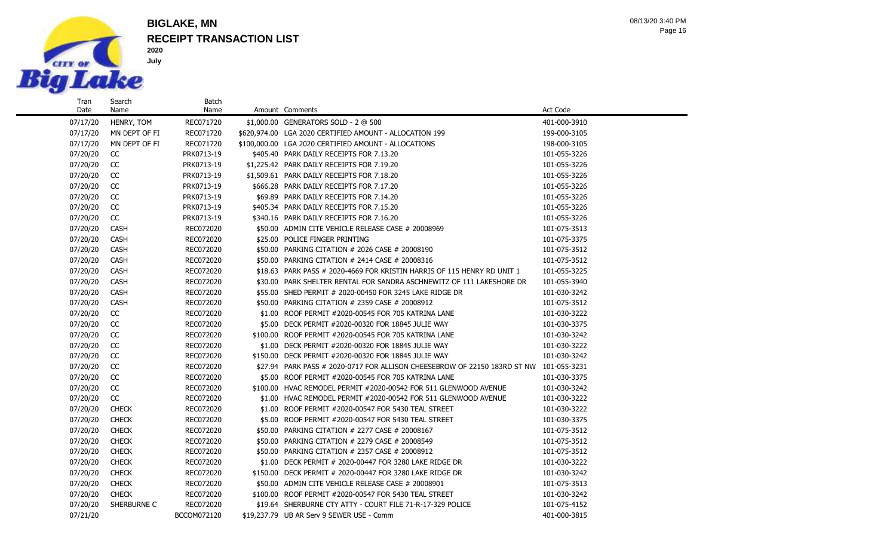

Search Name

### **RECEIPT TRANSACTION LIST BIGLAKE, MN**

Batch

Page 16 08/13/20 3:40 PM

07/17/20 HENRY, TOM REC071720 \$1,000.00 GENERATORS SOLD - 2 @ 500 401-000-3910 07/17/20 MN DEPT OF FI REC071720 \$620,974.00 LGA 2020 CERTIFIED AMOUNT - ALLOCATION 199 199-000-3105 07/17/20 MN DEPT OF FI REC071720 \$100,000.00 LGA 2020 CERTIFIED AMOUNT - ALLOCATIONS 198-000-3105 07/20/20 CC PRK0713-19 \$405.40 PARK DAILY RECEIPTS FOR 7.13.20 101-055-3226 07/20/20 CC PRK0713-19 \$1,225.42 PARK DAILY RECEIPTS FOR 7.19.20 101-055-3226 07/20/20 CC PRK0713-19 \$1,509.61 PARK DAILY RECEIPTS FOR 7.18.20 101-055-3226 07/20/20 CC PRK0713-19 \$666.28 PARK DAILY RECEIPTS FOR 7.17.20 101-055-3226 07/20/20 CC PRK0713-19 \$69.89 PARK DAILY RECEIPTS FOR 7.14.20 101-055-3226 07/20/20 CC PRK0713-19 \$405.34 PARK DAILY RECEIPTS FOR 7.15.20 101-055-3226 07/20/20 CC PRK0713-19 \$340.16 PARK DAILY RECEIPTS FOR 7.16.20 101-055-3226 07/20/20 CASH REC072020 \$50.00 ADMIN CITE VEHICLE RELEASE CASE # 20008969 101-075-3513 07/20/20 CASH REC072020 \$25.00 POLICE FINGER PRINTING 101-075-3375 07/20/20 CASH REC072020 \$50.00 PARKING CITATION # 2026 CASE # 20008190 101-075-3512 07/20/20 CASH REC072020 \$50.00 PARKING CITATION # 2414 CASE # 20008316 101-075-3512 07/20/20 CASH REC072020 \$18.63 PARK PASS # 2020-4669 FOR KRISTIN HARRIS OF 115 HENRY RD UNIT 1 101-055-3225 07/20/20 CASH REC072020 \$30.00 PARK SHELTER RENTAL FOR SANDRA ASCHNEWITZ OF 111 LAKESHORE DR 101-055-3940 07/20/20 CASH REC072020 \$55.00 SHED PERMIT # 2020-00450 FOR 3245 LAKE RIDGE DR 101-030-3242 07/20/20 CASH REC072020 \$50.00 PARKING CITATION # 2359 CASE # 20008912 101-075-3512 07/20/20 CC REC072020 \$1.00 ROOF PERMIT #2020-00545 FOR 705 KATRINA LANE 101-030-3222 07/20/20 CC REC072020 \$5.00 DECK PERMIT #2020-00320 FOR 18845 JULIE WAY 101-030-3375 07/20/20 CC REC072020 \$100.00 ROOF PERMIT #2020-00545 FOR 705 KATRINA LANE 101-030-3242 07/20/20 CC REC072020 \$1.00 DECK PERMIT #2020-00320 FOR 18845 JULIE WAY 101-030-3222 07/20/20 CC REC072020 \$150.00 DECK PERMIT #2020-00320 FOR 18845 JULIE WAY 101-030-3242 07/20/20 CC REC072020 \$27.94 PARK PASS # 2020-0717 FOR ALLISON CHEESEBROW OF 22150 183RD ST NW 101-055-3231 07/20/20 CC REC072020 \$5.00 ROOF PERMIT #2020-00545 FOR 705 KATRINA LANE 101-030-3375 07/20/20 CC REC072020 \$100.00 HVAC REMODEL PERMIT #2020-00542 FOR 511 GLENWOOD AVENUE 101-030-3242 07/20/20 CC REC072020 \$1.00 HVAC REMODEL PERMIT #2020-00542 FOR 511 GLENWOOD AVENUE 101-030-3222 07/20/20 CHECK REC072020 \$1.00 ROOF PERMIT #2020-00547 FOR 5430 TEAL STREET 101-030-3222 07/20/20 CHECK REC072020 \$5.00 ROOF PERMIT #2020-00547 FOR 5430 TEAL STREET 101-030-3375 07/20/20 CHECK REC072020 \$50.00 PARKING CITATION # 2277 CASE # 20008167 101-075-3512 07/20/20 CHECK REC072020 \$50.00 PARKING CITATION # 2279 CASE # 20008549 101-075-3512 07/20/20 CHECK RECO72020 \$50.00 PARKING CITATION # 2357 CASE # 20008912 101-075-3512 07/20/20 CHECK RECO72020 \$1.00 DECK PERMIT # 2020-00447 FOR 3280 LAKE RIDGE DR 101-030-3222 07/20/20 CHECK RECO72020 \$150.00 DECK PERMIT # 2020-00447 FOR 3280 LAKE RIDGE DR 101-030-3242 07/20/20 CHECK RECO72020 \$50.00 ADMIN CITE VEHICLE RELEASE CASE # 20008901 101-075-3513 07/20/20 CHECK RECO72020 \$100.00 ROOF PERMIT #2020-00547 FOR 5430 TEAL STREET 101-030-3242 07/20/20 SHERBURNE C REC072020 \$19.64 SHERBURNE CTY ATTY - COURT FILE 71-R-17-329 POLICE 101-075-4152

07/21/20 BCCOM072120 \$19,237.79 UB AR Serv 9 SEWER USE - Comm 401-000-3815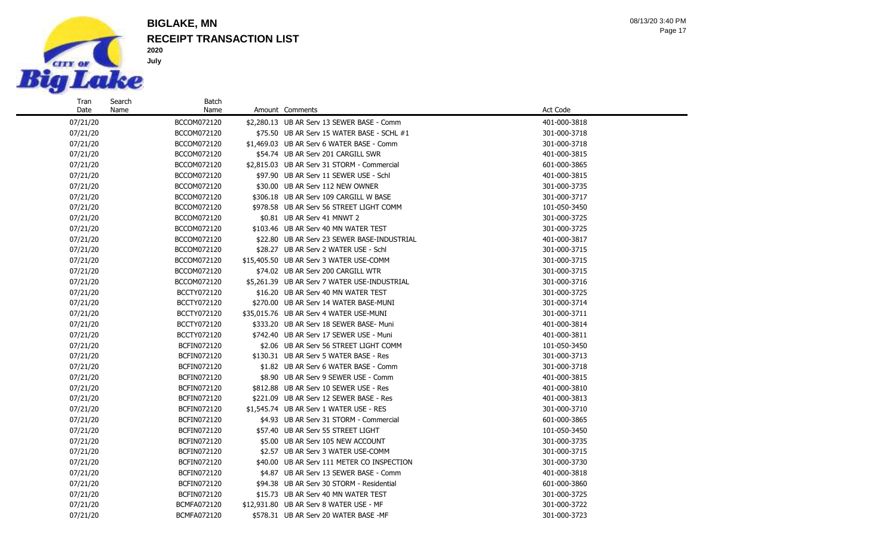

Search Name

### **RECEIPT TRANSACTION LIST BIGLAKE, MN**

Batch

Page 17 08/13/20 3:40 PM

#### 07/21/20 BCCOM072120 \$2,280.13 UB AR Serv 13 SEWER BASE - Comm 401-000-3818 07/21/20 BCCOM072120 \$75.50 UB AR Serv 15 WATER BASE - SCHL #1 301-000-3718 07/21/20 BCCOM072120 \$1,469.03 UB AR Serv 6 WATER BASE - Comm 301-000-3718 07/21/20 BCCOM072120 \$54.74 UB AR Serv 201 CARGILL SWR 401-000-3815 07/21/20 BCCOM072120 \$2,815.03 UB AR Serv 31 STORM - Commercial 601-000-3865 07/21/20 BCCOM072120 \$97.90 UB AR Serv 11 SEWER USE - Schl 401-000-3815 07/21/20 BCCOM072120 \$30.00 UB AR Serv 112 NEW OWNER 301-000-3735 07/21/20 BCCOM072120 \$306.18 UB AR Serv 109 CARGILL W BASE 301-000-3717 07/21/20 BCCOM072120 \$978.58 UB AR Serv 56 STREET LIGHT COMM 101-050-3450 07/21/20 BCCOM072120 \$0.81 UB AR Serv 41 MNWT 2 301-000-3725 07/21/20 BCCOM072120 \$103.46 UB AR Serv 40 MN WATER TEST 301-000-3725 07/21/20 BCCOM072120 \$22.80 UB AR Serv 23 SEWER BASE-INDUSTRIAL 401-000-3817 07/21/20 BCCOM072120 \$28.27 UB AR Serv 2 WATER USE - Schl 301-000-3715 07/21/20 BCCOM072120 \$15,405.50 UB AR Serv 3 WATER USE-COMM 301-000-3715 07/21/20 BCCOM072120 \$74.02 UB AR Serv 200 CARGILL WTR 301-000-3715 07/21/20 BCCOM072120 \$5,261.39 UB AR Serv 7 WATER USE-INDUSTRIAL 301-000-3716 07/21/20 BCCTY072120 \$16.20 UB AR Serv 40 MN WATER TEST 301-000-3725 07/21/20 BCCTY072120 \$270.00 UB AR Serv 14 WATER BASE-MUNI 301-000-3714 07/21/20 BCCTY072120 \$35,015.76 UB AR Serv 4 WATER USE-MUNI 301-000-3711 07/21/20 BCCTY072120 \$333.20 UB AR Serv 18 SEWER BASE- Muni 401-000-3814 07/21/20 BCCTY072120 \$742.40 UB AR Serv 17 SEWER USE - Muni 401-000-3811 07/21/20 BCFIN072120 \$2.06 UB AR Serv 56 STREET LIGHT COMM 101-050-3450 07/21/20 BCFIN072120 \$130.31 UB AR Serv 5 WATER BASE - Res 301-000-3713 07/21/20 BCFIN072120 \$1.82 UB AR Serv 6 WATER BASE - Comm 301-000-3718 07/21/20 BCFIN072120 \$8.90 UB AR Serv 9 SEWER USE - Comm 401-000-3815 07/21/20 BCFIN072120 \$812.88 UB AR Serv 10 SEWER USE - Res 401-000-3810 07/21/20 BCFIN072120 \$221.09 UB AR Serv 12 SEWER BASE - Res 401-000-3813 07/21/20 BCFIN072120 \$1,545.74 UB AR Serv 1 WATER USE - RES 301-000-3710 07/21/20 **BCFIN072120** \$4.93 UB AR Serv 31 STORM - Commercial 601-000-3865 07/21/20 BCFIN072120 \$57.40 UB AR Serv 55 STREET LIGHT 101-050-3450 07/21/20 BCFIN072120 \$5.00 UB AR Serv 105 NEW ACCOUNT 301-000-3735 07/21/20 BCFIN072120 \$2.57 UB AR Serv 3 WATER USE-COMM 301-000-3715 07/21/20 BCFIN072120 \$40.00 UB AR Serv 111 METER CO INSPECTION 301-000-3730 07/21/20 BCFIN072120 \$4.87 UB AR Serv 13 SEWER BASE - Comm 401-000-3818 07/21/20 **BCFIN072120** \$94.38 UB AR Serv 30 STORM - Residential 601-000-3860 601-000-3860 07/21/20 BCFIN072120 \$15.73 UB AR Serv 40 MN WATER TEST 301-000-3725 07/21/20 BCMFA072120 \$12,931.80 UB AR Serv 8 WATER USE - MF 301-000-3722 07/21/20 BCMFA072120 \$578.31 UB AR Serv 20 WATER BASE -MF 301-000-3723

Name Amount Comments **Amount Comments** Act Code **Act Code**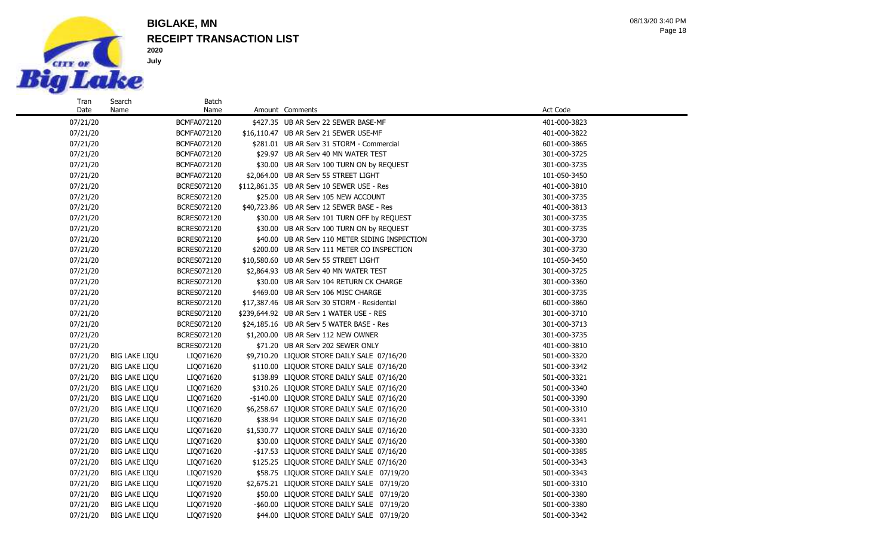

Date

Name

#### **RECEIPT TRANSACTION LIST BIGLAKE, MN**

Batch

07/21/20 BCMFA072120 \$427.35 UB AR Serv 22 SEWER BASE-MF 401-000-3823 07/21/20 BCMFA072120 \$16,110.47 UB AR Serv 21 SEWER USE-MF 401-000-3822 07/21/20 **BCMFA072120** \$281.01 UB AR Serv 31 STORM - Commercial 601-000-3865 07/21/20 BCMFA072120 \$29.97 UB AR Serv 40 MN WATER TEST 301-000-3725 07/21/20 BCMFA072120 \$30.00 UB AR Serv 100 TURN ON by REQUEST 301-000-3735 07/21/20 BCMFA072120 \$2,064.00 UB AR Serv 55 STREET LIGHT 101-050-3450 101-050-3450 07/21/20 BCRES072120 \$112,861.35 UB AR Serv 10 SEWER USE - Res 401-000-3810 07/21/20 BCRES072120 \$25.00 UB AR Serv 105 NEW ACCOUNT 301-000-3735 07/21/20 BCRES072120 \$40,723.86 UB AR Serv 12 SEWER BASE - Res 401-000-3813 07/21/20 BCRES072120 \$30.00 UB AR Serv 101 TURN OFF by REQUEST 301-000-3735 07/21/20 BCRES072120 \$30.00 UB AR Serv 100 TURN ON by REQUEST 301-000-3735 07/21/20 BCRES072120 \$40.00 UB AR Serv 110 METER SIDING INSPECTION 301-000-3730 07/21/20 BCRES072120 \$200.00 UB AR Serv 111 METER CO INSPECTION 301-000-3730 07/21/20 BCRES072120 \$10,580.60 UB AR Serv 55 STREET LIGHT 101-050-3450 07/21/20 BCRES072120 \$2,864.93 UB AR Serv 40 MN WATER TEST 301-000-3725 07/21/20 BCRES072120 \$30.00 UB AR Serv 104 RETURN CK CHARGE 301-000-3360 07/21/20 BCRES072120 \$469.00 UB AR Serv 106 MISC CHARGE 301-000-3735 07/21/20 BCRES072120 \$17,387.46 UB AR Serv 30 STORM - Residential 601-000-3860 601-000-3860 07/21/20 BCRES072120 \$239,644.92 UB AR Serv 1 WATER USE - RES 301-000-3710 07/21/20 BCRES072120 \$24,185.16 UB AR Serv 5 WATER BASE - Res 301-000-3713 07/21/20 BCRES072120 \$1,200.00 UB AR Serv 112 NEW OWNER 301-000-3735 07/21/20 BCRES072120 \$71.20 UB AR Serv 202 SEWER ONLY 401-000-3810 07/21/20 BIG LAKE LIQU LIQ071620 \$9,710.20 LIQUOR STORE DAILY SALE 07/16/20 501-000-3320 07/21/20 BIG LAKE LIQU LIQ071620 \$110.00 LIQUOR STORE DAILY SALE 07/16/20 501-000-3342 07/21/20 BIG LAKE LIQU LIQ071620 \$138.89 LIQUOR STORE DAILY SALE 07/16/20 501-000-3321 07/21/20 BIG LAKE LIQU LIQ071620 \$310.26 LIQUOR STORE DAILY SALE 07/16/20 501-000-3340 07/21/20 BIG LAKE LIQU LIQ071620 -\$140.00 LIQUOR STORE DAILY SALE 07/16/20 501-000-3390 07/21/20 BIG LAKE LIQU LIQ071620 \$6,258.67 LIQUOR STORE DAILY SALE 07/16/20 501-000-3310 07/21/20 BIG LAKE LIQU LIQ071620 \$38.94 LIQUOR STORE DAILY SALE 07/16/20 501-000-3341 07/21/20 BIG LAKE LIQU LIQ071620 \$1,530.77 LIQUOR STORE DAILY SALE 07/16/20 501-000-3330 07/21/20 BIG LAKE LIQU LIQ071620 \$30.00 LIQUOR STORE DAILY SALE 07/16/20 501-000-3380 07/21/20 BIG LAKE LIQU LIQ071620 -\$17.53 LIQUOR STORE DAILY SALE 07/16/20 501-000-3385 07/21/20 BIG LAKE LIQU LIQ071620 \$125.25 LIQUOR STORE DAILY SALE 07/16/20 501-000-3343 07/21/20 BIG LAKE LIQU LIQ071920 \$58.75 LIQUOR STORE DAILY SALE 07/19/20 501-000-3343 07/21/20 BIG LAKE LIQU LIQ071920 \$2,675.21 LIQUOR STORE DAILY SALE 07/19/20 501-000-3310 07/21/20 BIG LAKE LIQU LIQ071920 \$50.00 LIQUOR STORE DAILY SALE 07/19/20 501-000-3380 07/21/20 BIG LAKE LIQU LIQ071920 -\$60.00 LIQUOR STORE DAILY SALE 07/19/20 501-000-3380

07/21/20 BIG LAKE LIQU LIQ071920 \$44.00 LIQUOR STORE DAILY SALE 07/19/20 501-000-3342

Name Amount Comments **Amount Comments** Act Code **Act Code**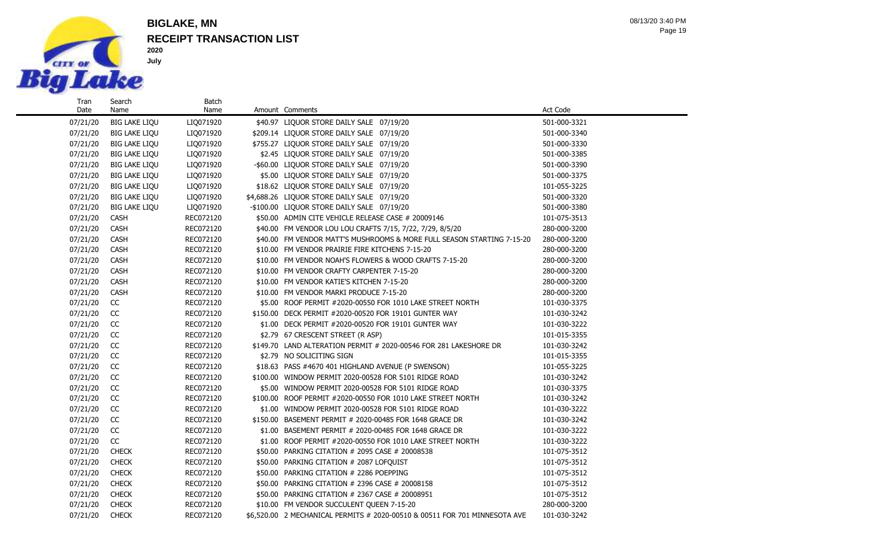

Search Name

#### **RECEIPT TRANSACTION LIST BIGLAKE, MN**

Batch<br>Name

Page 19 08/13/20 3:40 PM

07/21/20 BIG LAKE LIQU LIO071920 \$40.97 LIQUOR STORE DAILY SALE 07/19/20 501-000-3321 07/21/20 BIG LAKE LIQU LIQ071920 \$209.14 LIQUOR STORE DAILY SALE 07/19/20 501-000-3340 07/21/20 BIG LAKE LIQU LIQ071920 \$755.27 LIQUOR STORE DAILY SALE 07/19/20 501-000-3330 07/21/20 BIG LAKE LIQU LIQ071920 \$2.45 LIQUOR STORE DAILY SALE 07/19/20 501-000-3385 07/21/20 BIG LAKE LIQU LIQ071920 -\$60.00 LIQUOR STORE DAILY SALE 07/19/20 501-000-3390 07/21/20 BIG LAKE LIQU LIQ071920 \$5.00 LIQUOR STORE DAILY SALE 07/19/20 501-000-3375 07/21/20 BIG LAKE LIQU LIQ071920 \$18.62 LIQUOR STORE DAILY SALE 07/19/20 101-055-3225 07/21/20 BIG LAKE LIQU LIQ071920 \$4,688.26 LIQUOR STORE DAILY SALE 07/19/20 501-000-3320 07/21/20 BIG LAKE LIQU LIQ071920 -\$100.00 LIQUOR STORE DAILY SALE 07/19/20 501-000-3380 07/21/20 CASH REC072120 \$50.00 ADMIN CITE VEHICLE RELEASE CASE # 20009146 101-075-3513 07/21/20 CASH REC072120 \$40.00 FM VENDOR LOU LOU CRAFTS 7/15, 7/22, 7/29, 8/5/20 280-000-3200 07/21/20 CASH REC072120 \$40.00 FM VENDOR MATT'S MUSHROOMS & MORE FULL SEASON STARTING 7-15-20 280-000-3200 07/21/20 CASH REC072120 \$10.00 FM VENDOR PRAIRIE FIRE KITCHENS 7-15-20 280-000-3200 07/21/20 CASH REC072120 \$10.00 FM VENDOR NOAH'S FLOWERS & WOOD CRAFTS 7-15-20 280-000-3200 07/21/20 CASH REC072120 \$10.00 FM VENDOR CRAFTY CARPENTER 7-15-20 280-000-3200 07/21/20 CASH REC072120 \$10.00 FM VENDOR KATIE'S KITCHEN 7-15-20 280-000-3200 07/21/20 CASH REC072120 \$10.00 FM VENDOR MARKI PRODUCE 7-15-20 280-000-3200 07/21/20 CC REC072120 \$5.00 ROOF PERMIT #2020-00550 FOR 1010 LAKE STREET NORTH 101-030-3375 07/21/20 CC REC072120 \$150.00 DECK PERMIT #2020-00520 FOR 19101 GUNTER WAY 101-030-3242 07/21/20 CC REC072120 \$1.00 DECK PERMIT #2020-00520 FOR 19101 GUNTER WAY 101-030-3222 07/21/20 CC REC072120 \$2.79 67 CRESCENT STREET (R ASP) 101-015-3355 07/21/20 CC REC072120 \$149.70 LAND ALTERATION PERMIT # 2020-00546 FOR 281 LAKESHORE DR 101-030-3242 07/21/20 CC REC072120 \$2.79 NO SOLICITING SIGN \$2.79 NO SOLICITING SIGN 07/21/20 CC REC072120 \$18.63 PASS #4670 401 HIGHLAND AVENUE (P SWENSON) 101-055-3225 07/21/20 CC REC072120 \$100.00 WINDOW PERMIT 2020-00528 FOR 5101 RIDGE ROAD 101-030-3242 07/21/20 CC REC072120 \$5.00 WINDOW PERMIT 2020-00528 FOR 5101 RIDGE ROAD 101-030-3375 07/21/20 CC REC072120 \$100.00 ROOF PERMIT #2020-00550 FOR 1010 LAKE STREET NORTH 101-030-3242 07/21/20 CC REC072120 \$1.00 WINDOW PERMIT 2020-00528 FOR 5101 RIDGE ROAD 101-030-3222 07/21/20 CC REC072120 \$150.00 BASEMENT PERMIT # 2020-00485 FOR 1648 GRACE DR 101-030-3242 07/21/20 CC REC072120 \$1.00 BASEMENT PERMIT # 2020-00485 FOR 1648 GRACE DR 101-030-3222 07/21/20 CC REC072120 \$1.00 ROOF PERMIT #2020-00550 FOR 1010 LAKE STREET NORTH 101-030-3222 07/21/20 CHECK RECO72120 \$50.00 PARKING CITATION # 2095 CASE # 20008538 101-075-3512 07/21/20 CHECK RECO72120 \$50.00 PARKING CITATION # 2087 LOFOUIST 101-075-3512 07/21/20 CHECK RECO72120 \$50.00 PARKING CITATION # 2286 POEPPING 101-075-3512 07/21/20 CHECK RECO72120 \$50.00 PARKING CITATION # 2396 CASE # 20008158 101-075-3512 07/21/20 CHECK RECO72120 \$50.00 PARKING CITATION # 2367 CASE # 20008951 101-075-3512 07/21/20 CHECK REC072120 \$10.00 FM VENDOR SUCCULENT QUEEN 7-15-20 280-000-3200

07/21/20 CHECK REC072120 \$6,520.00 2 MECHANICAL PERMITS # 2020-00510 & 00511 FOR 701 MINNESOTA AVE 101-030-3242

Amount Comments **Amount Comments** Act Code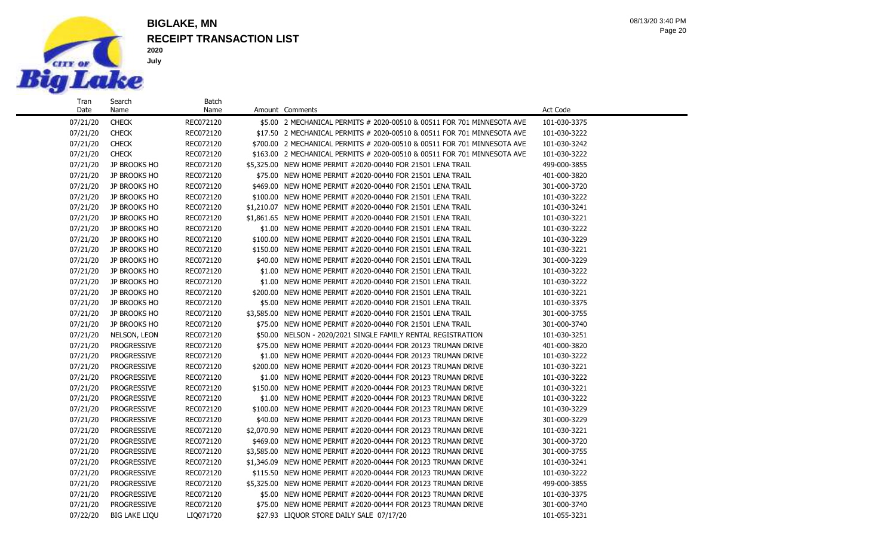

Search Name

#### **RECEIPT TRANSACTION LIST BIGLAKE, MN**

Batch

Page 20 08/13/20 3:40 PM

07/21/20 CHECK RECO72120 \$5.00 2 MECHANICAL PERMITS # 2020-00510 & 00511 FOR 701 MINNESOTA AVE 101-030-3375 07/21/20 CHECK RECO72120 \$17.50 2 MECHANICAL PERMITS # 2020-00510 & 00511 FOR 701 MINNESOTA AVE 101-030-3222 07/21/20 CHECK REC072120 \$700.00 2 MECHANICAL PERMITS # 2020-00510 & 00511 FOR 701 MINNESOTA AVE 101-030-3242 07/21/20 CHECK REC072120 \$163.00 2 MECHANICAL PERMITS # 2020-00510 & 00511 FOR 701 MINNESOTA AVE 101-030-3222 07/21/20 JP BROOKS HO REC072120 \$5,325.00 NEW HOME PERMIT #2020-00440 FOR 21501 LENA TRAIL 499-000-3855 07/21/20 JP BROOKS HO REC072120 \$75.00 NEW HOME PERMIT #2020-00440 FOR 21501 LENA TRAIL 401-000-3820 07/21/20 JP BROOKS HO REC072120 \$469.00 NEW HOME PERMIT #2020-00440 FOR 21501 LENA TRAIL 301-000-3720 07/21/20 JP BROOKS HO REC072120 \$100.00 NEW HOME PERMIT #2020-00440 FOR 21501 LENA TRAIL 101-030-3222 07/21/20 JP BROOKS HO REC072120 \$1,210.07 NEW HOME PERMIT #2020-00440 FOR 21501 LENA TRAIL 101-030-3241 07/21/20 JP BROOKS HO REC072120 \$1,861.65 NEW HOME PERMIT #2020-00440 FOR 21501 LENA TRAIL 101-030-3221 07/21/20 JP BROOKS HO REC072120 \$1.00 NEW HOME PERMIT #2020-00440 FOR 21501 LENA TRAIL 101-030-3222 07/21/20 JP BROOKS HO REC072120 \$100.00 NEW HOME PERMIT #2020-00440 FOR 21501 LENA TRAIL 101-030-3229 07/21/20 JP BROOKS HO REC072120 \$150.00 NEW HOME PERMIT #2020-00440 FOR 21501 LENA TRAIL 101-030-3221 07/21/20 JP BROOKS HO REC072120 \$40.00 NEW HOME PERMIT #2020-00440 FOR 21501 LENA TRAIL 301-000-3229 07/21/20 JP BROOKS HO REC072120 \$1.00 NEW HOME PERMIT #2020-00440 FOR 21501 LENA TRAIL 101-030-3222 07/21/20 JP BROOKS HO REC072120 \$1.00 NEW HOME PERMIT #2020-00440 FOR 21501 LENA TRAIL 101-030-3222 07/21/20 JP BROOKS HO REC072120 \$200.00 NEW HOME PERMIT #2020-00440 FOR 21501 LENA TRAIL 101-030-3221 07/21/20 JP BROOKS HO REC072120 \$5.00 NEW HOME PERMIT #2020-00440 FOR 21501 LENA TRAIL 101-030-3375 07/21/20 JP BROOKS HO REC072120 \$3,585.00 NEW HOME PERMIT #2020-00440 FOR 21501 LENA TRAIL 301-000-3755 07/21/20 JP BROOKS HO REC072120 \$75.00 NEW HOME PERMIT #2020-00440 FOR 21501 LENA TRAIL 301-000-3740 07/21/20 NELSON, LEON REC072120 \$50.00 NELSON - 2020/2021 SINGLE FAMILY RENTAL REGISTRATION 101-030-3251 07/21/20 PROGRESSIVE REC072120 \$75.00 NEW HOME PERMIT #2020-00444 FOR 20123 TRUMAN DRIVE 401-000-3820 07/21/20 PROGRESSIVE REC072120 \$1.00 NEW HOME PERMIT #2020-00444 FOR 20123 TRUMAN DRIVE 101-030-3222 07/21/20 PROGRESSIVE REC072120 \$200.00 NEW HOME PERMIT #2020-00444 FOR 20123 TRUMAN DRIVE 101-030-3221 07/21/20 PROGRESSIVE REC072120 \$1.00 NEW HOME PERMIT #2020-00444 FOR 20123 TRUMAN DRIVE 101-030-3222 07/21/20 PROGRESSIVE REC072120 \$150.00 NEW HOME PERMIT #2020-00444 FOR 20123 TRUMAN DRIVE 101-030-3221 07/21/20 PROGRESSIVE REC072120 \$1.00 NEW HOME PERMIT #2020-00444 FOR 20123 TRUMAN DRIVE 101-030-3222 07/21/20 PROGRESSIVE REC072120 \$100.00 NEW HOME PERMIT #2020-00444 FOR 20123 TRUMAN DRIVE 101-030-3229 07/21/20 PROGRESSIVE REC072120 \$40.00 NEW HOME PERMIT #2020-00444 FOR 20123 TRUMAN DRIVE 301-000-3229 07/21/20 PROGRESSIVE REC072120 \$2,070.90 NEW HOME PERMIT #2020-00444 FOR 20123 TRUMAN DRIVE 101-030-3221 07/21/20 PROGRESSIVE REC072120 \$469.00 NEW HOME PERMIT #2020-00444 FOR 20123 TRUMAN DRIVE 301-000-3720 07/21/20 PROGRESSIVE REC072120 \$3,585.00 NEW HOME PERMIT #2020-00444 FOR 20123 TRUMAN DRIVE 301-000-3755 07/21/20 PROGRESSIVE REC072120 \$1,346.09 NEW HOME PERMIT #2020-00444 FOR 20123 TRUMAN DRIVE 101-030-3241 07/21/20 PROGRESSIVE REC072120 \$115.50 NEW HOME PERMIT #2020-00444 FOR 20123 TRUMAN DRIVE 101-030-3222 07/21/20 PROGRESSIVE REC072120 \$5,325.00 NEW HOME PERMIT #2020-00444 FOR 20123 TRUMAN DRIVE 499-000-3855 07/21/20 PROGRESSIVE REC072120 \$5.00 NEW HOME PERMIT #2020-00444 FOR 20123 TRUMAN DRIVE 101-030-3375 07/21/20 PROGRESSIVE REC072120 \$75.00 NEW HOME PERMIT #2020-00444 FOR 20123 TRUMAN DRIVE 301-000-3740 07/22/20 BIG LAKE LIQU LIQ071720 \$27.93 LIQUOR STORE DAILY SALE 07/17/20 101-055-3231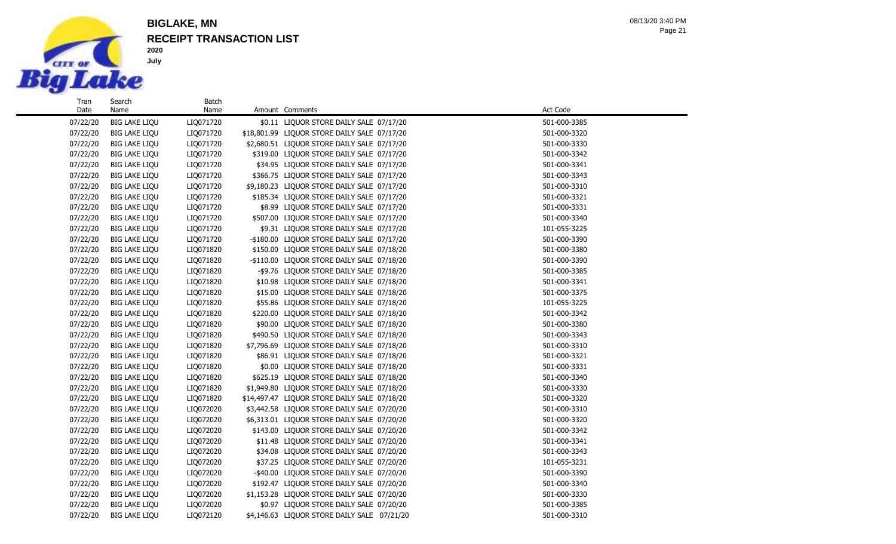

Search Name

**2020 July**

## **RECEIPT TRANSACTION LIST BIGLAKE, MN**

Batch<br>Name

Page 21 08/13/20 3:40 PM

| 07/22/20 | <b>BIG LAKE LIQU</b> | LIQ071720 | \$0.11 LIQUOR STORE DAILY SALE 07/17/20      | 501-000-3385 |
|----------|----------------------|-----------|----------------------------------------------|--------------|
| 07/22/20 | <b>BIG LAKE LIQU</b> | LIQ071720 | \$18,801.99 LIQUOR STORE DAILY SALE 07/17/20 | 501-000-3320 |
| 07/22/20 | <b>BIG LAKE LIQU</b> | LIQ071720 | \$2,680.51 LIQUOR STORE DAILY SALE 07/17/20  | 501-000-3330 |
| 07/22/20 | <b>BIG LAKE LIQU</b> | LIQ071720 | \$319.00 LIQUOR STORE DAILY SALE 07/17/20    | 501-000-3342 |
| 07/22/20 | <b>BIG LAKE LIQU</b> | LIQ071720 | \$34.95 LIQUOR STORE DAILY SALE 07/17/20     | 501-000-3341 |
| 07/22/20 | <b>BIG LAKE LIQU</b> | LIQ071720 | \$366.75 LIQUOR STORE DAILY SALE 07/17/20    | 501-000-3343 |
| 07/22/20 | <b>BIG LAKE LIQU</b> | LIQ071720 | \$9,180.23 LIQUOR STORE DAILY SALE 07/17/20  | 501-000-3310 |
| 07/22/20 | <b>BIG LAKE LIQU</b> | LIQ071720 | \$185.34 LIQUOR STORE DAILY SALE 07/17/20    | 501-000-3321 |
| 07/22/20 | <b>BIG LAKE LIQU</b> | LIQ071720 | \$8.99 LIQUOR STORE DAILY SALE 07/17/20      | 501-000-3331 |
| 07/22/20 | <b>BIG LAKE LIQU</b> | LIQ071720 | \$507.00 LIQUOR STORE DAILY SALE 07/17/20    | 501-000-3340 |
| 07/22/20 | <b>BIG LAKE LIQU</b> | LIQ071720 | \$9.31 LIQUOR STORE DAILY SALE 07/17/20      | 101-055-3225 |
| 07/22/20 | <b>BIG LAKE LIQU</b> | LIQ071720 | -\$180.00 LIQUOR STORE DAILY SALE 07/17/20   | 501-000-3390 |
| 07/22/20 | <b>BIG LAKE LIQU</b> | LIQ071820 | \$150.00 LIQUOR STORE DAILY SALE 07/18/20    | 501-000-3380 |
| 07/22/20 | <b>BIG LAKE LIQU</b> | LIQ071820 | -\$110.00 LIQUOR STORE DAILY SALE 07/18/20   | 501-000-3390 |
| 07/22/20 | <b>BIG LAKE LIQU</b> | LIQ071820 | -\$9.76 LIQUOR STORE DAILY SALE 07/18/20     | 501-000-3385 |
| 07/22/20 | <b>BIG LAKE LIQU</b> | LIQ071820 | \$10.98 LIQUOR STORE DAILY SALE 07/18/20     | 501-000-3341 |
| 07/22/20 | <b>BIG LAKE LIQU</b> | LIQ071820 | \$15.00 LIQUOR STORE DAILY SALE 07/18/20     | 501-000-3375 |
| 07/22/20 | <b>BIG LAKE LIQU</b> | LIQ071820 | \$55.86 LIQUOR STORE DAILY SALE 07/18/20     | 101-055-3225 |
| 07/22/20 | <b>BIG LAKE LIQU</b> | LIQ071820 | \$220.00 LIQUOR STORE DAILY SALE 07/18/20    | 501-000-3342 |
| 07/22/20 | <b>BIG LAKE LIQU</b> | LIQ071820 | \$90.00 LIQUOR STORE DAILY SALE 07/18/20     | 501-000-3380 |
| 07/22/20 | <b>BIG LAKE LIQU</b> | LIQ071820 | \$490.50 LIQUOR STORE DAILY SALE 07/18/20    | 501-000-3343 |
| 07/22/20 | <b>BIG LAKE LIQU</b> | LIQ071820 | \$7,796.69 LIQUOR STORE DAILY SALE 07/18/20  | 501-000-3310 |
| 07/22/20 | <b>BIG LAKE LIQU</b> | LIQ071820 | \$86.91 LIQUOR STORE DAILY SALE 07/18/20     | 501-000-3321 |
| 07/22/20 | <b>BIG LAKE LIQU</b> | LIQ071820 | \$0.00 LIQUOR STORE DAILY SALE 07/18/20      | 501-000-3331 |
| 07/22/20 | <b>BIG LAKE LIQU</b> | LIQ071820 | \$625.19 LIQUOR STORE DAILY SALE 07/18/20    | 501-000-3340 |
| 07/22/20 | <b>BIG LAKE LIQU</b> | LIQ071820 | \$1,949.80 LIQUOR STORE DAILY SALE 07/18/20  | 501-000-3330 |
| 07/22/20 | <b>BIG LAKE LIQU</b> | LIQ071820 | \$14,497.47 LIQUOR STORE DAILY SALE 07/18/20 | 501-000-3320 |
| 07/22/20 | <b>BIG LAKE LIQU</b> | LIQ072020 | \$3,442.58 LIQUOR STORE DAILY SALE 07/20/20  | 501-000-3310 |
| 07/22/20 | <b>BIG LAKE LIQU</b> | LIQ072020 | \$6,313.01 LIQUOR STORE DAILY SALE 07/20/20  | 501-000-3320 |
| 07/22/20 | <b>BIG LAKE LIQU</b> | LIQ072020 | \$143.00 LIQUOR STORE DAILY SALE 07/20/20    | 501-000-3342 |
| 07/22/20 | <b>BIG LAKE LIQU</b> | LIQ072020 | \$11.48 LIQUOR STORE DAILY SALE 07/20/20     | 501-000-3341 |
| 07/22/20 | <b>BIG LAKE LIQU</b> | LIQ072020 | \$34.08 LIQUOR STORE DAILY SALE 07/20/20     | 501-000-3343 |
| 07/22/20 | <b>BIG LAKE LIQU</b> | LIQ072020 | \$37.25 LIQUOR STORE DAILY SALE 07/20/20     | 101-055-3231 |
| 07/22/20 | <b>BIG LAKE LIQU</b> | LIQ072020 | -\$40.00 LIQUOR STORE DAILY SALE 07/20/20    | 501-000-3390 |
| 07/22/20 | <b>BIG LAKE LIQU</b> | LIQ072020 | \$192.47 LIQUOR STORE DAILY SALE 07/20/20    | 501-000-3340 |
| 07/22/20 | <b>BIG LAKE LIQU</b> | LIQ072020 | \$1,153.28 LIQUOR STORE DAILY SALE 07/20/20  | 501-000-3330 |
| 07/22/20 | <b>BIG LAKE LIQU</b> | LIQ072020 | \$0.97 LIQUOR STORE DAILY SALE 07/20/20      | 501-000-3385 |
| 07/22/20 | <b>BIG LAKE LIQU</b> | LIQ072120 | \$4,146.63 LIQUOR STORE DAILY SALE 07/21/20  | 501-000-3310 |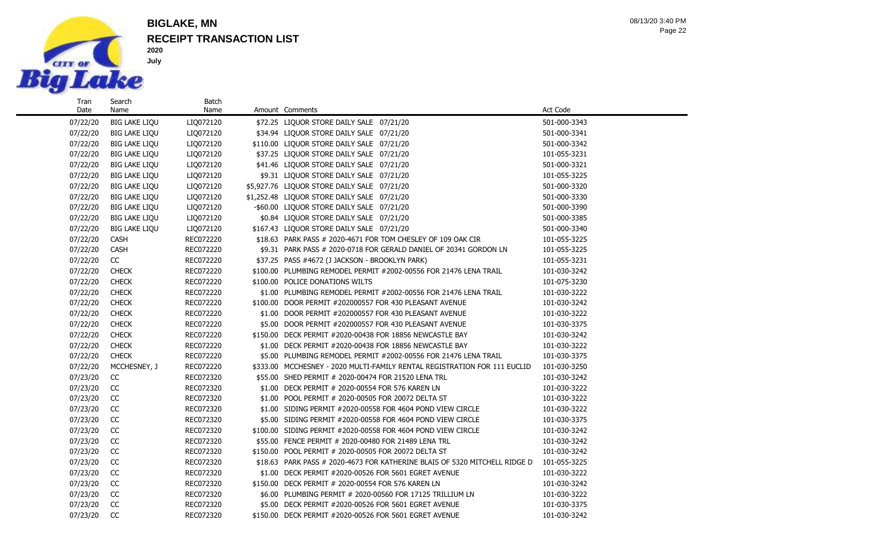

Name

#### **RECEIPT TRANSACTION LIST BIGLAKE, MN**

Batch

07/22/20 BIG LAKE LIQU LIQ072120 \$72.25 LIQUOR STORE DAILY SALE 07/21/20 501-000-3343 07/22/20 BIG LAKE LIQU LIQ072120 \$34.94 LIQUOR STORE DAILY SALE 07/21/20 501-000-3341 07/22/20 BIG LAKE LIQU LIQ072120 \$110.00 LIQUOR STORE DAILY SALE 07/21/20 501-000-3342 07/22/20 BIG LAKE LIQU LIQ072120 \$37.25 LIQUOR STORE DAILY SALE 07/21/20 101-055-3231 07/22/20 BIG LAKE LIQU LIQ072120 \$41.46 LIQUOR STORE DAILY SALE 07/21/20 501-000-3321 07/22/20 BIG LAKE LIQU LIQ072120 \$9.31 LIQUOR STORE DAILY SALE 07/21/20 101-055-3225 07/22/20 BIG LAKE LIQU LIQ072120 \$5,927.76 LIQUOR STORE DAILY SALE 07/21/20 501-000-3320 07/22/20 BIG LAKE LIQU LIQ072120 \$1,252.48 LIQUOR STORE DAILY SALE 07/21/20 501-000-3330 07/22/20 BIG LAKE LIQU LIQ072120 - \$60.00 LIQUOR STORE DAILY SALE 07/21/20 501-000-3390 07/22/20 BIG LAKE LIQU LIQ072120 \$0.84 LIQUOR STORE DAILY SALE 07/21/20 501-000-3385 07/22/20 BIG LAKE LIQU LIQ072120 \$167.43 LIQUOR STORE DAILY SALE 07/21/20 501-000-3340 07/22/20 CASH REC072220 \$18.63 PARK PASS # 2020-4671 FOR TOM CHESLEY OF 109 OAK CIR 101-055-3225 07/22/20 CASH REC072220 \$9.31 PARK PASS # 2020-0718 FOR GERALD DANIEL OF 20341 GORDON LN 101-055-3225 07/22/20 CC REC072220 \$37.25 PASS #4672 (J JACKSON - BROOKLYN PARK) 101-055-3231 07/22/20 CHECK RECO72220 \$100.00 PLUMBING REMODEL PERMIT #2002-00556 FOR 21476 LENA TRAIL 101-030-3242 07/22/20 CHECK RECO72220 \$100.00 POLICE DONATIONS WILTS 101-075-3230 101-075-3230 07/22/20 CHECK REC072220 \$1.00 PLUMBING REMODEL PERMIT #2002-00556 FOR 21476 LENA TRAIL 101-030-3222 07/22/20 CHECK RECO72220 \$100.00 DOOR PERMIT #202000557 FOR 430 PLEASANT AVENUE 101-030-3242 07/22/20 CHECK REC072220 \$1.00 DOOR PERMIT #202000557 FOR 430 PLEASANT AVENUE 101-030-3222 07/22/20 CHECK REC072220 \$5.00 DOOR PERMIT #202000557 FOR 430 PLEASANT AVENUE 101-030-3375 07/22/20 CHECK RECO72220 \$150.00 DECK PERMIT #2020-00438 FOR 18856 NEWCASTLE BAY 101-030-3242 07/22/20 CHECK REC072220 \$1.00 DECK PERMIT #2020-00438 FOR 18856 NEWCASTLE BAY 101-030-3222 07/22/20 CHECK RECO72220 \$5.00 PLUMBING REMODEL PERMIT #2002-00556 FOR 21476 LENA TRAIL 101-030-3375 07/22/20 MCCHESNEY, J REC072220 \$333.00 MCCHESNEY - 2020 MULTI-FAMILY RENTAL REGISTRATION FOR 111 EUCLID 101-030-3250 07/23/20 CC REC072320 \$55.00 SHED PERMIT # 2020-00474 FOR 21520 LENA TRL 101-030-3242 07/23/20 CC REC072320 \$1.00 DECK PERMIT # 2020-00554 FOR 576 KAREN LN 101-030-3222 07/23/20 CC REC072320 \$1.00 POOL PERMIT # 2020-00505 FOR 20072 DELTA ST 101-030-3222 07/23/20 CC REC072320 \$1.00 SIDING PERMIT #2020-00558 FOR 4604 POND VIEW CIRCLE 101-030-3222 07/23/20 CC REC072320 \$5.00 SIDING PERMIT #2020-00558 FOR 4604 POND VIEW CIRCLE 101-030-3375 07/23/20 CC REC072320 \$100.00 SIDING PERMIT #2020-00558 FOR 4604 POND VIEW CIRCLE 101-030-3242 07/23/20 CC REC072320 \$55.00 FENCE PERMIT # 2020-00480 FOR 21489 LENA TRL 101-030-3242 07/23/20 CC REC072320 \$150.00 POOL PERMIT # 2020-00505 FOR 20072 DELTA ST 101-030-3242 07/23/20 CC REC072320 \$18.63 PARK PASS # 2020-4673 FOR KATHERINE BLAIS OF 5320 MITCHELL RIDGE D 101-055-3225 07/23/20 CC REC072320 \$1.00 DECK PERMIT #2020-00526 FOR 5601 EGRET AVENUE 101-030-3222 07/23/20 CC REC072320 \$150.00 DECK PERMIT # 2020-00554 FOR 576 KAREN LN 101-030-3242 07/23/20 CC REC072320 \$6.00 PLUMBING PERMIT # 2020-00560 FOR 17125 TRILLIUM LN 101-030-3222 07/23/20 CC REC072320 \$5.00 DECK PERMIT #2020-00526 FOR 5601 EGRET AVENUE 101-030-3375

07/23/20 CC REC072320 \$150.00 DECK PERMIT #2020-00526 FOR 5601 EGRET AVENUE 101-030-3242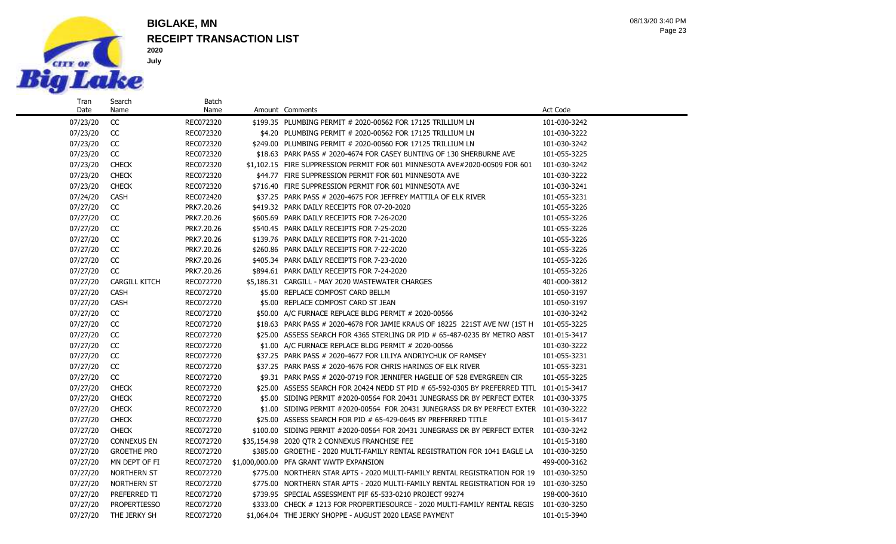

Name

## **RECEIPT TRANSACTION LIST BIGLAKE, MN**

Batch<br>Name

Page 23 08/13/20 3:40 PM

| 07/23/20 | cc                   | REC072320  | \$199.35 PLUMBING PERMIT # 2020-00562 FOR 17125 TRILLIUM LN                              | 101-030-3242 |
|----------|----------------------|------------|------------------------------------------------------------------------------------------|--------------|
| 07/23/20 | CC                   | REC072320  | \$4.20 PLUMBING PERMIT # 2020-00562 FOR 17125 TRILLIUM LN                                | 101-030-3222 |
| 07/23/20 | CC                   | REC072320  | \$249.00 PLUMBING PERMIT # 2020-00560 FOR 17125 TRILLIUM LN                              | 101-030-3242 |
| 07/23/20 | cc                   | REC072320  | \$18.63 PARK PASS # 2020-4674 FOR CASEY BUNTING OF 130 SHERBURNE AVE                     | 101-055-3225 |
| 07/23/20 | <b>CHECK</b>         | REC072320  | \$1.102.15 FIRE SUPPRESSION PERMIT FOR 601 MINNESOTA AVE#2020-00509 FOR 601              | 101-030-3242 |
| 07/23/20 | <b>CHECK</b>         | REC072320  | \$44.77 FIRE SUPPRESSION PERMIT FOR 601 MINNESOTA AVE                                    | 101-030-3222 |
| 07/23/20 | <b>CHECK</b>         | REC072320  | \$716.40 FIRE SUPPRESSION PERMIT FOR 601 MINNESOTA AVE                                   | 101-030-3241 |
| 07/24/20 | CASH                 | REC072420  | \$37.25 PARK PASS # 2020-4675 FOR JEFFREY MATTILA OF ELK RIVER                           | 101-055-3231 |
| 07/27/20 | CC                   | PRK7.20.26 | \$419.32 PARK DAILY RECEIPTS FOR 07-20-2020                                              | 101-055-3226 |
| 07/27/20 | CC                   | PRK7.20.26 | \$605.69 PARK DAILY RECEIPTS FOR 7-26-2020                                               | 101-055-3226 |
| 07/27/20 | CC                   | PRK7.20.26 | \$540.45 PARK DAILY RECEIPTS FOR 7-25-2020                                               | 101-055-3226 |
| 07/27/20 | CC                   | PRK7.20.26 | \$139.76 PARK DAILY RECEIPTS FOR 7-21-2020                                               | 101-055-3226 |
| 07/27/20 | CC                   | PRK7.20.26 | \$260.86 PARK DAILY RECEIPTS FOR 7-22-2020                                               | 101-055-3226 |
| 07/27/20 | CC                   | PRK7.20.26 | \$405.34 PARK DAILY RECEIPTS FOR 7-23-2020                                               | 101-055-3226 |
| 07/27/20 | cc                   | PRK7.20.26 | \$894.61 PARK DAILY RECEIPTS FOR 7-24-2020                                               | 101-055-3226 |
| 07/27/20 | <b>CARGILL KITCH</b> | REC072720  | \$5,186.31 CARGILL - MAY 2020 WASTEWATER CHARGES                                         | 401-000-3812 |
| 07/27/20 | <b>CASH</b>          | REC072720  | \$5.00 REPLACE COMPOST CARD BELLM                                                        | 101-050-3197 |
| 07/27/20 | CASH                 | REC072720  | \$5.00 REPLACE COMPOST CARD ST JEAN                                                      | 101-050-3197 |
| 07/27/20 | cc                   | REC072720  | \$50.00 A/C FURNACE REPLACE BLDG PERMIT # 2020-00566                                     | 101-030-3242 |
| 07/27/20 | CC                   | REC072720  | \$18.63 PARK PASS # 2020-4678 FOR JAMIE KRAUS OF 18225 221ST AVE NW (1ST H               | 101-055-3225 |
| 07/27/20 | CC                   | REC072720  | \$25.00 ASSESS SEARCH FOR 4365 STERLING DR PID # 65-487-0235 BY METRO ABST               | 101-015-3417 |
| 07/27/20 | CC                   | REC072720  | \$1.00 A/C FURNACE REPLACE BLDG PERMIT # 2020-00566                                      | 101-030-3222 |
| 07/27/20 | CC                   | REC072720  | \$37.25 PARK PASS # 2020-4677 FOR LILIYA ANDRIYCHUK OF RAMSEY                            | 101-055-3231 |
| 07/27/20 | cc                   | REC072720  | \$37.25 PARK PASS # 2020-4676 FOR CHRIS HARINGS OF ELK RIVER                             | 101-055-3231 |
| 07/27/20 | CC                   | REC072720  | \$9.31 PARK PASS # 2020-0719 FOR JENNIFER HAGELIE OF 528 EVERGREEN CIR                   | 101-055-3225 |
| 07/27/20 | <b>CHECK</b>         | REC072720  | \$25.00 ASSESS SEARCH FOR 20424 NEDD ST PID # 65-592-0305 BY PREFERRED TITL 101-015-3417 |              |
| 07/27/20 | <b>CHECK</b>         | REC072720  | \$5.00 SIDING PERMIT #2020-00564 FOR 20431 JUNEGRASS DR BY PERFECT EXTER 101-030-3375    |              |
| 07/27/20 | <b>CHECK</b>         | REC072720  | \$1.00 SIDING PERMIT #2020-00564 FOR 20431 JUNEGRASS DR BY PERFECT EXTER 101-030-3222    |              |
| 07/27/20 | <b>CHECK</b>         | REC072720  | \$25.00 ASSESS SEARCH FOR PID # 65-429-0645 BY PREFERRED TITLE                           | 101-015-3417 |
| 07/27/20 | <b>CHECK</b>         | REC072720  | \$100.00 SIDING PERMIT #2020-00564 FOR 20431 JUNEGRASS DR BY PERFECT EXTER 101-030-3242  |              |
| 07/27/20 | <b>CONNEXUS EN</b>   | REC072720  | \$35,154.98 2020 OTR 2 CONNEXUS FRANCHISE FEE                                            | 101-015-3180 |
| 07/27/20 | <b>GROETHE PRO</b>   | REC072720  | \$385.00 GROETHE - 2020 MULTI-FAMILY RENTAL REGISTRATION FOR 1041 EAGLE LA               | 101-030-3250 |
| 07/27/20 | MN DEPT OF FI        | REC072720  | \$1,000,000.00 PFA GRANT WWTP EXPANSION                                                  | 499-000-3162 |
| 07/27/20 | NORTHERN ST          | REC072720  | \$775.00 NORTHERN STAR APTS - 2020 MULTI-FAMILY RENTAL REGISTRATION FOR 19 101-030-3250  |              |
| 07/27/20 | NORTHERN ST          | REC072720  | \$775.00 NORTHERN STAR APTS - 2020 MULTI-FAMILY RENTAL REGISTRATION FOR 19 101-030-3250  |              |
| 07/27/20 | PREFERRED TI         | REC072720  | \$739.95 SPECIAL ASSESSMENT PIF 65-533-0210 PROJECT 99274                                | 198-000-3610 |
| 07/27/20 | <b>PROPERTIESSO</b>  | REC072720  | \$333.00 CHECK #1213 FOR PROPERTIESOURCE - 2020 MULTI-FAMILY RENTAL REGIS 101-030-3250   |              |
| 07/27/20 | THE JERKY SH         | REC072720  | \$1,064.04 THE JERKY SHOPPE - AUGUST 2020 LEASE PAYMENT                                  | 101-015-3940 |

Amount Comments **Act** Code **Amount** Comments **Act** Code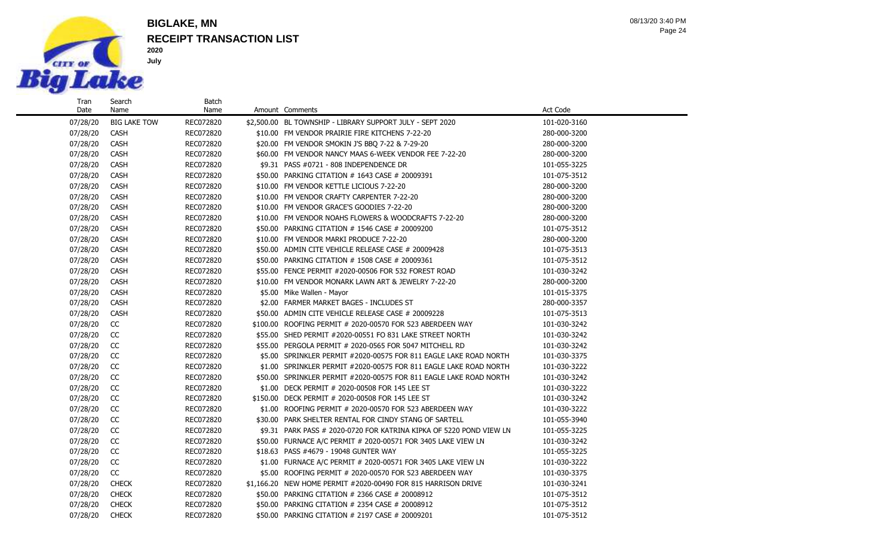

Search Name

### **RECEIPT TRANSACTION LIST BIGLAKE, MN**

Batch

Page 24 08/13/20 3:40 PM

#### 07/28/20 BIG LAKE TOW REC072820 \$2,500.00 BL TOWNSHIP - LIBRARY SUPPORT JULY - SEPT 2020 101-020-3160 07/28/20 CASH REC072820 \$10.00 FM VENDOR PRAIRIE FIRE KITCHENS 7-22-20 280-000-3200 07/28/20 CASH REC072820 \$20.00 FM VENDOR SMOKIN J'S BBQ 7-22 & 7-29-20 280-000-3200 07/28/20 CASH REC072820 \$60.00 FM VENDOR NANCY MAAS 6-WEEK VENDOR FEE 7-22-20 280-000-3200 07/28/20 CASH REC072820 \$9.31 PASS #0721 - 808 INDEPENDENCE DR 101-055-3225 07/28/20 CASH REC072820 \$50.00 PARKING CITATION # 1643 CASE # 20009391 101-075-3512 07/28/20 CASH REC072820 \$10.00 FM VENDOR KETTLE LICIOUS 7-22-20 280-000-3200 07/28/20 CASH REC072820 \$10.00 FM VENDOR CRAFTY CARPENTER 7-22-20 280-000-3200 07/28/20 CASH REC072820 \$10.00 FM VENDOR GRACE'S GOODIES 7-22-20 280-000-3200 07/28/20 CASH REC072820 \$10.00 FM VENDOR NOAHS FLOWERS & WOODCRAFTS 7-22-20 280-000-3200 07/28/20 CASH REC072820 \$50.00 PARKING CITATION # 1546 CASE # 20009200 101-075-3512 07/28/20 CASH REC072820 \$10.00 FM VENDOR MARKI PRODUCE 7-22-20 280-000-3200 280-000-3200 07/28/20 CASH REC072820 \$50.00 ADMIN CITE VEHICLE RELEASE CASE # 20009428 101-075-3513 07/28/20 CASH REC072820 \$50.00 PARKING CITATION # 1508 CASE # 20009361 101-075-3512 07/28/20 CASH REC072820 \$55.00 FENCE PERMIT #2020-00506 FOR 532 FOREST ROAD 101-030-3242 07/28/20 CASH REC072820 \$10.00 FM VENDOR MONARK LAWN ART & JEWELRY 7-22-20 280-000-3200 07/28/20 CASH REC072820 \$5.00 Mike Wallen - Mayor 101/28/20 101-015-3375 07/28/20 CASH REC072820 \$2.00 FARMER MARKET BAGES - INCLUDES ST 280-000-3357 07/28/20 CASH REC072820 \$50.00 ADMIN CITE VEHICLE RELEASE CASE # 20009228 101-075-3513 07/28/20 CC REC072820 \$100.00 ROOFING PERMIT # 2020-00570 FOR 523 ABERDEEN WAY 101-030-3242 07/28/20 CC REC072820 \$55.00 SHED PERMIT #2020-00551 FO 831 LAKE STREET NORTH 101-030-3242 07/28/20 CC REC072820 \$55.00 PERGOLA PERMIT # 2020-0565 FOR 5047 MITCHELL RD 101-030-3242 07/28/20 CC REC072820 \$5.00 SPRINKLER PERMIT #2020-00575 FOR 811 EAGLE LAKE ROAD NORTH 101-030-3375 07/28/20 CC REC072820 \$1.00 SPRINKLER PERMIT #2020-00575 FOR 811 EAGLE LAKE ROAD NORTH 101-030-3222 07/28/20 CC REC072820 \$50.00 SPRINKLER PERMIT #2020-00575 FOR 811 EAGLE LAKE ROAD NORTH 101-030-3242 07/28/20 CC REC072820 \$1.00 DECK PERMIT # 2020-00508 FOR 145 LEE ST 101-030-3222 07/28/20 CC REC072820 \$150.00 DECK PERMIT # 2020-00508 FOR 145 LEE ST 101-030-3242 07/28/20 CC REC072820 \$1.00 ROOFING PERMIT # 2020-00570 FOR 523 ABERDEEN WAY 101-030-3222 07/28/20 CC REC072820 \$30.00 PARK SHELTER RENTAL FOR CINDY STANG OF SARTELL 101-055-3940 07/28/20 CC REC072820 \$9.31 PARK PASS # 2020-0720 FOR KATRINA KIPKA OF 5220 POND VIEW LN 101-055-3225 07/28/20 CC REC072820 \$50.00 FURNACE A/C PERMIT # 2020-00571 FOR 3405 LAKE VIEW LN 101-030-3242 07/28/20 CC REC072820 \$18.63 PASS #4679 - 19048 GUNTER WAY 101-055-3225 07/28/20 CC REC072820 \$1.00 FURNACE A/C PERMIT # 2020-00571 FOR 3405 LAKE VIEW LN 101-030-3222 07/28/20 CC REC072820 \$5.00 ROOFING PERMIT # 2020-00570 FOR 523 ABERDEEN WAY 101-030-3375 07/28/20 CHECK REC072820 \$1,166.20 NEW HOME PERMIT #2020-00490 FOR 815 HARRISON DRIVE 101-030-3241 07/28/20 CHECK RECO72820 \$50.00 PARKING CITATION # 2366 CASE # 20008912 101-075-3512 07/28/20 CHECK RECO72820 \$50.00 PARKING CITATION # 2354 CASE # 20008912 101-075-3512

07/28/20 CHECK REC072820 \$50.00 PARKING CITATION # 2197 CASE # 20009201 101-075-3512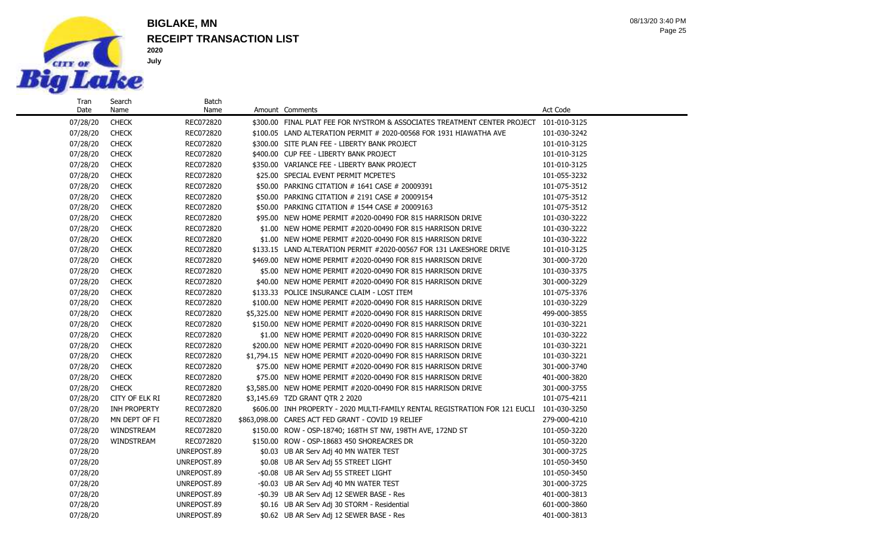

Date

Name

**2020 July**

## **RECEIPT TRANSACTION LIST BIGLAKE, MN**

Batch<br>Name

Page 25 08/13/20 3:40 PM

| 07/28/20 | <b>CHECK</b>   | REC072820   | \$300.00 FINAL PLAT FEE FOR NYSTROM & ASSOCIATES TREATMENT CENTER PROJECT 101-010-3125   |              |
|----------|----------------|-------------|------------------------------------------------------------------------------------------|--------------|
| 07/28/20 | <b>CHECK</b>   | REC072820   | \$100.05 LAND ALTERATION PERMIT # 2020-00568 FOR 1931 HIAWATHA AVE                       | 101-030-3242 |
| 07/28/20 | <b>CHECK</b>   | REC072820   | \$300.00 SITE PLAN FEE - LIBERTY BANK PROJECT                                            | 101-010-3125 |
| 07/28/20 | <b>CHECK</b>   | REC072820   | \$400.00 CUP FEE - LIBERTY BANK PROJECT                                                  | 101-010-3125 |
| 07/28/20 | <b>CHECK</b>   | REC072820   | \$350.00 VARIANCE FEE - LIBERTY BANK PROJECT                                             | 101-010-3125 |
| 07/28/20 | <b>CHECK</b>   | REC072820   | \$25.00 SPECIAL EVENT PERMIT MCPETE'S                                                    | 101-055-3232 |
| 07/28/20 | <b>CHECK</b>   | REC072820   | \$50.00 PARKING CITATION # 1641 CASE # 20009391                                          | 101-075-3512 |
| 07/28/20 | <b>CHECK</b>   | REC072820   | \$50.00 PARKING CITATION # 2191 CASE # 20009154                                          | 101-075-3512 |
| 07/28/20 | <b>CHECK</b>   | REC072820   | \$50.00 PARKING CITATION # 1544 CASE # 20009163                                          | 101-075-3512 |
| 07/28/20 | <b>CHECK</b>   | REC072820   | \$95.00 NEW HOME PERMIT #2020-00490 FOR 815 HARRISON DRIVE                               | 101-030-3222 |
| 07/28/20 | <b>CHECK</b>   | REC072820   | \$1.00 NEW HOME PERMIT #2020-00490 FOR 815 HARRISON DRIVE                                | 101-030-3222 |
| 07/28/20 | <b>CHECK</b>   | REC072820   | \$1.00 NEW HOME PERMIT #2020-00490 FOR 815 HARRISON DRIVE                                | 101-030-3222 |
| 07/28/20 | <b>CHECK</b>   | REC072820   | \$133.15 LAND ALTERATION PERMIT #2020-00567 FOR 131 LAKESHORE DRIVE                      | 101-010-3125 |
| 07/28/20 | <b>CHECK</b>   | REC072820   | \$469.00 NEW HOME PERMIT #2020-00490 FOR 815 HARRISON DRIVE                              | 301-000-3720 |
| 07/28/20 | <b>CHECK</b>   | REC072820   | \$5.00 NEW HOME PERMIT #2020-00490 FOR 815 HARRISON DRIVE                                | 101-030-3375 |
| 07/28/20 | <b>CHECK</b>   | REC072820   | \$40.00 NEW HOME PERMIT #2020-00490 FOR 815 HARRISON DRIVE                               | 301-000-3229 |
| 07/28/20 | <b>CHECK</b>   | REC072820   | \$133.33 POLICE INSURANCE CLAIM - LOST ITEM                                              | 101-075-3376 |
| 07/28/20 | <b>CHECK</b>   | REC072820   | \$100.00 NEW HOME PERMIT #2020-00490 FOR 815 HARRISON DRIVE                              | 101-030-3229 |
| 07/28/20 | <b>CHECK</b>   | REC072820   | \$5,325,00 NEW HOME PERMIT #2020-00490 FOR 815 HARRISON DRIVE                            | 499-000-3855 |
| 07/28/20 | <b>CHECK</b>   | REC072820   | \$150.00 NEW HOME PERMIT #2020-00490 FOR 815 HARRISON DRIVE                              | 101-030-3221 |
| 07/28/20 | <b>CHECK</b>   | REC072820   | \$1.00 NEW HOME PERMIT #2020-00490 FOR 815 HARRISON DRIVE                                | 101-030-3222 |
| 07/28/20 | <b>CHECK</b>   | REC072820   | \$200.00 NEW HOME PERMIT #2020-00490 FOR 815 HARRISON DRIVE                              | 101-030-3221 |
| 07/28/20 | <b>CHECK</b>   | REC072820   | \$1,794.15 NEW HOME PERMIT #2020-00490 FOR 815 HARRISON DRIVE                            | 101-030-3221 |
| 07/28/20 | <b>CHECK</b>   | REC072820   | \$75.00 NEW HOME PERMIT #2020-00490 FOR 815 HARRISON DRIVE                               | 301-000-3740 |
| 07/28/20 | <b>CHECK</b>   | REC072820   | \$75.00 NEW HOME PERMIT #2020-00490 FOR 815 HARRISON DRIVE                               | 401-000-3820 |
| 07/28/20 | <b>CHECK</b>   | REC072820   | \$3,585.00 NEW HOME PERMIT #2020-00490 FOR 815 HARRISON DRIVE                            | 301-000-3755 |
| 07/28/20 | CITY OF ELK RI | REC072820   | \$3,145.69 TZD GRANT OTR 2 2020                                                          | 101-075-4211 |
| 07/28/20 | INH PROPERTY   | REC072820   | \$606.00 INH PROPERTY - 2020 MULTI-FAMILY RENTAL REGISTRATION FOR 121 EUCLI 101-030-3250 |              |
| 07/28/20 | MN DEPT OF FI  | REC072820   | \$863,098.00 CARES ACT FED GRANT - COVID 19 RELIEF                                       | 279-000-4210 |
| 07/28/20 | WINDSTREAM     | REC072820   | \$150.00 ROW - OSP-18740; 168TH ST NW, 198TH AVE, 172ND ST                               | 101-050-3220 |
| 07/28/20 | WINDSTREAM     | REC072820   | \$150.00 ROW - OSP-18683 450 SHOREACRES DR                                               | 101-050-3220 |
| 07/28/20 |                | UNREPOST.89 | \$0.03 UB AR Serv Adj 40 MN WATER TEST                                                   | 301-000-3725 |
| 07/28/20 |                | UNREPOST.89 | \$0.08 UB AR Serv Adj 55 STREET LIGHT                                                    | 101-050-3450 |
| 07/28/20 |                | UNREPOST.89 | -\$0.08 UB AR Serv Adj 55 STREET LIGHT                                                   | 101-050-3450 |
| 07/28/20 |                | UNREPOST.89 | -\$0.03 UB AR Serv Adj 40 MN WATER TEST                                                  | 301-000-3725 |
| 07/28/20 |                | UNREPOST.89 | -\$0.39 UB AR Serv Adj 12 SEWER BASE - Res                                               | 401-000-3813 |
| 07/28/20 |                | UNREPOST.89 | \$0.16 UB AR Serv Adj 30 STORM - Residential                                             | 601-000-3860 |

07/28/20 UNREPOST.89 \$0.62 UB AR Serv Adj 12 SEWER BASE - Res 401-000-3813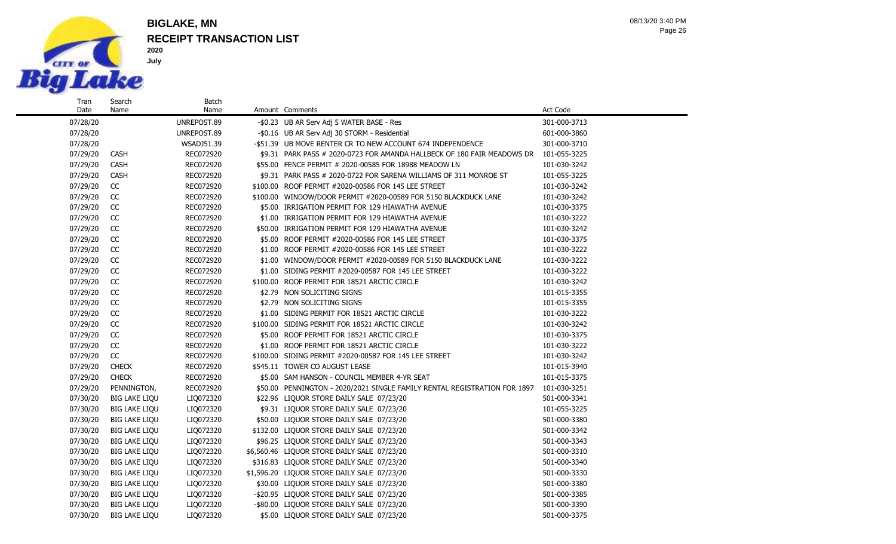

## **RECEIPT TRANSACTION LIST BIGLAKE, MN**

**2020 July**

Batch

Page 26 08/13/20 3:40 PM

| Tran     | Search               | Batch       |                                                                           |              |
|----------|----------------------|-------------|---------------------------------------------------------------------------|--------------|
| Date     | Name                 | Name        | Amount Comments                                                           | Act Code     |
| 07/28/20 |                      | UNREPOST.89 | -\$0.23 UB AR Serv Adj 5 WATER BASE - Res                                 | 301-000-3713 |
| 07/28/20 |                      | UNREPOST.89 | -\$0.16 UB AR Serv Adj 30 STORM - Residential                             | 601-000-3860 |
| 07/28/20 |                      | WSADJ51.39  | -\$51.39 UB MOVE RENTER CR TO NEW ACCOUNT 674 INDEPENDENCE                | 301-000-3710 |
| 07/29/20 | <b>CASH</b>          | REC072920   | \$9.31 PARK PASS # 2020-0723 FOR AMANDA HALLBECK OF 180 FAIR MEADOWS DR   | 101-055-3225 |
| 07/29/20 | CASH                 | REC072920   | \$55.00 FENCE PERMIT # 2020-00585 FOR 18988 MEADOW LN                     | 101-030-3242 |
| 07/29/20 | <b>CASH</b>          | REC072920   | \$9.31 PARK PASS # 2020-0722 FOR SARENA WILLIAMS OF 311 MONROE ST         | 101-055-3225 |
| 07/29/20 | CC                   | REC072920   | \$100.00 ROOF PERMIT #2020-00586 FOR 145 LEE STREET                       | 101-030-3242 |
| 07/29/20 | <b>CC</b>            | REC072920   | \$100.00 WINDOW/DOOR PERMIT #2020-00589 FOR 5150 BLACKDUCK LANE           | 101-030-3242 |
| 07/29/20 | <b>CC</b>            | REC072920   | \$5.00 IRRIGATION PERMIT FOR 129 HIAWATHA AVENUE                          | 101-030-3375 |
| 07/29/20 | CC                   | REC072920   | \$1.00 IRRIGATION PERMIT FOR 129 HIAWATHA AVENUE                          | 101-030-3222 |
| 07/29/20 | CC                   | REC072920   | \$50.00 IRRIGATION PERMIT FOR 129 HIAWATHA AVENUE                         | 101-030-3242 |
| 07/29/20 | CC                   | REC072920   | \$5.00 ROOF PERMIT #2020-00586 FOR 145 LEE STREET                         | 101-030-3375 |
| 07/29/20 | CC                   | REC072920   | \$1.00 ROOF PERMIT #2020-00586 FOR 145 LEE STREET                         | 101-030-3222 |
| 07/29/20 | CC                   | REC072920   | \$1.00 WINDOW/DOOR PERMIT #2020-00589 FOR 5150 BLACKDUCK LANE             | 101-030-3222 |
| 07/29/20 | CC                   | REC072920   | \$1.00 SIDING PERMIT #2020-00587 FOR 145 LEE STREET                       | 101-030-3222 |
| 07/29/20 | CC                   | REC072920   | \$100.00 ROOF PERMIT FOR 18521 ARCTIC CIRCLE                              | 101-030-3242 |
| 07/29/20 | CC                   | REC072920   | \$2.79 NON SOLICITING SIGNS                                               | 101-015-3355 |
| 07/29/20 | CC                   | REC072920   | \$2.79 NON SOLICITING SIGNS                                               | 101-015-3355 |
| 07/29/20 | CC                   | REC072920   | \$1.00 SIDING PERMIT FOR 18521 ARCTIC CIRCLE                              | 101-030-3222 |
| 07/29/20 | CC                   | REC072920   | \$100.00 SIDING PERMIT FOR 18521 ARCTIC CIRCLE                            | 101-030-3242 |
| 07/29/20 | CC                   | REC072920   | \$5.00 ROOF PERMIT FOR 18521 ARCTIC CIRCLE                                | 101-030-3375 |
| 07/29/20 | CC                   | REC072920   | \$1.00 ROOF PERMIT FOR 18521 ARCTIC CIRCLE                                | 101-030-3222 |
| 07/29/20 | CC                   | REC072920   | \$100.00 SIDING PERMIT #2020-00587 FOR 145 LEE STREET                     | 101-030-3242 |
| 07/29/20 | <b>CHECK</b>         | REC072920   | \$545.11 TOWER CO AUGUST LEASE                                            | 101-015-3940 |
| 07/29/20 | <b>CHECK</b>         | REC072920   | \$5.00 SAM HANSON - COUNCIL MEMBER 4-YR SEAT                              | 101-015-3375 |
| 07/29/20 | PENNINGTON,          | REC072920   | \$50.00 PENNINGTON - 2020/2021 SINGLE FAMILY RENTAL REGISTRATION FOR 1897 | 101-030-3251 |
| 07/30/20 | <b>BIG LAKE LIQU</b> | LIQ072320   | \$22.96 LIQUOR STORE DAILY SALE 07/23/20                                  | 501-000-3341 |
| 07/30/20 | <b>BIG LAKE LIQU</b> | LIQ072320   | \$9.31 LIQUOR STORE DAILY SALE 07/23/20                                   | 101-055-3225 |
| 07/30/20 | <b>BIG LAKE LIQU</b> | LIQ072320   | \$50.00 LIQUOR STORE DAILY SALE 07/23/20                                  | 501-000-3380 |
| 07/30/20 | <b>BIG LAKE LIQU</b> | LIQ072320   | \$132.00 LIQUOR STORE DAILY SALE 07/23/20                                 | 501-000-3342 |
| 07/30/20 | <b>BIG LAKE LIQU</b> | LIQ072320   | \$96.25 LIQUOR STORE DAILY SALE 07/23/20                                  | 501-000-3343 |
| 07/30/20 | <b>BIG LAKE LIQU</b> | LIQ072320   | \$6,560.46 LIQUOR STORE DAILY SALE 07/23/20                               | 501-000-3310 |
| 07/30/20 | <b>BIG LAKE LIQU</b> | LIQ072320   | \$316.83 LIQUOR STORE DAILY SALE 07/23/20                                 | 501-000-3340 |
| 07/30/20 | <b>BIG LAKE LIQU</b> | LIQ072320   | \$1,596.20 LIQUOR STORE DAILY SALE 07/23/20                               | 501-000-3330 |
| 07/30/20 | <b>BIG LAKE LIQU</b> | LIQ072320   | \$30.00 LIQUOR STORE DAILY SALE 07/23/20                                  | 501-000-3380 |
| 07/30/20 | <b>BIG LAKE LIQU</b> | LIQ072320   | -\$20.95 LIQUOR STORE DAILY SALE 07/23/20                                 | 501-000-3385 |
| 07/30/20 | <b>BIG LAKE LIQU</b> | LIQ072320   | -\$80.00 LIQUOR STORE DAILY SALE 07/23/20                                 | 501-000-3390 |
| 07/30/20 | <b>BIG LAKE LIQU</b> | LIQ072320   | \$5.00 LIQUOR STORE DAILY SALE 07/23/20                                   | 501-000-3375 |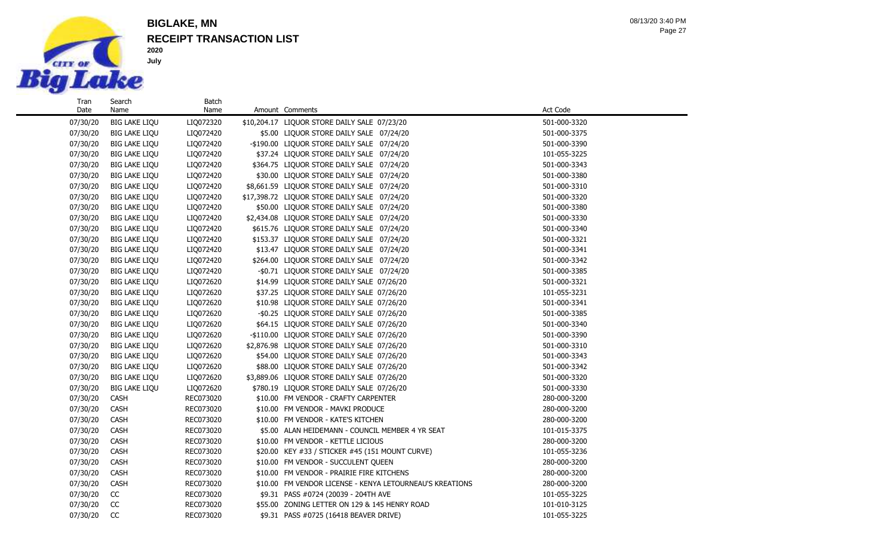

Search Name

**2020 July**

## **RECEIPT TRANSACTION LIST BIGLAKE, MN**

Batch<br>Name

Page 27 08/13/20 3:40 PM

| 07/30/20 | <b>BIG LAKE LIQU</b> | LIQ072320 | \$10,204.17 LIQUOR STORE DAILY SALE 07/23/20             | 501-000-3320 |  |
|----------|----------------------|-----------|----------------------------------------------------------|--------------|--|
| 07/30/20 | <b>BIG LAKE LIQU</b> | LIQ072420 | \$5.00 LIQUOR STORE DAILY SALE 07/24/20                  | 501-000-3375 |  |
| 07/30/20 | <b>BIG LAKE LIQU</b> | LIQ072420 | -\$190.00 LIQUOR STORE DAILY SALE 07/24/20               | 501-000-3390 |  |
| 07/30/20 | <b>BIG LAKE LIQU</b> | LIQ072420 | \$37.24 LIQUOR STORE DAILY SALE 07/24/20                 | 101-055-3225 |  |
| 07/30/20 | <b>BIG LAKE LIQU</b> | LIQ072420 | \$364.75 LIQUOR STORE DAILY SALE 07/24/20                | 501-000-3343 |  |
| 07/30/20 | <b>BIG LAKE LIQU</b> | LIQ072420 | \$30.00 LIQUOR STORE DAILY SALE 07/24/20                 | 501-000-3380 |  |
| 07/30/20 | <b>BIG LAKE LIQU</b> | LIQ072420 | \$8,661.59 LIQUOR STORE DAILY SALE 07/24/20              | 501-000-3310 |  |
| 07/30/20 | <b>BIG LAKE LIQU</b> | LIQ072420 | \$17,398.72 LIQUOR STORE DAILY SALE 07/24/20             | 501-000-3320 |  |
| 07/30/20 | <b>BIG LAKE LIQU</b> | LIQ072420 | \$50.00 LIQUOR STORE DAILY SALE 07/24/20                 | 501-000-3380 |  |
| 07/30/20 | <b>BIG LAKE LIQU</b> | LIQ072420 | \$2,434.08 LIQUOR STORE DAILY SALE 07/24/20              | 501-000-3330 |  |
| 07/30/20 | <b>BIG LAKE LIQU</b> | LIQ072420 | \$615.76 LIQUOR STORE DAILY SALE 07/24/20                | 501-000-3340 |  |
| 07/30/20 | <b>BIG LAKE LIQU</b> | LIQ072420 | \$153.37 LIQUOR STORE DAILY SALE 07/24/20                | 501-000-3321 |  |
| 07/30/20 | <b>BIG LAKE LIQU</b> | LIQ072420 | \$13.47 LIQUOR STORE DAILY SALE 07/24/20                 | 501-000-3341 |  |
| 07/30/20 | <b>BIG LAKE LIQU</b> | LIQ072420 | \$264.00 LIQUOR STORE DAILY SALE 07/24/20                | 501-000-3342 |  |
| 07/30/20 | <b>BIG LAKE LIQU</b> | LIQ072420 | -\$0.71 LIQUOR STORE DAILY SALE 07/24/20                 | 501-000-3385 |  |
| 07/30/20 | <b>BIG LAKE LIQU</b> | LIQ072620 | \$14.99 LIQUOR STORE DAILY SALE 07/26/20                 | 501-000-3321 |  |
| 07/30/20 | <b>BIG LAKE LIQU</b> | LIQ072620 | \$37.25 LIQUOR STORE DAILY SALE 07/26/20                 | 101-055-3231 |  |
| 07/30/20 | <b>BIG LAKE LIQU</b> | LIQ072620 | \$10.98 LIQUOR STORE DAILY SALE 07/26/20                 | 501-000-3341 |  |
| 07/30/20 | <b>BIG LAKE LIQU</b> | LIQ072620 | -\$0.25 LIQUOR STORE DAILY SALE 07/26/20                 | 501-000-3385 |  |
| 07/30/20 | <b>BIG LAKE LIQU</b> | LIQ072620 | \$64.15 LIQUOR STORE DAILY SALE 07/26/20                 | 501-000-3340 |  |
| 07/30/20 | <b>BIG LAKE LIQU</b> | LIQ072620 | -\$110.00 LIQUOR STORE DAILY SALE 07/26/20               | 501-000-3390 |  |
| 07/30/20 | <b>BIG LAKE LIQU</b> | LIQ072620 | \$2,876.98 LIQUOR STORE DAILY SALE 07/26/20              | 501-000-3310 |  |
| 07/30/20 | <b>BIG LAKE LIQU</b> | LIQ072620 | \$54.00 LIQUOR STORE DAILY SALE 07/26/20                 | 501-000-3343 |  |
| 07/30/20 | <b>BIG LAKE LIQU</b> | LIQ072620 | \$88.00 LIQUOR STORE DAILY SALE 07/26/20                 | 501-000-3342 |  |
| 07/30/20 | <b>BIG LAKE LIQU</b> | LIQ072620 | \$3,889.06 LIQUOR STORE DAILY SALE 07/26/20              | 501-000-3320 |  |
| 07/30/20 | <b>BIG LAKE LIQU</b> | LIQ072620 | \$780.19 LIQUOR STORE DAILY SALE 07/26/20                | 501-000-3330 |  |
| 07/30/20 | CASH                 | REC073020 | \$10.00 FM VENDOR - CRAFTY CARPENTER                     | 280-000-3200 |  |
| 07/30/20 | <b>CASH</b>          | REC073020 | \$10.00 FM VENDOR - MAVKI PRODUCE                        | 280-000-3200 |  |
| 07/30/20 | <b>CASH</b>          | REC073020 | \$10.00 FM VENDOR - KATE'S KITCHEN                       | 280-000-3200 |  |
| 07/30/20 | CASH                 | REC073020 | \$5.00 ALAN HEIDEMANN - COUNCIL MEMBER 4 YR SEAT         | 101-015-3375 |  |
| 07/30/20 | <b>CASH</b>          | REC073020 | \$10.00 FM VENDOR - KETTLE LICIOUS                       | 280-000-3200 |  |
| 07/30/20 | CASH                 | REC073020 | \$20.00 KEY #33 / STICKER #45 (151 MOUNT CURVE)          | 101-055-3236 |  |
| 07/30/20 | <b>CASH</b>          | REC073020 | \$10.00 FM VENDOR - SUCCULENT QUEEN                      | 280-000-3200 |  |
| 07/30/20 | CASH                 | REC073020 | \$10.00 FM VENDOR - PRAIRIE FIRE KITCHENS                | 280-000-3200 |  |
| 07/30/20 | <b>CASH</b>          | REC073020 | \$10.00 FM VENDOR LICENSE - KENYA LETOURNEAU'S KREATIONS | 280-000-3200 |  |
| 07/30/20 | CC                   | REC073020 | \$9.31 PASS #0724 (20039 - 204TH AVE                     | 101-055-3225 |  |
| 07/30/20 | <b>CC</b>            | REC073020 | \$55.00 ZONING LETTER ON 129 & 145 HENRY ROAD            | 101-010-3125 |  |
| 07/30/20 | <b>CC</b>            | REC073020 | \$9.31 PASS #0725 (16418 BEAVER DRIVE)                   | 101-055-3225 |  |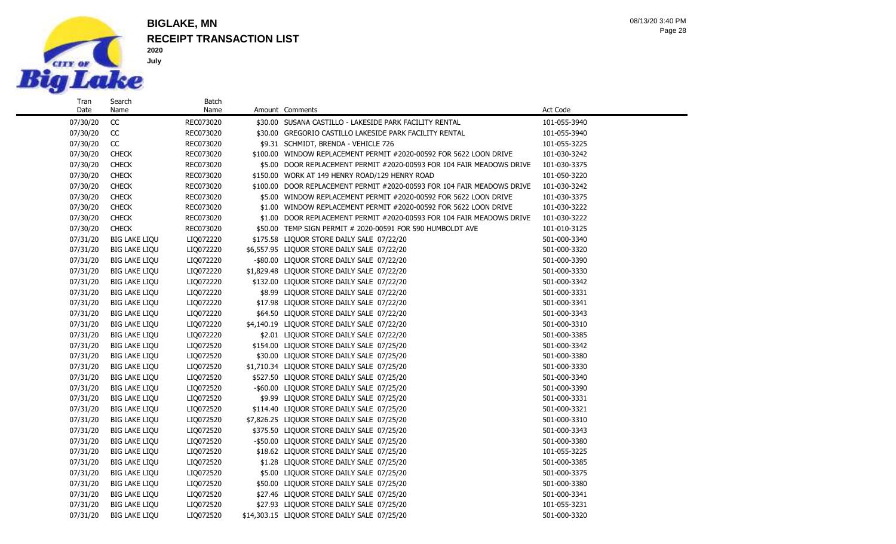

## **RECEIPT TRANSACTION LIST BIGLAKE, MN**

**2020 July**

Page 28 08/13/20 3:40 PM

| Tran     | Search               | Batch     |                                                                         |              |
|----------|----------------------|-----------|-------------------------------------------------------------------------|--------------|
| Date     | Name                 | Name      | Amount Comments                                                         | Act Code     |
| 07/30/20 | CC                   | REC073020 | \$30.00 SUSANA CASTILLO - LAKESIDE PARK FACILITY RENTAL                 | 101-055-3940 |
| 07/30/20 | CC                   | REC073020 | \$30.00 GREGORIO CASTILLO LAKESIDE PARK FACILITY RENTAL                 | 101-055-3940 |
| 07/30/20 | CC                   | REC073020 | \$9.31 SCHMIDT, BRENDA - VEHICLE 726                                    | 101-055-3225 |
| 07/30/20 | <b>CHECK</b>         | REC073020 | \$100.00 WINDOW REPLACEMENT PERMIT #2020-00592 FOR 5622 LOON DRIVE      | 101-030-3242 |
| 07/30/20 | <b>CHECK</b>         | REC073020 | \$5.00 DOOR REPLACEMENT PERMIT #2020-00593 FOR 104 FAIR MEADOWS DRIVE   | 101-030-3375 |
| 07/30/20 | <b>CHECK</b>         | REC073020 | \$150.00 WORK AT 149 HENRY ROAD/129 HENRY ROAD                          | 101-050-3220 |
| 07/30/20 | <b>CHECK</b>         | REC073020 | \$100.00 DOOR REPLACEMENT PERMIT #2020-00593 FOR 104 FAIR MEADOWS DRIVE | 101-030-3242 |
| 07/30/20 | <b>CHECK</b>         | REC073020 | \$5.00 WINDOW REPLACEMENT PERMIT #2020-00592 FOR 5622 LOON DRIVE        | 101-030-3375 |
| 07/30/20 | <b>CHECK</b>         | REC073020 | \$1.00 WINDOW REPLACEMENT PERMIT #2020-00592 FOR 5622 LOON DRIVE        | 101-030-3222 |
| 07/30/20 | <b>CHECK</b>         | REC073020 | \$1.00 DOOR REPLACEMENT PERMIT #2020-00593 FOR 104 FAIR MEADOWS DRIVE   | 101-030-3222 |
| 07/30/20 | <b>CHECK</b>         | REC073020 | \$50.00 TEMP SIGN PERMIT # 2020-00591 FOR 590 HUMBOLDT AVE              | 101-010-3125 |
| 07/31/20 | <b>BIG LAKE LIQU</b> | LIQ072220 | \$175.58 LIQUOR STORE DAILY SALE 07/22/20                               | 501-000-3340 |
| 07/31/20 | <b>BIG LAKE LIQU</b> | LIQ072220 | \$6,557.95 LIQUOR STORE DAILY SALE 07/22/20                             | 501-000-3320 |
| 07/31/20 | <b>BIG LAKE LIQU</b> | LIQ072220 | -\$80.00 LIQUOR STORE DAILY SALE 07/22/20                               | 501-000-3390 |
| 07/31/20 | <b>BIG LAKE LIQU</b> | LIQ072220 | \$1,829.48 LIQUOR STORE DAILY SALE 07/22/20                             | 501-000-3330 |
| 07/31/20 | <b>BIG LAKE LIQU</b> | LIQ072220 | \$132.00 LIQUOR STORE DAILY SALE 07/22/20                               | 501-000-3342 |
| 07/31/20 | <b>BIG LAKE LIQU</b> | LIQ072220 | \$8.99 LIQUOR STORE DAILY SALE 07/22/20                                 | 501-000-3331 |
| 07/31/20 | <b>BIG LAKE LIQU</b> | LIQ072220 | \$17.98 LIQUOR STORE DAILY SALE 07/22/20                                | 501-000-3341 |
| 07/31/20 | <b>BIG LAKE LIQU</b> | LIQ072220 | \$64.50 LIQUOR STORE DAILY SALE 07/22/20                                | 501-000-3343 |
| 07/31/20 | <b>BIG LAKE LIQU</b> | LIQ072220 | \$4,140.19 LIQUOR STORE DAILY SALE 07/22/20                             | 501-000-3310 |
| 07/31/20 | <b>BIG LAKE LIQU</b> | LIQ072220 | \$2.01 LIQUOR STORE DAILY SALE 07/22/20                                 | 501-000-3385 |
| 07/31/20 | <b>BIG LAKE LIQU</b> | LIQ072520 | \$154.00 LIQUOR STORE DAILY SALE 07/25/20                               | 501-000-3342 |
| 07/31/20 | <b>BIG LAKE LIQU</b> | LIQ072520 | \$30.00 LIQUOR STORE DAILY SALE 07/25/20                                | 501-000-3380 |
| 07/31/20 | <b>BIG LAKE LIQU</b> | LIQ072520 | \$1,710.34 LIQUOR STORE DAILY SALE 07/25/20                             | 501-000-3330 |
| 07/31/20 | <b>BIG LAKE LIQU</b> | LIQ072520 | \$527.50 LIQUOR STORE DAILY SALE 07/25/20                               | 501-000-3340 |
| 07/31/20 | <b>BIG LAKE LIQU</b> | LIQ072520 | -\$60.00 LIQUOR STORE DAILY SALE 07/25/20                               | 501-000-3390 |
| 07/31/20 | <b>BIG LAKE LIQU</b> | LIQ072520 | \$9.99 LIQUOR STORE DAILY SALE 07/25/20                                 | 501-000-3331 |
| 07/31/20 | <b>BIG LAKE LIQU</b> | LIQ072520 | \$114.40 LIQUOR STORE DAILY SALE 07/25/20                               | 501-000-3321 |
| 07/31/20 | <b>BIG LAKE LIQU</b> | LIQ072520 | \$7,826.25 LIQUOR STORE DAILY SALE 07/25/20                             | 501-000-3310 |
| 07/31/20 | <b>BIG LAKE LIQU</b> | LIQ072520 | \$375.50 LIQUOR STORE DAILY SALE 07/25/20                               | 501-000-3343 |
| 07/31/20 | <b>BIG LAKE LIQU</b> | LIQ072520 | -\$50.00 LIQUOR STORE DAILY SALE 07/25/20                               | 501-000-3380 |
| 07/31/20 | <b>BIG LAKE LIQU</b> | LIQ072520 | \$18.62 LIQUOR STORE DAILY SALE 07/25/20                                | 101-055-3225 |
| 07/31/20 | <b>BIG LAKE LIQU</b> | LIQ072520 | \$1.28 LIQUOR STORE DAILY SALE 07/25/20                                 | 501-000-3385 |
| 07/31/20 | <b>BIG LAKE LIQU</b> | LIQ072520 | \$5.00 LIQUOR STORE DAILY SALE 07/25/20                                 | 501-000-3375 |
| 07/31/20 | <b>BIG LAKE LIQU</b> | LIQ072520 | \$50.00 LIQUOR STORE DAILY SALE 07/25/20                                | 501-000-3380 |
| 07/31/20 | <b>BIG LAKE LIQU</b> | LIQ072520 | \$27.46 LIQUOR STORE DAILY SALE 07/25/20                                | 501-000-3341 |
| 07/31/20 | <b>BIG LAKE LIQU</b> | LIQ072520 | \$27.93 LIQUOR STORE DAILY SALE 07/25/20                                | 101-055-3231 |
| 07/31/20 | <b>BIG LAKE LIQU</b> | LIQ072520 | \$14,303.15 LIQUOR STORE DAILY SALE 07/25/20                            | 501-000-3320 |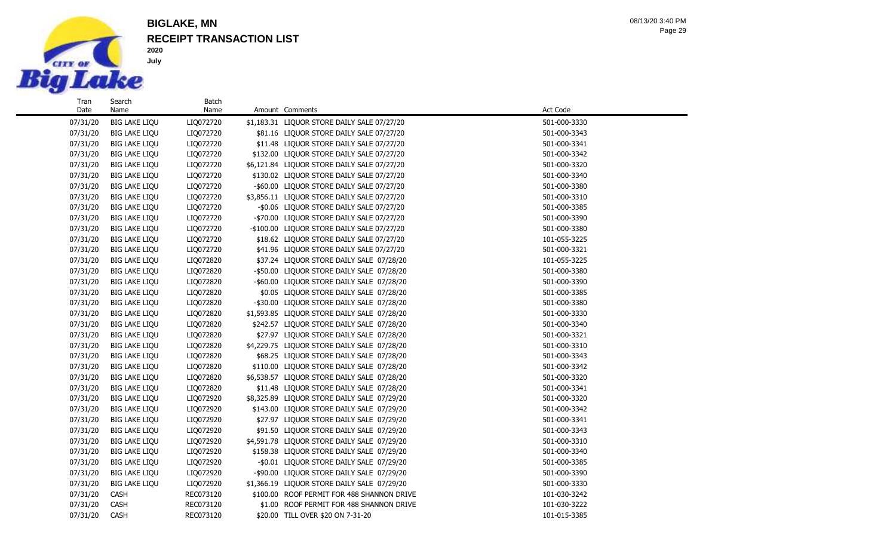

## **RECEIPT TRANSACTION LIST BIGLAKE, MN**

| Tran     | Search               | Batch     |                                             |              |
|----------|----------------------|-----------|---------------------------------------------|--------------|
| Date     | Name                 | Name      | Amount Comments                             | Act Code     |
| 07/31/20 | <b>BIG LAKE LIQU</b> | LIQ072720 | \$1,183.31 LIQUOR STORE DAILY SALE 07/27/20 | 501-000-3330 |
| 07/31/20 | <b>BIG LAKE LIQU</b> | LIQ072720 | \$81.16 LIQUOR STORE DAILY SALE 07/27/20    | 501-000-3343 |
| 07/31/20 | <b>BIG LAKE LIQU</b> | LIQ072720 | \$11.48 LIQUOR STORE DAILY SALE 07/27/20    | 501-000-3341 |
| 07/31/20 | <b>BIG LAKE LIQU</b> | LIQ072720 | \$132.00 LIQUOR STORE DAILY SALE 07/27/20   | 501-000-3342 |
| 07/31/20 | <b>BIG LAKE LIQU</b> | LIQ072720 | \$6,121.84 LIQUOR STORE DAILY SALE 07/27/20 | 501-000-3320 |
| 07/31/20 | <b>BIG LAKE LIQU</b> | LIQ072720 | \$130.02 LIQUOR STORE DAILY SALE 07/27/20   | 501-000-3340 |
| 07/31/20 | <b>BIG LAKE LIQU</b> | LIQ072720 | -\$60.00 LIQUOR STORE DAILY SALE 07/27/20   | 501-000-3380 |
| 07/31/20 | <b>BIG LAKE LIQU</b> | LIQ072720 | \$3,856.11 LIQUOR STORE DAILY SALE 07/27/20 | 501-000-3310 |
| 07/31/20 | <b>BIG LAKE LIQU</b> | LIQ072720 | -\$0.06 LIQUOR STORE DAILY SALE 07/27/20    | 501-000-3385 |
| 07/31/20 | <b>BIG LAKE LIQU</b> | LIQ072720 | -\$70.00 LIQUOR STORE DAILY SALE 07/27/20   | 501-000-3390 |
| 07/31/20 | <b>BIG LAKE LIQU</b> | LIQ072720 | -\$100.00 LIQUOR STORE DAILY SALE 07/27/20  | 501-000-3380 |
| 07/31/20 | <b>BIG LAKE LIQU</b> | LIQ072720 | \$18.62 LIQUOR STORE DAILY SALE 07/27/20    | 101-055-3225 |
| 07/31/20 | <b>BIG LAKE LIQU</b> | LIQ072720 | \$41.96 LIQUOR STORE DAILY SALE 07/27/20    | 501-000-3321 |
| 07/31/20 | <b>BIG LAKE LIQU</b> | LIQ072820 | \$37.24 LIQUOR STORE DAILY SALE 07/28/20    | 101-055-3225 |
| 07/31/20 | <b>BIG LAKE LIQU</b> | LIQ072820 | -\$50.00 LIQUOR STORE DAILY SALE 07/28/20   | 501-000-3380 |
| 07/31/20 | <b>BIG LAKE LIQU</b> | LIQ072820 | -\$60.00 LIQUOR STORE DAILY SALE 07/28/20   | 501-000-3390 |
| 07/31/20 | <b>BIG LAKE LIQU</b> | LIQ072820 | \$0.05 LIQUOR STORE DAILY SALE 07/28/20     | 501-000-3385 |
| 07/31/20 | <b>BIG LAKE LIQU</b> | LIQ072820 | -\$30.00 LIQUOR STORE DAILY SALE 07/28/20   | 501-000-3380 |
| 07/31/20 | <b>BIG LAKE LIQU</b> | LIQ072820 | \$1,593.85 LIQUOR STORE DAILY SALE 07/28/20 | 501-000-3330 |
| 07/31/20 | <b>BIG LAKE LIQU</b> | LIQ072820 | \$242.57 LIQUOR STORE DAILY SALE 07/28/20   | 501-000-3340 |
| 07/31/20 | <b>BIG LAKE LIQU</b> | LIQ072820 | \$27.97 LIQUOR STORE DAILY SALE 07/28/20    | 501-000-3321 |
| 07/31/20 | <b>BIG LAKE LIQU</b> | LIQ072820 | \$4,229.75 LIQUOR STORE DAILY SALE 07/28/20 | 501-000-3310 |
| 07/31/20 | <b>BIG LAKE LIQU</b> | LIQ072820 | \$68.25 LIQUOR STORE DAILY SALE 07/28/20    | 501-000-3343 |
| 07/31/20 | <b>BIG LAKE LIQU</b> | LIQ072820 | \$110.00 LIQUOR STORE DAILY SALE 07/28/20   | 501-000-3342 |
| 07/31/20 | <b>BIG LAKE LIQU</b> | LIQ072820 | \$6,538.57 LIQUOR STORE DAILY SALE 07/28/20 | 501-000-3320 |
| 07/31/20 | <b>BIG LAKE LIQU</b> | LIQ072820 | \$11.48 LIQUOR STORE DAILY SALE 07/28/20    | 501-000-3341 |
| 07/31/20 | <b>BIG LAKE LIQU</b> | LIQ072920 | \$8,325.89 LIQUOR STORE DAILY SALE 07/29/20 | 501-000-3320 |
| 07/31/20 | <b>BIG LAKE LIQU</b> | LIQ072920 | \$143.00 LIQUOR STORE DAILY SALE 07/29/20   | 501-000-3342 |
| 07/31/20 | <b>BIG LAKE LIQU</b> | LIQ072920 | \$27.97 LIQUOR STORE DAILY SALE 07/29/20    | 501-000-3341 |
| 07/31/20 | <b>BIG LAKE LIQU</b> | LIQ072920 | \$91.50 LIQUOR STORE DAILY SALE 07/29/20    | 501-000-3343 |
| 07/31/20 | <b>BIG LAKE LIQU</b> | LIQ072920 | \$4,591.78 LIQUOR STORE DAILY SALE 07/29/20 | 501-000-3310 |
| 07/31/20 | <b>BIG LAKE LIQU</b> | LIQ072920 | \$158.38 LIQUOR STORE DAILY SALE 07/29/20   | 501-000-3340 |
| 07/31/20 | <b>BIG LAKE LIQU</b> | LIQ072920 | -\$0.01 LIQUOR STORE DAILY SALE 07/29/20    | 501-000-3385 |
| 07/31/20 | <b>BIG LAKE LIQU</b> | LIQ072920 | -\$90.00 LIQUOR STORE DAILY SALE 07/29/20   | 501-000-3390 |
| 07/31/20 | <b>BIG LAKE LIQU</b> | LIQ072920 | \$1,366.19 LIQUOR STORE DAILY SALE 07/29/20 | 501-000-3330 |
| 07/31/20 | CASH                 | REC073120 | \$100.00 ROOF PERMIT FOR 488 SHANNON DRIVE  | 101-030-3242 |
| 07/31/20 | <b>CASH</b>          | REC073120 | \$1.00 ROOF PERMIT FOR 488 SHANNON DRIVE    | 101-030-3222 |
| 07/31/20 | <b>CASH</b>          | REC073120 | \$20.00 TILL OVER \$20 ON 7-31-20           | 101-015-3385 |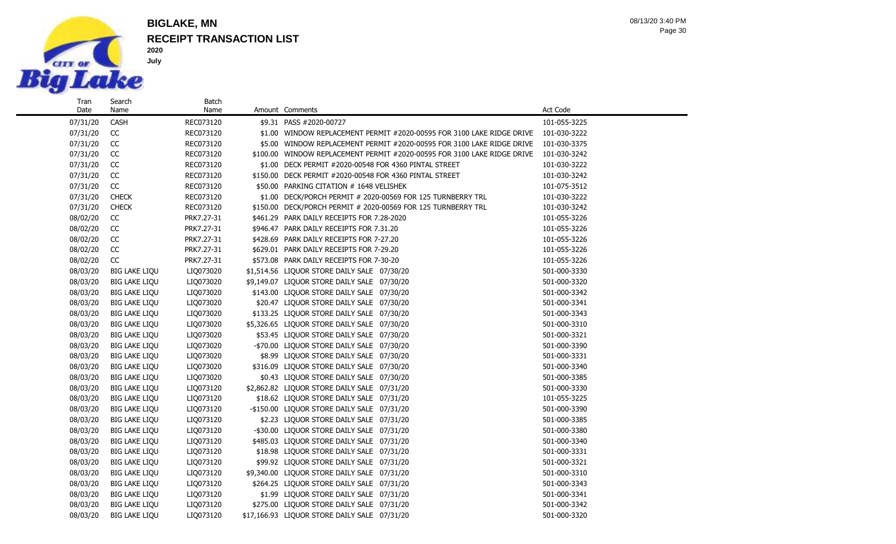

Search Name

**2020 July**

## **RECEIPT TRANSACTION LIST BIGLAKE, MN**

Batch<br>Name

Page 30 08/13/20 3:40 PM

| 07/31/20 | <b>CASH</b>          | REC073120  |          | \$9.31 PASS #2020-00727                                                  | 101-055-3225 |
|----------|----------------------|------------|----------|--------------------------------------------------------------------------|--------------|
| 07/31/20 | CC                   | REC073120  |          | \$1.00 WINDOW REPLACEMENT PERMIT #2020-00595 FOR 3100 LAKE RIDGE DRIVE   | 101-030-3222 |
| 07/31/20 | CC                   | REC073120  |          | \$5.00 WINDOW REPLACEMENT PERMIT #2020-00595 FOR 3100 LAKE RIDGE DRIVE   | 101-030-3375 |
| 07/31/20 | CC                   | REC073120  |          | \$100.00 WINDOW REPLACEMENT PERMIT #2020-00595 FOR 3100 LAKE RIDGE DRIVE | 101-030-3242 |
| 07/31/20 | CC                   | REC073120  |          | \$1.00 DECK PERMIT #2020-00548 FOR 4360 PINTAL STREET                    | 101-030-3222 |
| 07/31/20 | CC                   | REC073120  |          | \$150.00 DECK PERMIT #2020-00548 FOR 4360 PINTAL STREET                  | 101-030-3242 |
| 07/31/20 | CC                   | REC073120  |          | \$50.00 PARKING CITATION # 1648 VELISHEK                                 | 101-075-3512 |
| 07/31/20 | <b>CHECK</b>         | REC073120  | \$1.00   | DECK/PORCH PERMIT # 2020-00569 FOR 125 TURNBERRY TRL                     | 101-030-3222 |
| 07/31/20 | <b>CHECK</b>         | REC073120  | \$150.00 | DECK/PORCH PERMIT # 2020-00569 FOR 125 TURNBERRY TRL                     | 101-030-3242 |
| 08/02/20 | CC                   | PRK7.27-31 |          | \$461.29 PARK DAILY RECEIPTS FOR 7.28-2020                               | 101-055-3226 |
| 08/02/20 | CC                   | PRK7.27-31 |          | \$946.47 PARK DAILY RECEIPTS FOR 7.31.20                                 | 101-055-3226 |
| 08/02/20 | CC                   | PRK7.27-31 |          | \$428.69 PARK DAILY RECEIPTS FOR 7-27.20                                 | 101-055-3226 |
| 08/02/20 | CC                   | PRK7.27-31 |          | \$629.01 PARK DAILY RECEIPTS FOR 7-29.20                                 | 101-055-3226 |
| 08/02/20 | CC                   | PRK7.27-31 |          | \$573.08 PARK DAILY RECEIPTS FOR 7-30-20                                 | 101-055-3226 |
| 08/03/20 | <b>BIG LAKE LIQU</b> | LIQ073020  |          | \$1,514.56 LIQUOR STORE DAILY SALE 07/30/20                              | 501-000-3330 |
| 08/03/20 | <b>BIG LAKE LIQU</b> | LIQ073020  |          | \$9,149.07 LIQUOR STORE DAILY SALE 07/30/20                              | 501-000-3320 |
| 08/03/20 | <b>BIG LAKE LIQU</b> | LIQ073020  |          | \$143.00 LIQUOR STORE DAILY SALE 07/30/20                                | 501-000-3342 |
| 08/03/20 | <b>BIG LAKE LIQU</b> | LIQ073020  |          | \$20.47 LIQUOR STORE DAILY SALE 07/30/20                                 | 501-000-3341 |
| 08/03/20 | <b>BIG LAKE LIQU</b> | LIQ073020  |          | \$133.25 LIQUOR STORE DAILY SALE 07/30/20                                | 501-000-3343 |
| 08/03/20 | <b>BIG LAKE LIQU</b> | LIQ073020  |          | \$5,326.65 LIQUOR STORE DAILY SALE 07/30/20                              | 501-000-3310 |
| 08/03/20 | <b>BIG LAKE LIQU</b> | LIQ073020  |          | \$53.45 LIQUOR STORE DAILY SALE 07/30/20                                 | 501-000-3321 |
| 08/03/20 | <b>BIG LAKE LIQU</b> | LIQ073020  |          | -\$70.00 LIQUOR STORE DAILY SALE 07/30/20                                | 501-000-3390 |
| 08/03/20 | <b>BIG LAKE LIQU</b> | LIQ073020  |          | \$8.99 LIQUOR STORE DAILY SALE 07/30/20                                  | 501-000-3331 |
| 08/03/20 | <b>BIG LAKE LIQU</b> | LIQ073020  |          | \$316.09 LIQUOR STORE DAILY SALE 07/30/20                                | 501-000-3340 |
| 08/03/20 | <b>BIG LAKE LIQU</b> | LIQ073020  |          | \$0.43 LIQUOR STORE DAILY SALE 07/30/20                                  | 501-000-3385 |
| 08/03/20 | <b>BIG LAKE LIQU</b> | LIQ073120  |          | \$2,862.82 LIQUOR STORE DAILY SALE 07/31/20                              | 501-000-3330 |
| 08/03/20 | <b>BIG LAKE LIQU</b> | LIQ073120  |          | \$18.62 LIQUOR STORE DAILY SALE 07/31/20                                 | 101-055-3225 |
| 08/03/20 | <b>BIG LAKE LIQU</b> | LIQ073120  |          | -\$150.00 LIQUOR STORE DAILY SALE 07/31/20                               | 501-000-3390 |
| 08/03/20 | <b>BIG LAKE LIQU</b> | LIQ073120  |          | \$2.23 LIQUOR STORE DAILY SALE 07/31/20                                  | 501-000-3385 |
| 08/03/20 | <b>BIG LAKE LIQU</b> | LIQ073120  |          | -\$30.00 LIQUOR STORE DAILY SALE 07/31/20                                | 501-000-3380 |
| 08/03/20 | <b>BIG LAKE LIQU</b> | LIQ073120  |          | \$485.03 LIQUOR STORE DAILY SALE 07/31/20                                | 501-000-3340 |
| 08/03/20 | <b>BIG LAKE LIQU</b> | LIQ073120  |          | \$18.98 LIQUOR STORE DAILY SALE 07/31/20                                 | 501-000-3331 |
| 08/03/20 | <b>BIG LAKE LIQU</b> | LIQ073120  |          | \$99.92 LIQUOR STORE DAILY SALE 07/31/20                                 | 501-000-3321 |
| 08/03/20 | <b>BIG LAKE LIQU</b> | LIQ073120  |          | \$9,340.00 LIQUOR STORE DAILY SALE 07/31/20                              | 501-000-3310 |
| 08/03/20 | <b>BIG LAKE LIQU</b> | LIQ073120  |          | \$264.25 LIQUOR STORE DAILY SALE 07/31/20                                | 501-000-3343 |
| 08/03/20 | <b>BIG LAKE LIQU</b> | LIQ073120  |          | \$1.99 LIQUOR STORE DAILY SALE 07/31/20                                  | 501-000-3341 |
| 08/03/20 | <b>BIG LAKE LIQU</b> | LIQ073120  |          | \$275.00 LIQUOR STORE DAILY SALE 07/31/20                                | 501-000-3342 |

08/03/20 BIG LAKE LIQU LIQ073120 \$17,166.93 LIQUOR STORE DAILY SALE 07/31/20 501-000-3320

Amount Comments **Act** Code **Amount** Comments **Act** Code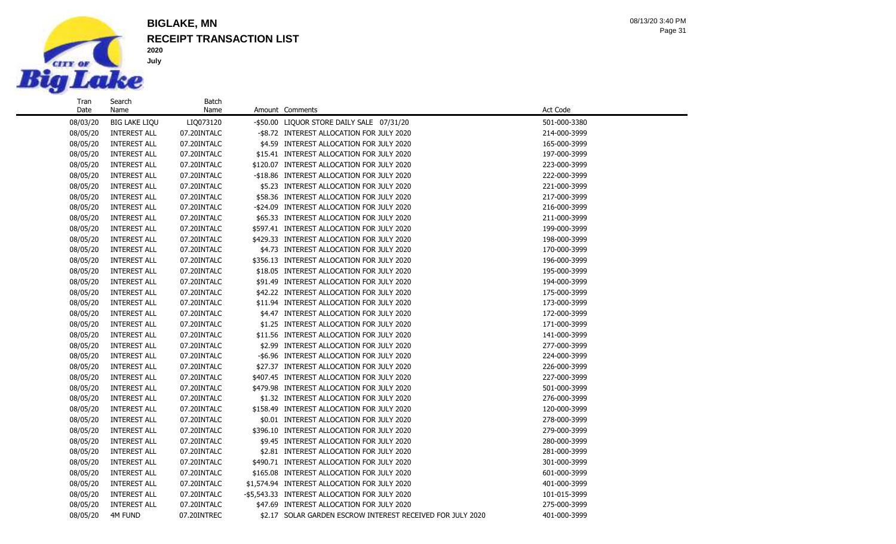

## **RECEIPT TRANSACTION LIST BIGLAKE, MN**

**2020 July**

| Tran<br>Date | Search<br>Name       | Batch<br>Name | Amount Comments                                            | Act Code     |  |
|--------------|----------------------|---------------|------------------------------------------------------------|--------------|--|
| 08/03/20     | <b>BIG LAKE LIQU</b> | LIQ073120     | -\$50.00 LIQUOR STORE DAILY SALE 07/31/20                  | 501-000-3380 |  |
| 08/05/20     | <b>INTEREST ALL</b>  | 07.20INTALC   | -\$8.72 INTEREST ALLOCATION FOR JULY 2020                  | 214-000-3999 |  |
| 08/05/20     | <b>INTEREST ALL</b>  | 07.20INTALC   | \$4.59 INTEREST ALLOCATION FOR JULY 2020                   | 165-000-3999 |  |
| 08/05/20     | <b>INTEREST ALL</b>  | 07.20INTALC   | \$15.41 INTEREST ALLOCATION FOR JULY 2020                  | 197-000-3999 |  |
| 08/05/20     | <b>INTEREST ALL</b>  | 07.20INTALC   | \$120.07 INTEREST ALLOCATION FOR JULY 2020                 | 223-000-3999 |  |
| 08/05/20     | <b>INTEREST ALL</b>  | 07.20INTALC   | -\$18.86 INTEREST ALLOCATION FOR JULY 2020                 | 222-000-3999 |  |
| 08/05/20     | <b>INTEREST ALL</b>  | 07.20INTALC   | \$5.23 INTEREST ALLOCATION FOR JULY 2020                   | 221-000-3999 |  |
| 08/05/20     | <b>INTEREST ALL</b>  | 07.20INTALC   | \$58.36 INTEREST ALLOCATION FOR JULY 2020                  | 217-000-3999 |  |
| 08/05/20     | <b>INTEREST ALL</b>  | 07.20INTALC   | -\$24.09 INTEREST ALLOCATION FOR JULY 2020                 | 216-000-3999 |  |
| 08/05/20     | <b>INTEREST ALL</b>  | 07.20INTALC   | \$65.33 INTEREST ALLOCATION FOR JULY 2020                  | 211-000-3999 |  |
| 08/05/20     | <b>INTEREST ALL</b>  | 07.20INTALC   | \$597.41 INTEREST ALLOCATION FOR JULY 2020                 | 199-000-3999 |  |
| 08/05/20     | <b>INTEREST ALL</b>  | 07.20INTALC   | \$429.33 INTEREST ALLOCATION FOR JULY 2020                 | 198-000-3999 |  |
| 08/05/20     | <b>INTEREST ALL</b>  | 07.20INTALC   | \$4.73 INTEREST ALLOCATION FOR JULY 2020                   | 170-000-3999 |  |
| 08/05/20     | <b>INTEREST ALL</b>  | 07.20INTALC   | \$356.13 INTEREST ALLOCATION FOR JULY 2020                 | 196-000-3999 |  |
| 08/05/20     | <b>INTEREST ALL</b>  | 07.20INTALC   | \$18.05 INTEREST ALLOCATION FOR JULY 2020                  | 195-000-3999 |  |
| 08/05/20     | <b>INTEREST ALL</b>  | 07.20INTALC   | \$91.49 INTEREST ALLOCATION FOR JULY 2020                  | 194-000-3999 |  |
| 08/05/20     | <b>INTEREST ALL</b>  | 07.20INTALC   | \$42.22 INTEREST ALLOCATION FOR JULY 2020                  | 175-000-3999 |  |
| 08/05/20     | <b>INTEREST ALL</b>  | 07.20INTALC   | \$11.94 INTEREST ALLOCATION FOR JULY 2020                  | 173-000-3999 |  |
| 08/05/20     | <b>INTEREST ALL</b>  | 07.20INTALC   | \$4.47 INTEREST ALLOCATION FOR JULY 2020                   | 172-000-3999 |  |
| 08/05/20     | <b>INTEREST ALL</b>  | 07.20INTALC   | \$1.25 INTEREST ALLOCATION FOR JULY 2020                   | 171-000-3999 |  |
| 08/05/20     | <b>INTEREST ALL</b>  | 07.20INTALC   | \$11.56 INTEREST ALLOCATION FOR JULY 2020                  | 141-000-3999 |  |
| 08/05/20     | <b>INTEREST ALL</b>  | 07.20INTALC   | \$2.99 INTEREST ALLOCATION FOR JULY 2020                   | 277-000-3999 |  |
| 08/05/20     | <b>INTEREST ALL</b>  | 07.20INTALC   | -\$6.96 INTEREST ALLOCATION FOR JULY 2020                  | 224-000-3999 |  |
| 08/05/20     | <b>INTEREST ALL</b>  | 07.20INTALC   | \$27.37 INTEREST ALLOCATION FOR JULY 2020                  | 226-000-3999 |  |
| 08/05/20     | <b>INTEREST ALL</b>  | 07.20INTALC   | \$407.45 INTEREST ALLOCATION FOR JULY 2020                 | 227-000-3999 |  |
| 08/05/20     | <b>INTEREST ALL</b>  | 07.20INTALC   | \$479.98 INTEREST ALLOCATION FOR JULY 2020                 | 501-000-3999 |  |
| 08/05/20     | <b>INTEREST ALL</b>  | 07.20INTALC   | \$1.32 INTEREST ALLOCATION FOR JULY 2020                   | 276-000-3999 |  |
| 08/05/20     | <b>INTEREST ALL</b>  | 07.20INTALC   | \$158.49 INTEREST ALLOCATION FOR JULY 2020                 | 120-000-3999 |  |
| 08/05/20     | <b>INTEREST ALL</b>  | 07.20INTALC   | \$0.01 INTEREST ALLOCATION FOR JULY 2020                   | 278-000-3999 |  |
| 08/05/20     | <b>INTEREST ALL</b>  | 07.20INTALC   | \$396.10 INTEREST ALLOCATION FOR JULY 2020                 | 279-000-3999 |  |
| 08/05/20     | <b>INTEREST ALL</b>  | 07.20INTALC   | \$9.45 INTEREST ALLOCATION FOR JULY 2020                   | 280-000-3999 |  |
| 08/05/20     | <b>INTEREST ALL</b>  | 07.20INTALC   | \$2.81 INTEREST ALLOCATION FOR JULY 2020                   | 281-000-3999 |  |
| 08/05/20     | <b>INTEREST ALL</b>  | 07.20INTALC   | \$490.71 INTEREST ALLOCATION FOR JULY 2020                 | 301-000-3999 |  |
| 08/05/20     | <b>INTEREST ALL</b>  | 07.20INTALC   | \$165.08 INTEREST ALLOCATION FOR JULY 2020                 | 601-000-3999 |  |
| 08/05/20     | <b>INTEREST ALL</b>  | 07.20INTALC   | \$1,574.94 INTEREST ALLOCATION FOR JULY 2020               | 401-000-3999 |  |
| 08/05/20     | <b>INTEREST ALL</b>  | 07.20INTALC   | -\$5,543.33 INTEREST ALLOCATION FOR JULY 2020              | 101-015-3999 |  |
| 08/05/20     | <b>INTEREST ALL</b>  | 07.20INTALC   | \$47.69 INTEREST ALLOCATION FOR JULY 2020                  | 275-000-3999 |  |
| 08/05/20     | <b>4M FUND</b>       | 07.20INTREC   | \$2.17 SOLAR GARDEN ESCROW INTEREST RECEIVED FOR JULY 2020 | 401-000-3999 |  |